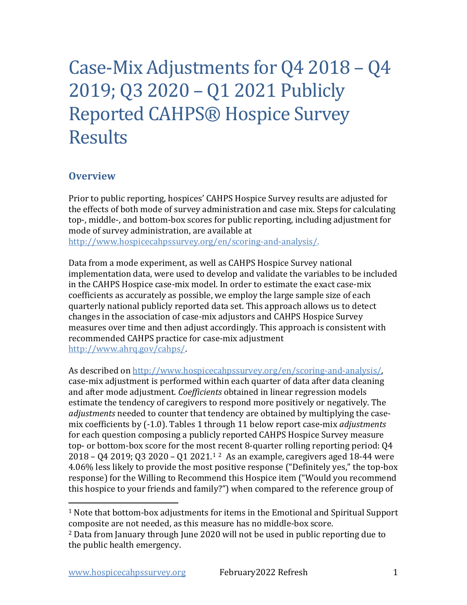# Case-Mix Adjustments for Q4 2018 – Q4 2019; Q3 2020 – Q1 2021 Publicly Reported CAHPS® Hospice Survey Results

### **Overview**

Prior to public reporting, hospices' CAHPS Hospice Survey results are adjusted for the effects of both mode of survey administration and case mix. Steps for calculating top-, middle-, and bottom-box scores for public reporting, including adjustment for mode of survey administration, are available at [http://www.hospicecahpssurvey.org/en/scoring-and-analysis/.](https://hospicecahpssurvey.org/en/public-reporting/scoring-and-analysis/)

Data from a mode experiment, as well as CAHPS Hospice Survey national implementation data, were used to develop and validate the variables to be included in the CAHPS Hospice case-mix model. In order to estimate the exact case-mix coefficients as accurately as possible, we employ the large sample size of each quarterly national publicly reported data set. This approach allows us to detect changes in the association of case-mix adjustors and CAHPS Hospice Survey measures over time and then adjust accordingly. This approach is consistent with recommended CAHPS practice for case-mix adjustment [http://www.ahrq.gov/cahps/](https://www.ahrq.gov/cahps/).

As described on [http://www.hospicecahpssurvey.org/en/scoring-and-analysis/,](https://hospicecahpssurvey.org/en/public-reporting/scoring-and-analysis/) case-mix adjustment is performed within each quarter of data after data cleaning and after mode adjustment. *Coefficients* obtained in linear regression models estimate the tendency of caregivers to respond more positively or negatively. The *adjustments* needed to counter that tendency are obtained by multiplying the casemix coefficients by (-1.0). Tables 1 through 11 below report case-mix *adjustments* for each question composing a publicly reported CAHPS Hospice Survey measure top- or bottom-box score for the most recent 8-quarter rolling reporting period: Q4 2018 – Q4 2019; Q3 2020 – Q1 2021.[1](#page-0-0) [2](#page-0-1) As an example, caregivers aged 18-44 were 4.06% less likely to provide the most positive response ("Definitely yes," the top-box response) for the Willing to Recommend this Hospice item ("Would you recommend this hospice to your friends and family?") when compared to the reference group of

<span id="page-0-0"></span><sup>1</sup> Note that bottom-box adjustments for items in the Emotional and Spiritual Support composite are not needed, as this measure has no middle-box score.

<span id="page-0-1"></span><sup>2</sup> Data from January through June 2020 will not be used in public reporting due to the public health emergency.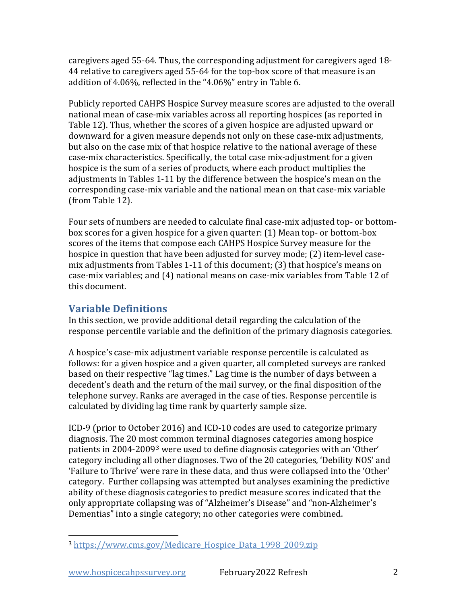caregivers aged 55-64. Thus, the corresponding adjustment for caregivers aged 18- 44 relative to caregivers aged 55-64 for the top-box score of that measure is an addition of 4.06%, reflected in the "4.06%" entry in Table 6.

Publicly reported CAHPS Hospice Survey measure scores are adjusted to the overall national mean of case-mix variables across all reporting hospices (as reported in Table 12). Thus, whether the scores of a given hospice are adjusted upward or downward for a given measure depends not only on these case-mix adjustments, but also on the case mix of that hospice relative to the national average of these case-mix characteristics. Specifically, the total case mix-adjustment for a given hospice is the sum of a series of products, where each product multiplies the adjustments in Tables 1-11 by the difference between the hospice's mean on the corresponding case-mix variable and the national mean on that case-mix variable (from Table 12).

Four sets of numbers are needed to calculate final case-mix adjusted top- or bottombox scores for a given hospice for a given quarter: (1) Mean top- or bottom-box scores of the items that compose each CAHPS Hospice Survey measure for the hospice in question that have been adjusted for survey mode; (2) item-level casemix adjustments from Tables 1-11 of this document; (3) that hospice's means on case-mix variables; and (4) national means on case-mix variables from Table 12 of this document.

## **Variable Definitions**

In this section, we provide additional detail regarding the calculation of the response percentile variable and the definition of the primary diagnosis categories.

A hospice's case-mix adjustment variable response percentile is calculated as follows: for a given hospice and a given quarter, all completed surveys are ranked based on their respective "lag times." Lag time is the number of days between a decedent's death and the return of the mail survey, or the final disposition of the telephone survey. Ranks are averaged in the case of ties. Response percentile is calculated by dividing lag time rank by quarterly sample size.

ICD-9 (prior to October 2016) and ICD-10 codes are used to categorize primary diagnosis. The 20 most common terminal diagnoses categories among hospice patients in 2004-2009[3](#page-1-0) were used to define diagnosis categories with an 'Other' category including all other diagnoses. Two of the 20 categories, 'Debility NOS' and 'Failure to Thrive' were rare in these data, and thus were collapsed into the 'Other' category. Further collapsing was attempted but analyses examining the predictive ability of these diagnosis categories to predict measure scores indicated that the only appropriate collapsing was of "Alzheimer's Disease" and "non-Alzheimer's Dementias" into a single category; no other categories were combined.

<span id="page-1-0"></span><sup>3</sup> https://www.cms.gov/Medicare Hospice Data 1998 2009.zip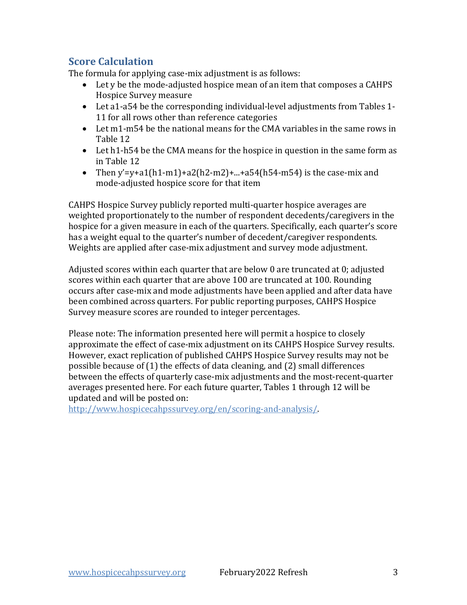## **Score Calculation**

The formula for applying case-mix adjustment is as follows:

- Let y be the mode-adjusted hospice mean of an item that composes a CAHPS Hospice Survey measure
- Let a1-a54 be the corresponding individual-level adjustments from Tables 1- 11 for all rows other than reference categories
- Let m1-m54 be the national means for the CMA variables in the same rows in Table 12
- Let h1-h54 be the CMA means for the hospice in question in the same form as in Table 12
- Then y'=y+a1(h1-m1)+a2(h2-m2)+...+a54(h54-m54) is the case-mix and mode-adjusted hospice score for that item

CAHPS Hospice Survey publicly reported multi-quarter hospice averages are weighted proportionately to the number of respondent decedents/caregivers in the hospice for a given measure in each of the quarters. Specifically, each quarter's score has a weight equal to the quarter's number of decedent/caregiver respondents. Weights are applied after case-mix adjustment and survey mode adjustment.

Adjusted scores within each quarter that are below 0 are truncated at 0; adjusted scores within each quarter that are above 100 are truncated at 100. Rounding occurs after case-mix and mode adjustments have been applied and after data have been combined across quarters. For public reporting purposes, CAHPS Hospice Survey measure scores are rounded to integer percentages.

Please note: The information presented here will permit a hospice to closely approximate the effect of case-mix adjustment on its CAHPS Hospice Survey results. However, exact replication of published CAHPS Hospice Survey results may not be possible because of (1) the effects of data cleaning, and (2) small differences between the effects of quarterly case-mix adjustments and the most-recent-quarter averages presented here. For each future quarter, Tables 1 through 12 will be updated and will be posted on:

[http://www.hospicecahpssurvey.org/en/scoring-and-analysis/.](https://hospicecahpssurvey.org/en/public-reporting/scoring-and-analysis/)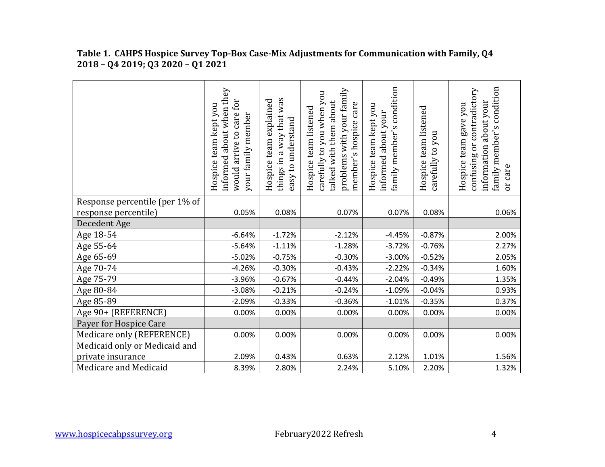|                                | informed about when they<br>would arrive to care for<br>Hospice team kept you<br>your family member | things in a way that was<br>Hospice team explained<br>easy to understand | problems with your family<br>carefully to you when you<br>talked with them about<br>member's hospice care<br>Hospice team listened | family member's condition<br>Hospice team kept you<br>informed about your | Hospice team listened<br>carefully to you | family member's condition<br>contradictory<br>information about your<br>gave you<br>Hospice team<br>ðr<br>confusing<br>or care |
|--------------------------------|-----------------------------------------------------------------------------------------------------|--------------------------------------------------------------------------|------------------------------------------------------------------------------------------------------------------------------------|---------------------------------------------------------------------------|-------------------------------------------|--------------------------------------------------------------------------------------------------------------------------------|
| Response percentile (per 1% of |                                                                                                     |                                                                          |                                                                                                                                    |                                                                           |                                           |                                                                                                                                |
| response percentile)           | 0.05%                                                                                               | 0.08%                                                                    | 0.07%                                                                                                                              | 0.07%                                                                     | 0.08%                                     | 0.06%                                                                                                                          |
| Decedent Age                   |                                                                                                     |                                                                          |                                                                                                                                    |                                                                           |                                           |                                                                                                                                |
| Age 18-54                      | $-6.64%$                                                                                            | $-1.72%$                                                                 | $-2.12%$                                                                                                                           | $-4.45%$                                                                  | $-0.87%$                                  | 2.00%                                                                                                                          |
| Age 55-64                      | $-5.64%$                                                                                            | $-1.11%$                                                                 | $-1.28%$                                                                                                                           | $-3.72%$                                                                  | $-0.76%$                                  | 2.27%                                                                                                                          |
| Age 65-69                      | $-5.02%$                                                                                            | $-0.75%$                                                                 | $-0.30%$                                                                                                                           | $-3.00%$                                                                  | $-0.52%$                                  | 2.05%                                                                                                                          |
| Age 70-74                      | $-4.26%$                                                                                            | $-0.30%$                                                                 | $-0.43%$                                                                                                                           | $-2.22%$                                                                  | $-0.34%$                                  | 1.60%                                                                                                                          |
| Age 75-79                      | $-3.96%$                                                                                            | $-0.67%$                                                                 | $-0.44%$                                                                                                                           | $-2.04%$                                                                  | $-0.49%$                                  | 1.35%                                                                                                                          |
| Age 80-84                      | $-3.08%$                                                                                            | $-0.21%$                                                                 | $-0.24%$                                                                                                                           | $-1.09%$                                                                  | $-0.04%$                                  | 0.93%                                                                                                                          |
| Age 85-89                      | $-2.09%$                                                                                            | $-0.33%$                                                                 | $-0.36%$                                                                                                                           | $-1.01%$                                                                  | $-0.35%$                                  | 0.37%                                                                                                                          |
| Age 90+ (REFERENCE)            | 0.00%                                                                                               | 0.00%                                                                    | 0.00%                                                                                                                              | 0.00%                                                                     | 0.00%                                     | 0.00%                                                                                                                          |
| Payer for Hospice Care         |                                                                                                     |                                                                          |                                                                                                                                    |                                                                           |                                           |                                                                                                                                |
| Medicare only (REFERENCE)      | 0.00%                                                                                               | 0.00%                                                                    | 0.00%                                                                                                                              | 0.00%                                                                     | 0.00%                                     | 0.00%                                                                                                                          |
| Medicaid only or Medicaid and  |                                                                                                     |                                                                          |                                                                                                                                    |                                                                           |                                           |                                                                                                                                |
| private insurance              | 2.09%                                                                                               | 0.43%                                                                    | 0.63%                                                                                                                              | 2.12%                                                                     | 1.01%                                     | 1.56%                                                                                                                          |
| Medicare and Medicaid          | 8.39%                                                                                               | 2.80%                                                                    | 2.24%                                                                                                                              | 5.10%                                                                     | 2.20%                                     | 1.32%                                                                                                                          |

#### **Table 1. CAHPS Hospice Survey Top-Box Case-Mix Adjustments for Communication with Family, Q4 2018 – Q4 2019; Q3 2020 – Q1 2021**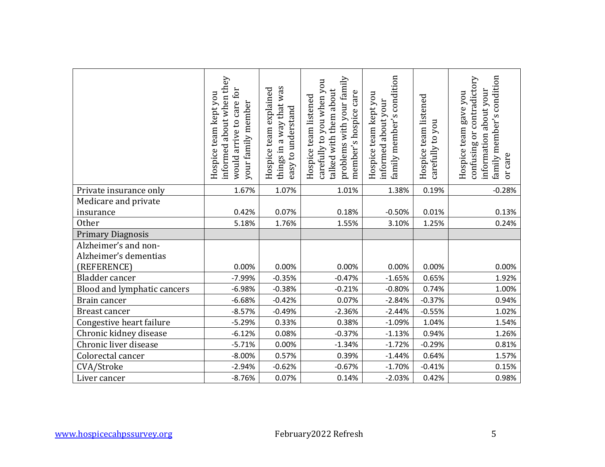|                                               | informed about when they<br>would arrive to care for<br>Hospice team kept you<br>your family member | things in a way that was<br>Hospice team explained<br>easy to understand | problems with your family<br>carefully to you when you<br>talked with them about<br>member's hospice care<br>Hospice team listened | family member's condition<br>Hospice team kept you<br>informed about your | Hospice team listened<br>carefully to you | family member's condition<br>confusing or contradictory<br>about your<br>Hospice team gave you<br>information<br>or care |
|-----------------------------------------------|-----------------------------------------------------------------------------------------------------|--------------------------------------------------------------------------|------------------------------------------------------------------------------------------------------------------------------------|---------------------------------------------------------------------------|-------------------------------------------|--------------------------------------------------------------------------------------------------------------------------|
| Private insurance only                        | 1.67%                                                                                               | 1.07%                                                                    | 1.01%                                                                                                                              | 1.38%                                                                     | 0.19%                                     | $-0.28%$                                                                                                                 |
| Medicare and private                          |                                                                                                     |                                                                          |                                                                                                                                    |                                                                           |                                           |                                                                                                                          |
| insurance                                     | 0.42%                                                                                               | 0.07%                                                                    | 0.18%                                                                                                                              | $-0.50%$                                                                  | 0.01%                                     | 0.13%                                                                                                                    |
| <b>Other</b>                                  | 5.18%                                                                                               | 1.76%                                                                    | 1.55%                                                                                                                              | 3.10%                                                                     | 1.25%                                     | 0.24%                                                                                                                    |
| <b>Primary Diagnosis</b>                      |                                                                                                     |                                                                          |                                                                                                                                    |                                                                           |                                           |                                                                                                                          |
| Alzheimer's and non-<br>Alzheimer's dementias |                                                                                                     |                                                                          |                                                                                                                                    |                                                                           |                                           |                                                                                                                          |
| (REFERENCE)                                   | 0.00%                                                                                               | 0.00%                                                                    | 0.00%                                                                                                                              | 0.00%                                                                     | 0.00%                                     | 0.00%                                                                                                                    |
| Bladder cancer                                | $-7.99%$                                                                                            | $-0.35%$                                                                 | $-0.47%$                                                                                                                           | $-1.65%$                                                                  | 0.65%                                     | 1.92%                                                                                                                    |
| Blood and lymphatic cancers                   | $-6.98%$                                                                                            | $-0.38%$                                                                 | $-0.21%$                                                                                                                           | $-0.80%$                                                                  | 0.74%                                     | 1.00%                                                                                                                    |
| Brain cancer                                  | $-6.68%$                                                                                            | $-0.42%$                                                                 | 0.07%                                                                                                                              | $-2.84%$                                                                  | $-0.37%$                                  | 0.94%                                                                                                                    |
| <b>Breast cancer</b>                          | $-8.57%$                                                                                            | $-0.49%$                                                                 | $-2.36%$                                                                                                                           | $-2.44%$                                                                  | $-0.55%$                                  | 1.02%                                                                                                                    |
| Congestive heart failure                      | $-5.29%$                                                                                            | 0.33%                                                                    | 0.38%                                                                                                                              | $-1.09%$                                                                  | 1.04%                                     | 1.54%                                                                                                                    |
| Chronic kidney disease                        | $-6.12%$                                                                                            | 0.08%                                                                    | $-0.37%$                                                                                                                           | $-1.13%$                                                                  | 0.94%                                     | 1.26%                                                                                                                    |
| Chronic liver disease                         | $-5.71%$                                                                                            | 0.00%                                                                    | $-1.34%$                                                                                                                           | $-1.72%$                                                                  | $-0.29%$                                  | 0.81%                                                                                                                    |
| Colorectal cancer                             | $-8.00%$                                                                                            | 0.57%                                                                    | 0.39%                                                                                                                              | $-1.44%$                                                                  | 0.64%                                     | 1.57%                                                                                                                    |
| CVA/Stroke                                    | $-2.94%$                                                                                            | $-0.62%$                                                                 | $-0.67%$                                                                                                                           | $-1.70%$                                                                  | $-0.41%$                                  | 0.15%                                                                                                                    |
| Liver cancer                                  | $-8.76%$                                                                                            | 0.07%                                                                    | 0.14%                                                                                                                              | $-2.03%$                                                                  | 0.42%                                     | 0.98%                                                                                                                    |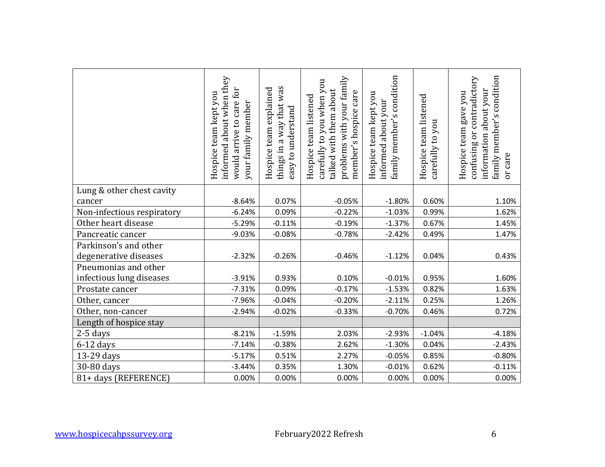|                            | informed about when they<br>would arrive to care for<br>Hospice team kept you<br>your family member | things in a way that was<br>Hospice team explained<br>easy to understand | problems with your family<br>carefully to you when you<br>talked with them about<br>member's hospice care<br>Hospice team listened | family member's condition<br>Hospice team kept you<br>informed about your | Hospice team listened<br>carefully to you | family member's condition<br>confusing or contradictory<br>information about your<br>Hospice team gave you<br>or care |
|----------------------------|-----------------------------------------------------------------------------------------------------|--------------------------------------------------------------------------|------------------------------------------------------------------------------------------------------------------------------------|---------------------------------------------------------------------------|-------------------------------------------|-----------------------------------------------------------------------------------------------------------------------|
| Lung & other chest cavity  |                                                                                                     |                                                                          |                                                                                                                                    |                                                                           |                                           |                                                                                                                       |
| cancer                     | $-8.64%$                                                                                            | 0.07%                                                                    | $-0.05%$                                                                                                                           | $-1.80%$                                                                  | 0.60%                                     | 1.10%                                                                                                                 |
| Non-infectious respiratory | $-6.24%$                                                                                            | 0.09%                                                                    | $-0.22%$                                                                                                                           | $-1.03%$                                                                  | 0.99%                                     | 1.62%                                                                                                                 |
| Other heart disease        | $-5.29%$                                                                                            | $-0.11%$                                                                 | $-0.19%$                                                                                                                           | $-1.37%$                                                                  | 0.67%                                     | 1.45%                                                                                                                 |
| Pancreatic cancer          | $-9.03%$                                                                                            | $-0.08%$                                                                 | $-0.78%$                                                                                                                           | $-2.42%$                                                                  | 0.49%                                     | 1.47%                                                                                                                 |
| Parkinson's and other      |                                                                                                     |                                                                          |                                                                                                                                    |                                                                           |                                           |                                                                                                                       |
| degenerative diseases      | $-2.32%$                                                                                            | $-0.26%$                                                                 | $-0.46%$                                                                                                                           | $-1.12%$                                                                  | 0.04%                                     | 0.43%                                                                                                                 |
| Pneumonias and other       |                                                                                                     |                                                                          |                                                                                                                                    |                                                                           |                                           |                                                                                                                       |
| infectious lung diseases   | $-3.91%$                                                                                            | 0.93%                                                                    | 0.10%                                                                                                                              | $-0.01%$                                                                  | 0.95%                                     | 1.60%                                                                                                                 |
| Prostate cancer            | $-7.31%$                                                                                            | 0.09%                                                                    | $-0.17%$                                                                                                                           | $-1.53%$                                                                  | 0.82%                                     | 1.63%                                                                                                                 |
| Other, cancer              | $-7.96%$                                                                                            | $-0.04%$                                                                 | $-0.20%$                                                                                                                           | $-2.11%$                                                                  | 0.25%                                     | 1.26%                                                                                                                 |
| Other, non-cancer          | $-2.94%$                                                                                            | $-0.02%$                                                                 | $-0.33%$                                                                                                                           | $-0.70%$                                                                  | 0.46%                                     | 0.72%                                                                                                                 |
| Length of hospice stay     |                                                                                                     |                                                                          |                                                                                                                                    |                                                                           |                                           |                                                                                                                       |
| $2-5$ days                 | $-8.21%$                                                                                            | $-1.59%$                                                                 | 2.03%                                                                                                                              | $-2.93%$                                                                  | $-1.04%$                                  | $-4.18%$                                                                                                              |
| $6-12$ days                | $-7.14%$                                                                                            | $-0.38%$                                                                 | 2.62%                                                                                                                              | $-1.30%$                                                                  | 0.04%                                     | $-2.43%$                                                                                                              |
| 13-29 days                 | $-5.17%$                                                                                            | 0.51%                                                                    | 2.27%                                                                                                                              | $-0.05%$                                                                  | 0.85%                                     | $-0.80%$                                                                                                              |
| 30-80 days                 | $-3.44%$                                                                                            | 0.35%                                                                    | 1.30%                                                                                                                              | $-0.01%$                                                                  | 0.62%                                     | $-0.11%$                                                                                                              |
| 81+ days (REFERENCE)       | 0.00%                                                                                               | 0.00%                                                                    | 0.00%                                                                                                                              | 0.00%                                                                     | 0.00%                                     | 0.00%                                                                                                                 |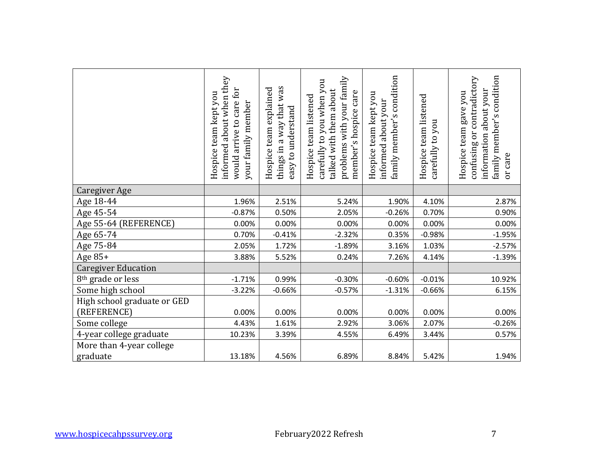|                                            | informed about when they<br>would arrive to care for<br>Hospice team kept you<br>your family member | things in a way that was<br>Hospice team explained<br>easy to understand | problems with your family<br>carefully to you when you<br>talked with them about<br>member's hospice care<br>Hospice team listened | family member's condition<br>Hospice team kept you<br>informed about your | Hospice team listened<br>carefully to you | family member's condition<br>confusing or contradictory<br>information about your<br>Hospice team gave you<br>or care |
|--------------------------------------------|-----------------------------------------------------------------------------------------------------|--------------------------------------------------------------------------|------------------------------------------------------------------------------------------------------------------------------------|---------------------------------------------------------------------------|-------------------------------------------|-----------------------------------------------------------------------------------------------------------------------|
| <b>Caregiver Age</b>                       |                                                                                                     |                                                                          |                                                                                                                                    |                                                                           |                                           |                                                                                                                       |
| Age 18-44                                  | 1.96%                                                                                               | 2.51%                                                                    | 5.24%                                                                                                                              | 1.90%                                                                     | 4.10%                                     | 2.87%                                                                                                                 |
| Age 45-54                                  | $-0.87%$                                                                                            | 0.50%                                                                    | 2.05%                                                                                                                              | $-0.26%$                                                                  | 0.70%                                     | 0.90%                                                                                                                 |
| Age 55-64 (REFERENCE)                      | 0.00%                                                                                               | 0.00%                                                                    | 0.00%                                                                                                                              | 0.00%                                                                     | 0.00%                                     | 0.00%                                                                                                                 |
| Age 65-74                                  | 0.70%                                                                                               | $-0.41%$                                                                 | $-2.32%$                                                                                                                           | 0.35%                                                                     | $-0.98%$                                  | $-1.95%$                                                                                                              |
| Age 75-84                                  | 2.05%                                                                                               | 1.72%                                                                    | $-1.89%$                                                                                                                           | 3.16%                                                                     | 1.03%                                     | $-2.57%$                                                                                                              |
| Age 85+                                    | 3.88%                                                                                               | 5.52%                                                                    | 0.24%                                                                                                                              | 7.26%                                                                     | 4.14%                                     | $-1.39%$                                                                                                              |
| <b>Caregiver Education</b>                 |                                                                                                     |                                                                          |                                                                                                                                    |                                                                           |                                           |                                                                                                                       |
| 8 <sup>th</sup> grade or less              | $-1.71%$                                                                                            | 0.99%                                                                    | $-0.30%$                                                                                                                           | $-0.60%$                                                                  | $-0.01%$                                  | 10.92%                                                                                                                |
| Some high school                           | $-3.22%$                                                                                            | $-0.66%$                                                                 | $-0.57%$                                                                                                                           | $-1.31%$                                                                  | $-0.66%$                                  | 6.15%                                                                                                                 |
| High school graduate or GED<br>(REFERENCE) | 0.00%                                                                                               | 0.00%                                                                    | 0.00%                                                                                                                              | 0.00%                                                                     | 0.00%                                     | 0.00%                                                                                                                 |
| Some college                               | 4.43%                                                                                               | 1.61%                                                                    | 2.92%                                                                                                                              | 3.06%                                                                     | 2.07%                                     | $-0.26%$                                                                                                              |
| 4-year college graduate                    | 10.23%                                                                                              | 3.39%                                                                    | 4.55%                                                                                                                              | 6.49%                                                                     | 3.44%                                     | 0.57%                                                                                                                 |
| More than 4-year college<br>graduate       | 13.18%                                                                                              | 4.56%                                                                    | 6.89%                                                                                                                              | 8.84%                                                                     | 5.42%                                     | 1.94%                                                                                                                 |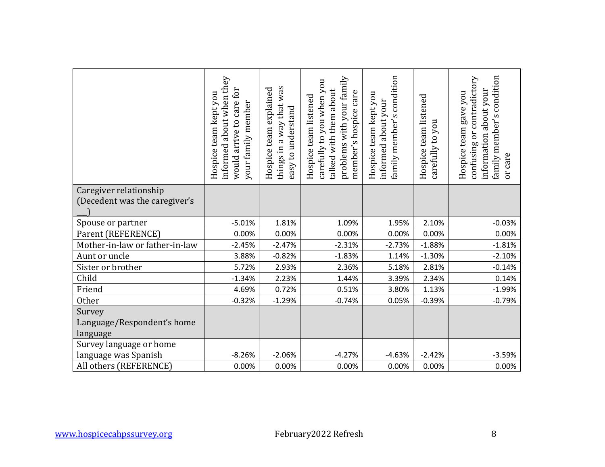| informed about when they<br>would arrive to care for<br>Hospice team kept you<br>your family member | things in a way that was<br>Hospice team explained<br>easy to understand | problems with your family<br>carefully to you when you<br>talked with them about<br>member's hospice care<br>Hospice team listened | family member's condition<br>Hospice team kept you<br>informed about your | Hospice team listened<br>carefully to you | family member's condition<br>confusing or contradictory<br>information about your<br>Hospice team gave you<br>or care |
|-----------------------------------------------------------------------------------------------------|--------------------------------------------------------------------------|------------------------------------------------------------------------------------------------------------------------------------|---------------------------------------------------------------------------|-------------------------------------------|-----------------------------------------------------------------------------------------------------------------------|
|                                                                                                     |                                                                          |                                                                                                                                    |                                                                           |                                           |                                                                                                                       |
| $-5.01%$                                                                                            | 1.81%                                                                    | 1.09%                                                                                                                              | 1.95%                                                                     | 2.10%                                     | $-0.03%$                                                                                                              |
| 0.00%                                                                                               | 0.00%                                                                    | 0.00%                                                                                                                              | 0.00%                                                                     | 0.00%                                     | 0.00%                                                                                                                 |
| $-2.45%$                                                                                            | $-2.47%$                                                                 | $-2.31%$                                                                                                                           | $-2.73%$                                                                  | $-1.88%$                                  | $-1.81%$                                                                                                              |
| 3.88%                                                                                               | $-0.82%$                                                                 | $-1.83%$                                                                                                                           | 1.14%                                                                     | $-1.30%$                                  | $-2.10%$                                                                                                              |
| 5.72%                                                                                               |                                                                          |                                                                                                                                    |                                                                           |                                           | $-0.14%$                                                                                                              |
| $-1.34%$                                                                                            | 2.23%                                                                    | 1.44%                                                                                                                              | 3.39%                                                                     | 2.34%                                     | 0.14%                                                                                                                 |
| 4.69%                                                                                               |                                                                          |                                                                                                                                    | 3.80%                                                                     | 1.13%                                     | $-1.99%$                                                                                                              |
|                                                                                                     |                                                                          |                                                                                                                                    |                                                                           |                                           | $-0.79%$                                                                                                              |
|                                                                                                     |                                                                          |                                                                                                                                    |                                                                           |                                           |                                                                                                                       |
|                                                                                                     |                                                                          |                                                                                                                                    |                                                                           |                                           |                                                                                                                       |
|                                                                                                     |                                                                          |                                                                                                                                    |                                                                           |                                           | $-3.59%$                                                                                                              |
|                                                                                                     |                                                                          |                                                                                                                                    |                                                                           |                                           | 0.00%                                                                                                                 |
|                                                                                                     | $-0.32%$<br>$-8.26%$<br>0.00%                                            | 2.93%<br>0.72%<br>$-1.29%$<br>$-2.06%$<br>0.00%                                                                                    | 2.36%<br>0.51%<br>$-0.74%$<br>$-4.27%$<br>0.00%                           | 5.18%<br>0.05%<br>$-4.63%$<br>0.00%       | 2.81%<br>$-0.39%$<br>$-2.42%$<br>0.00%                                                                                |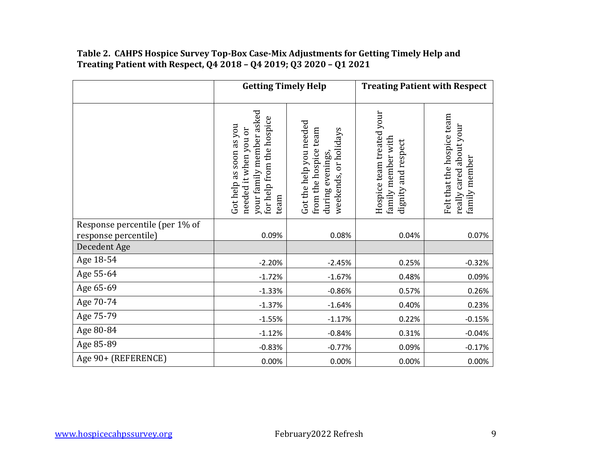|                                      | <b>Getting Timely Help</b>                                                                                        |                                                                                               |                                                                        | <b>Treating Patient with Respect</b>                                   |
|--------------------------------------|-------------------------------------------------------------------------------------------------------------------|-----------------------------------------------------------------------------------------------|------------------------------------------------------------------------|------------------------------------------------------------------------|
|                                      | your family member asked<br>for help from the hospice<br>Got help as soon as you<br>needed it when you or<br>team | Got the help you needed<br>from the hospice team<br>weekends, or holidays<br>during evenings, | Hospice team treated your<br>family member with<br>dignity and respect | Felt that the hospice team<br>really cared about your<br>family member |
| Response percentile (per 1% of       |                                                                                                                   |                                                                                               |                                                                        |                                                                        |
| response percentile)<br>Decedent Age | 0.09%                                                                                                             | 0.08%                                                                                         | 0.04%                                                                  | 0.07%                                                                  |
| Age 18-54                            | $-2.20%$                                                                                                          | $-2.45%$                                                                                      | 0.25%                                                                  | $-0.32%$                                                               |
| Age 55-64                            | $-1.72%$                                                                                                          | $-1.67%$                                                                                      | 0.48%                                                                  | 0.09%                                                                  |
| Age 65-69                            | $-1.33%$                                                                                                          | $-0.86%$                                                                                      | 0.57%                                                                  | 0.26%                                                                  |
| Age 70-74                            | $-1.37%$                                                                                                          | $-1.64%$                                                                                      | 0.40%                                                                  | 0.23%                                                                  |
| Age 75-79                            | $-1.55%$                                                                                                          | $-1.17%$                                                                                      | 0.22%                                                                  | $-0.15%$                                                               |
| Age 80-84                            | $-1.12%$                                                                                                          | $-0.84%$                                                                                      | 0.31%                                                                  | $-0.04%$                                                               |
| Age 85-89                            | $-0.83%$                                                                                                          | $-0.77%$                                                                                      | 0.09%                                                                  | $-0.17%$                                                               |
| Age 90+ (REFERENCE)                  | 0.00%                                                                                                             | 0.00%                                                                                         | 0.00%                                                                  | 0.00%                                                                  |

#### **Table 2. CAHPS Hospice Survey Top-Box Case-Mix Adjustments for Getting Timely Help and Treating Patient with Respect, Q4 2018 – Q4 2019; Q3 2020 – Q1 2021**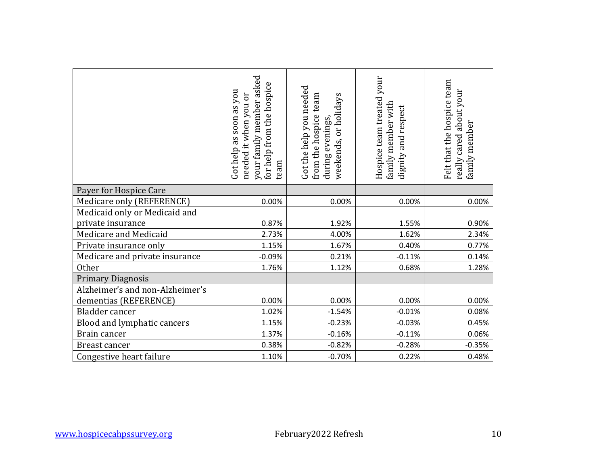|                                                          | your family member asked<br>for help from the hospice<br>Got help as soon as you<br>needed it when you or<br>team | Got the help you needed<br>from the hospice team<br>weekends, or holidays<br>during evenings, | Hospice team treated your<br>family member with<br>dignity and respect | Felt that the hospice team<br>really cared about your<br>family member |
|----------------------------------------------------------|-------------------------------------------------------------------------------------------------------------------|-----------------------------------------------------------------------------------------------|------------------------------------------------------------------------|------------------------------------------------------------------------|
| Payer for Hospice Care                                   |                                                                                                                   |                                                                                               |                                                                        |                                                                        |
| Medicare only (REFERENCE)                                | 0.00%                                                                                                             | 0.00%                                                                                         | 0.00%                                                                  | 0.00%                                                                  |
| Medicaid only or Medicaid and                            |                                                                                                                   |                                                                                               |                                                                        |                                                                        |
| private insurance                                        | 0.87%                                                                                                             | 1.92%                                                                                         | 1.55%                                                                  | 0.90%                                                                  |
| Medicare and Medicaid                                    | 2.73%                                                                                                             | 4.00%                                                                                         | 1.62%                                                                  | 2.34%                                                                  |
| Private insurance only                                   | 1.15%                                                                                                             | 1.67%                                                                                         | 0.40%                                                                  | 0.77%                                                                  |
| Medicare and private insurance                           | $-0.09%$                                                                                                          | 0.21%                                                                                         | $-0.11%$                                                               | 0.14%                                                                  |
| <b>Other</b>                                             | 1.76%                                                                                                             | 1.12%                                                                                         | 0.68%                                                                  | 1.28%                                                                  |
| <b>Primary Diagnosis</b>                                 |                                                                                                                   |                                                                                               |                                                                        |                                                                        |
| Alzheimer's and non-Alzheimer's<br>dementias (REFERENCE) | 0.00%                                                                                                             | 0.00%                                                                                         | 0.00%                                                                  | 0.00%                                                                  |
| <b>Bladder</b> cancer                                    | 1.02%                                                                                                             | $-1.54%$                                                                                      | $-0.01%$                                                               | 0.08%                                                                  |
| Blood and lymphatic cancers                              | 1.15%                                                                                                             | $-0.23%$                                                                                      | $-0.03%$                                                               | 0.45%                                                                  |
| Brain cancer                                             | 1.37%                                                                                                             | $-0.16%$                                                                                      | $-0.11%$                                                               | 0.06%                                                                  |
| Breast cancer                                            | 0.38%                                                                                                             | $-0.82%$                                                                                      | $-0.28%$                                                               | $-0.35%$                                                               |
| Congestive heart failure                                 | 1.10%                                                                                                             | $-0.70%$                                                                                      | 0.22%                                                                  | 0.48%                                                                  |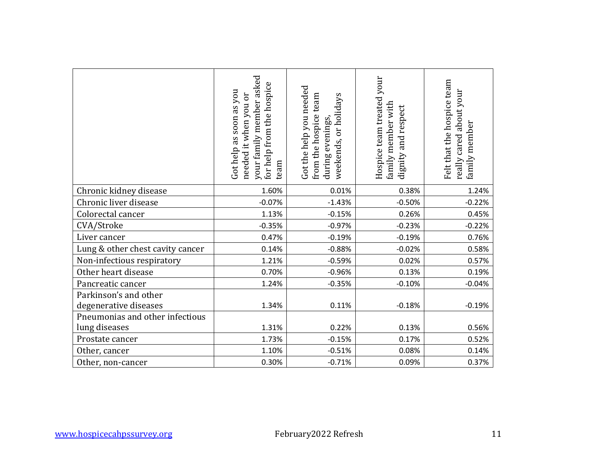|                                                                                   | your family member asked<br>for help from the hospice<br>Got help as soon as you<br>needed it when you or<br>team | Got the help you needed<br>from the hospice team<br>weekends, or holidays<br>during evenings, | Hospice team treated your<br>family member with<br>dignity and respect | Felt that the hospice team<br>really cared about your<br>family member |
|-----------------------------------------------------------------------------------|-------------------------------------------------------------------------------------------------------------------|-----------------------------------------------------------------------------------------------|------------------------------------------------------------------------|------------------------------------------------------------------------|
| Chronic kidney disease                                                            | 1.60%                                                                                                             | 0.01%                                                                                         | 0.38%                                                                  | 1.24%                                                                  |
| Chronic liver disease                                                             | $-0.07%$                                                                                                          | $-1.43%$                                                                                      | $-0.50%$                                                               | $-0.22%$                                                               |
| Colorectal cancer                                                                 | 1.13%                                                                                                             | $-0.15%$                                                                                      | 0.26%                                                                  | 0.45%                                                                  |
| CVA/Stroke                                                                        | $-0.35%$                                                                                                          | $-0.97%$                                                                                      | $-0.23%$                                                               | $-0.22%$                                                               |
| Liver cancer                                                                      | 0.47%                                                                                                             | $-0.19%$                                                                                      | $-0.19%$                                                               | 0.76%                                                                  |
| Lung & other chest cavity cancer                                                  | 0.14%                                                                                                             | $-0.88%$                                                                                      | $-0.02%$                                                               | 0.58%                                                                  |
| Non-infectious respiratory                                                        | 1.21%                                                                                                             | $-0.59%$                                                                                      | 0.02%                                                                  | 0.57%                                                                  |
| Other heart disease                                                               | 0.70%                                                                                                             | $-0.96%$                                                                                      | 0.13%                                                                  | 0.19%                                                                  |
| Pancreatic cancer                                                                 | 1.24%                                                                                                             | $-0.35%$                                                                                      | $-0.10%$                                                               | $-0.04%$                                                               |
| Parkinson's and other<br>degenerative diseases<br>Pneumonias and other infectious | 1.34%                                                                                                             | 0.11%                                                                                         | $-0.18%$                                                               | $-0.19%$                                                               |
| lung diseases                                                                     | 1.31%                                                                                                             | 0.22%                                                                                         | 0.13%                                                                  | 0.56%                                                                  |
| Prostate cancer                                                                   | 1.73%                                                                                                             | $-0.15%$                                                                                      | 0.17%                                                                  | 0.52%                                                                  |
| Other, cancer                                                                     | 1.10%                                                                                                             | $-0.51%$                                                                                      | 0.08%                                                                  | 0.14%                                                                  |
| Other, non-cancer                                                                 | 0.30%                                                                                                             | $-0.71%$                                                                                      | 0.09%                                                                  | 0.37%                                                                  |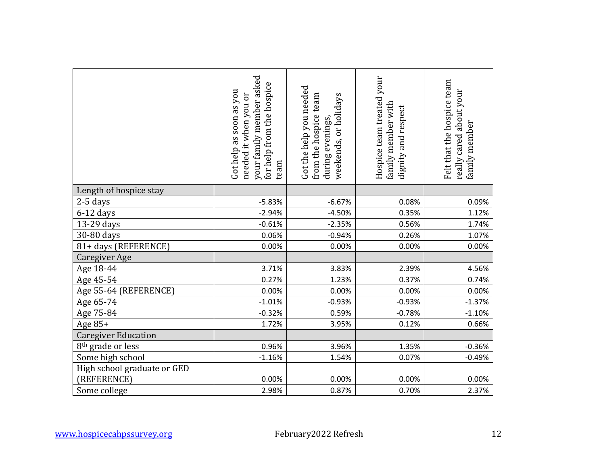|                                            | your family member asked<br>for help from the hospice<br>Got help as soon as you<br>needed it when you or<br>team | Got the help you needed<br>from the hospice team<br>weekends, or holidays<br>during evenings, | Hospice team treated your<br>family member with<br>dignity and respect | Felt that the hospice team<br>really cared about your<br>family member |
|--------------------------------------------|-------------------------------------------------------------------------------------------------------------------|-----------------------------------------------------------------------------------------------|------------------------------------------------------------------------|------------------------------------------------------------------------|
| Length of hospice stay                     |                                                                                                                   |                                                                                               |                                                                        |                                                                        |
| 2-5 days                                   | $-5.83%$                                                                                                          | $-6.67%$                                                                                      | 0.08%                                                                  | 0.09%                                                                  |
| $6-12$ days                                | $-2.94%$                                                                                                          | $-4.50%$                                                                                      | 0.35%                                                                  | 1.12%                                                                  |
| 13-29 days                                 | $-0.61%$                                                                                                          | $-2.35%$                                                                                      | 0.56%                                                                  | 1.74%                                                                  |
| 30-80 days                                 | 0.06%                                                                                                             | $-0.94%$                                                                                      | 0.26%                                                                  | 1.07%                                                                  |
| 81+ days (REFERENCE)                       | 0.00%                                                                                                             | 0.00%                                                                                         | 0.00%                                                                  | 0.00%                                                                  |
| Caregiver Age                              |                                                                                                                   |                                                                                               |                                                                        |                                                                        |
| Age 18-44                                  | 3.71%                                                                                                             | 3.83%                                                                                         | 2.39%                                                                  | 4.56%                                                                  |
| Age 45-54                                  | 0.27%                                                                                                             | 1.23%                                                                                         | 0.37%                                                                  | 0.74%                                                                  |
| Age 55-64 (REFERENCE)                      | 0.00%                                                                                                             | 0.00%                                                                                         | 0.00%                                                                  | 0.00%                                                                  |
| Age 65-74                                  | $-1.01%$                                                                                                          | $-0.93%$                                                                                      | $-0.93%$                                                               | $-1.37%$                                                               |
| Age 75-84                                  | $-0.32%$                                                                                                          | 0.59%                                                                                         | $-0.78%$                                                               | $-1.10%$                                                               |
| Age 85+                                    | 1.72%                                                                                                             | 3.95%                                                                                         | 0.12%                                                                  | 0.66%                                                                  |
| <b>Caregiver Education</b>                 |                                                                                                                   |                                                                                               |                                                                        |                                                                        |
| 8 <sup>th</sup> grade or less              | 0.96%                                                                                                             | 3.96%                                                                                         | 1.35%                                                                  | $-0.36%$                                                               |
| Some high school                           | $-1.16%$                                                                                                          | 1.54%                                                                                         | 0.07%                                                                  | $-0.49%$                                                               |
| High school graduate or GED<br>(REFERENCE) | 0.00%                                                                                                             | 0.00%                                                                                         | 0.00%                                                                  | 0.00%                                                                  |
| Some college                               | 2.98%                                                                                                             | 0.87%                                                                                         | 0.70%                                                                  | 2.37%                                                                  |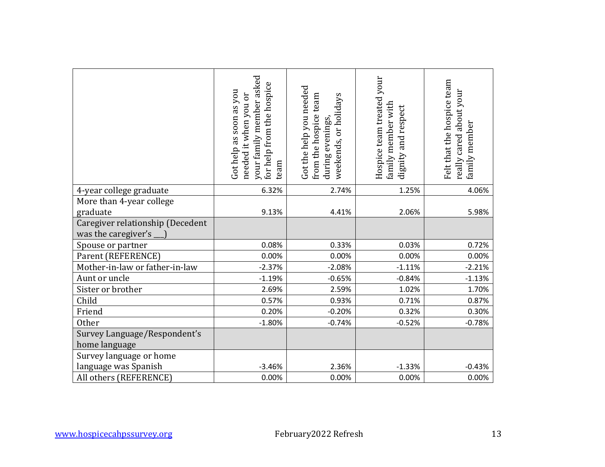|                                                         | your family member asked<br>for help from the hospice<br>Got help as soon as you<br>needed it when you or<br>team | Got the help you needed<br>from the hospice team<br>weekends, or holidays<br>during evenings, | Hospice team treated your<br>family member with<br>dignity and respect | Felt that the hospice team<br>really cared about your<br>family member |
|---------------------------------------------------------|-------------------------------------------------------------------------------------------------------------------|-----------------------------------------------------------------------------------------------|------------------------------------------------------------------------|------------------------------------------------------------------------|
| 4-year college graduate                                 | 6.32%                                                                                                             | 2.74%                                                                                         | 1.25%                                                                  | 4.06%                                                                  |
| More than 4-year college<br>graduate                    | 9.13%                                                                                                             | 4.41%                                                                                         | 2.06%                                                                  | 5.98%                                                                  |
| Caregiver relationship (Decedent<br>was the caregiver's |                                                                                                                   |                                                                                               |                                                                        |                                                                        |
| Spouse or partner                                       | 0.08%                                                                                                             | 0.33%                                                                                         | 0.03%                                                                  | 0.72%                                                                  |
| Parent (REFERENCE)                                      | 0.00%                                                                                                             | 0.00%                                                                                         | 0.00%                                                                  | 0.00%                                                                  |
| Mother-in-law or father-in-law                          | $-2.37%$                                                                                                          | $-2.08%$                                                                                      | $-1.11%$                                                               | $-2.21%$                                                               |
| Aunt or uncle                                           | $-1.19%$                                                                                                          | $-0.65%$                                                                                      | $-0.84%$                                                               | $-1.13%$                                                               |
| Sister or brother                                       | 2.69%                                                                                                             | 2.59%                                                                                         | 1.02%                                                                  | 1.70%                                                                  |
| Child                                                   | 0.57%                                                                                                             | 0.93%                                                                                         | 0.71%                                                                  | 0.87%                                                                  |
| Friend                                                  | 0.20%                                                                                                             | $-0.20%$                                                                                      | 0.32%                                                                  | 0.30%                                                                  |
| <b>Other</b>                                            | $-1.80%$                                                                                                          | $-0.74%$                                                                                      | $-0.52%$                                                               | $-0.78%$                                                               |
| Survey Language/Respondent's<br>home language           |                                                                                                                   |                                                                                               |                                                                        |                                                                        |
| Survey language or home                                 |                                                                                                                   |                                                                                               |                                                                        |                                                                        |
| language was Spanish                                    | $-3.46%$                                                                                                          | 2.36%                                                                                         | $-1.33%$                                                               | $-0.43%$                                                               |
| All others (REFERENCE)                                  | 0.00%                                                                                                             | 0.00%                                                                                         | 0.00%                                                                  | 0.00%                                                                  |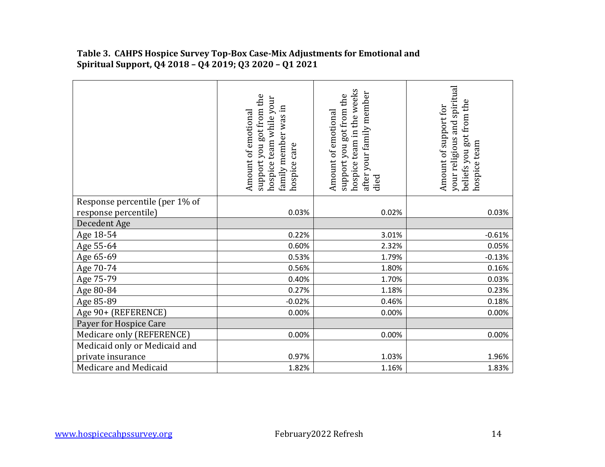|                                | support you got from the<br>team while your<br>family member was in<br>Amount of emotional<br>hospice care<br>hospice | the weeks<br>after your family member<br>support you got from the<br>Amount of emotional<br>hospice team in<br>died | and spiritual<br>beliefs you got from the<br>Amount of support for<br>your religious<br>hospice team |
|--------------------------------|-----------------------------------------------------------------------------------------------------------------------|---------------------------------------------------------------------------------------------------------------------|------------------------------------------------------------------------------------------------------|
| Response percentile (per 1% of |                                                                                                                       |                                                                                                                     |                                                                                                      |
| response percentile)           | 0.03%                                                                                                                 | 0.02%                                                                                                               | 0.03%                                                                                                |
| Decedent Age                   |                                                                                                                       |                                                                                                                     |                                                                                                      |
| Age 18-54                      | 0.22%                                                                                                                 | 3.01%                                                                                                               | $-0.61%$                                                                                             |
| Age 55-64                      | 0.60%                                                                                                                 | 2.32%                                                                                                               | 0.05%                                                                                                |
| Age 65-69                      | 0.53%                                                                                                                 | 1.79%                                                                                                               | $-0.13%$                                                                                             |
| Age 70-74                      | 0.56%                                                                                                                 | 1.80%                                                                                                               | 0.16%                                                                                                |
| Age 75-79                      | 0.40%                                                                                                                 | 1.70%                                                                                                               | 0.03%                                                                                                |
| Age 80-84                      | 0.27%                                                                                                                 | 1.18%                                                                                                               | 0.23%                                                                                                |
| Age 85-89                      | $-0.02%$                                                                                                              | 0.46%                                                                                                               | 0.18%                                                                                                |
| Age 90+ (REFERENCE)            | 0.00%                                                                                                                 | 0.00%                                                                                                               | 0.00%                                                                                                |
| Payer for Hospice Care         |                                                                                                                       |                                                                                                                     |                                                                                                      |
| Medicare only (REFERENCE)      | 0.00%                                                                                                                 | 0.00%                                                                                                               | 0.00%                                                                                                |
| Medicaid only or Medicaid and  |                                                                                                                       |                                                                                                                     |                                                                                                      |
| private insurance              | 0.97%                                                                                                                 | 1.03%                                                                                                               | 1.96%                                                                                                |
| Medicare and Medicaid          | 1.82%                                                                                                                 | 1.16%                                                                                                               | 1.83%                                                                                                |

#### **Table 3. CAHPS Hospice Survey Top-Box Case-Mix Adjustments for Emotional and Spiritual Support, Q4 2018 – Q4 2019; Q3 2020 – Q1 2021**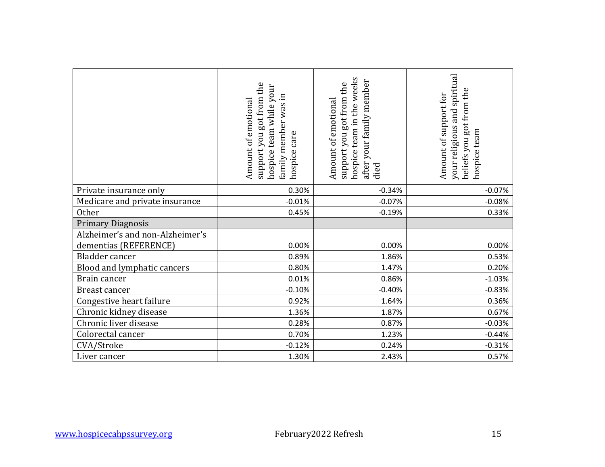|                                 | support you got from the<br>hospice team while your<br>family member was in<br>Amount of emotional<br>hospice care | hospice team in the weeks<br>after your family member<br>support you got from the<br>Amount of emotional<br>died | your religious and spiritual<br>beliefs you got from the<br>Amount of support for<br>hospice team |
|---------------------------------|--------------------------------------------------------------------------------------------------------------------|------------------------------------------------------------------------------------------------------------------|---------------------------------------------------------------------------------------------------|
| Private insurance only          | 0.30%                                                                                                              | $-0.34%$                                                                                                         | $-0.07%$                                                                                          |
| Medicare and private insurance  | $-0.01%$                                                                                                           | $-0.07%$                                                                                                         | $-0.08%$                                                                                          |
| <b>Other</b>                    | 0.45%                                                                                                              | $-0.19%$                                                                                                         | 0.33%                                                                                             |
| <b>Primary Diagnosis</b>        |                                                                                                                    |                                                                                                                  |                                                                                                   |
| Alzheimer's and non-Alzheimer's |                                                                                                                    |                                                                                                                  |                                                                                                   |
| dementias (REFERENCE)           | 0.00%                                                                                                              | 0.00%                                                                                                            | 0.00%                                                                                             |
| Bladder cancer                  | 0.89%                                                                                                              | 1.86%                                                                                                            | 0.53%                                                                                             |
| Blood and lymphatic cancers     | 0.80%                                                                                                              | 1.47%                                                                                                            | 0.20%                                                                                             |
| Brain cancer                    | 0.01%                                                                                                              | 0.86%                                                                                                            | $-1.03%$                                                                                          |
| Breast cancer                   | $-0.10%$                                                                                                           | $-0.40%$                                                                                                         | $-0.83%$                                                                                          |
| Congestive heart failure        | 0.92%                                                                                                              | 1.64%                                                                                                            | 0.36%                                                                                             |
| Chronic kidney disease          | 1.36%                                                                                                              | 1.87%                                                                                                            | 0.67%                                                                                             |
| Chronic liver disease           | 0.28%                                                                                                              | 0.87%                                                                                                            | $-0.03%$                                                                                          |
| Colorectal cancer               | 0.70%                                                                                                              | 1.23%                                                                                                            | $-0.44%$                                                                                          |
| CVA/Stroke                      | $-0.12%$                                                                                                           | 0.24%                                                                                                            | $-0.31%$                                                                                          |
| Liver cancer                    | 1.30%                                                                                                              | 2.43%                                                                                                            | 0.57%                                                                                             |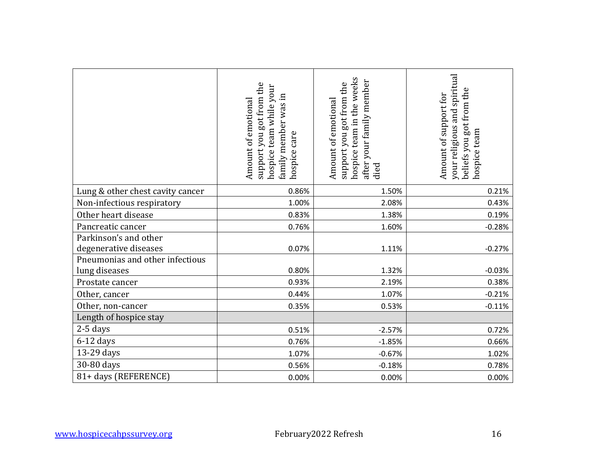|                                                  | support you got from the<br>hospice team while your<br>family member was in<br>Amount of emotional<br>hospice care | hospice team in the weeks<br>after your family member<br>support you got from the<br>Amount of emotional<br>died | your religious and spiritual<br>beliefs you got from the<br>Amount of support for<br>hospice team |
|--------------------------------------------------|--------------------------------------------------------------------------------------------------------------------|------------------------------------------------------------------------------------------------------------------|---------------------------------------------------------------------------------------------------|
| Lung & other chest cavity cancer                 | 0.86%                                                                                                              | 1.50%                                                                                                            | 0.21%                                                                                             |
| Non-infectious respiratory                       | 1.00%                                                                                                              | 2.08%                                                                                                            | 0.43%                                                                                             |
| Other heart disease                              | 0.83%                                                                                                              | 1.38%                                                                                                            | 0.19%                                                                                             |
| Pancreatic cancer                                | 0.76%                                                                                                              | 1.60%                                                                                                            | $-0.28%$                                                                                          |
| Parkinson's and other<br>degenerative diseases   | 0.07%                                                                                                              | 1.11%                                                                                                            | $-0.27%$                                                                                          |
| Pneumonias and other infectious<br>lung diseases | 0.80%                                                                                                              | 1.32%                                                                                                            | $-0.03%$                                                                                          |
| Prostate cancer                                  | 0.93%                                                                                                              | 2.19%                                                                                                            | 0.38%                                                                                             |
| Other, cancer                                    | 0.44%                                                                                                              | 1.07%                                                                                                            | $-0.21%$                                                                                          |
| Other, non-cancer                                | 0.35%                                                                                                              | 0.53%                                                                                                            | $-0.11%$                                                                                          |
| Length of hospice stay                           |                                                                                                                    |                                                                                                                  |                                                                                                   |
| $2-5$ days                                       | 0.51%                                                                                                              | $-2.57%$                                                                                                         | 0.72%                                                                                             |
| $6-12$ days                                      | 0.76%                                                                                                              | $-1.85%$                                                                                                         | 0.66%                                                                                             |
| 13-29 days                                       | 1.07%                                                                                                              | $-0.67%$                                                                                                         | 1.02%                                                                                             |
| 30-80 days                                       | 0.56%                                                                                                              | $-0.18%$                                                                                                         | 0.78%                                                                                             |
| 81+ days (REFERENCE)                             | 0.00%                                                                                                              | 0.00%                                                                                                            | 0.00%                                                                                             |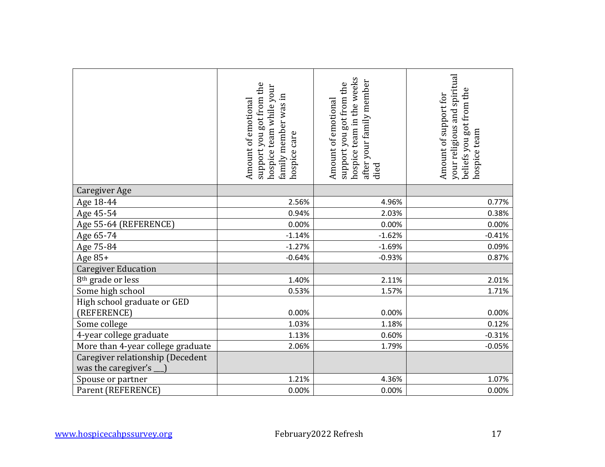|                                                         | support you got from the<br>hospice team while your<br>family member was in<br>Amount of emotional<br>hospice care | hospice team in the weeks<br>after your family member<br>support you got from the<br>Amount of emotional<br>died | your religious and spiritual<br>beliefs you got from the<br>Amount of support for<br>hospice team |
|---------------------------------------------------------|--------------------------------------------------------------------------------------------------------------------|------------------------------------------------------------------------------------------------------------------|---------------------------------------------------------------------------------------------------|
| <b>Caregiver Age</b>                                    |                                                                                                                    |                                                                                                                  |                                                                                                   |
| Age 18-44                                               | 2.56%                                                                                                              | 4.96%                                                                                                            | 0.77%                                                                                             |
| Age 45-54                                               | 0.94%                                                                                                              | 2.03%                                                                                                            | 0.38%                                                                                             |
| Age 55-64 (REFERENCE)                                   | 0.00%                                                                                                              | 0.00%                                                                                                            | 0.00%                                                                                             |
| Age 65-74                                               | $-1.14%$                                                                                                           | $-1.62%$                                                                                                         | $-0.41%$                                                                                          |
| Age 75-84                                               | $-1.27%$                                                                                                           | $-1.69%$                                                                                                         | 0.09%                                                                                             |
| Age 85+                                                 | $-0.64%$                                                                                                           | $-0.93%$                                                                                                         | 0.87%                                                                                             |
| <b>Caregiver Education</b>                              |                                                                                                                    |                                                                                                                  |                                                                                                   |
| 8 <sup>th</sup> grade or less                           | 1.40%                                                                                                              | 2.11%                                                                                                            | 2.01%                                                                                             |
| Some high school                                        | 0.53%                                                                                                              | 1.57%                                                                                                            | 1.71%                                                                                             |
| High school graduate or GED<br>(REFERENCE)              | 0.00%                                                                                                              | 0.00%                                                                                                            | 0.00%                                                                                             |
| Some college                                            | 1.03%                                                                                                              | 1.18%                                                                                                            | 0.12%                                                                                             |
| 4-year college graduate                                 | 1.13%                                                                                                              | 0.60%                                                                                                            | $-0.31%$                                                                                          |
| More than 4-year college graduate                       | 2.06%                                                                                                              | 1.79%                                                                                                            | $-0.05%$                                                                                          |
| Caregiver relationship (Decedent<br>was the caregiver's |                                                                                                                    |                                                                                                                  |                                                                                                   |
| Spouse or partner                                       | 1.21%                                                                                                              | 4.36%                                                                                                            | 1.07%                                                                                             |
| Parent (REFERENCE)                                      | 0.00%                                                                                                              | 0.00%                                                                                                            | 0.00%                                                                                             |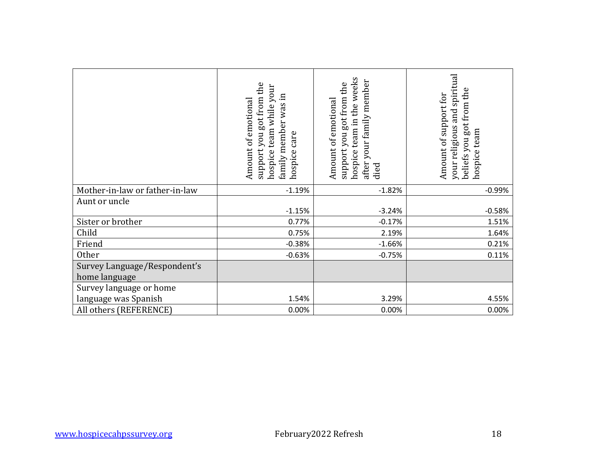|                                                 | support you got from the<br>hospice team while your<br>family member was in<br>Amount of emotional<br>hospice care | hospice team in the weeks<br>after your family member<br>support you got from the<br>Amount of emotional<br>died | your religious and spiritual<br>beliefs you got from the<br>Amount of support for<br>hospice team |
|-------------------------------------------------|--------------------------------------------------------------------------------------------------------------------|------------------------------------------------------------------------------------------------------------------|---------------------------------------------------------------------------------------------------|
| Mother-in-law or father-in-law                  | $-1.19%$                                                                                                           | $-1.82%$                                                                                                         | $-0.99%$                                                                                          |
| Aunt or uncle                                   | $-1.15%$                                                                                                           | $-3.24%$                                                                                                         | $-0.58%$                                                                                          |
| Sister or brother                               | 0.77%                                                                                                              | $-0.17%$                                                                                                         | 1.51%                                                                                             |
| Child                                           | 0.75%                                                                                                              | 2.19%                                                                                                            | 1.64%                                                                                             |
| Friend                                          | $-0.38%$                                                                                                           | $-1.66%$                                                                                                         | 0.21%                                                                                             |
| <b>Other</b>                                    | $-0.63%$                                                                                                           | $-0.75%$                                                                                                         | 0.11%                                                                                             |
| Survey Language/Respondent's<br>home language   |                                                                                                                    |                                                                                                                  |                                                                                                   |
| Survey language or home<br>language was Spanish | 1.54%                                                                                                              | 3.29%                                                                                                            | 4.55%                                                                                             |
| All others (REFERENCE)                          | 0.00%                                                                                                              | 0.00%                                                                                                            | 0.00%                                                                                             |
|                                                 |                                                                                                                    |                                                                                                                  |                                                                                                   |
| www.hospicecahpssurvey.org                      |                                                                                                                    | February2022 Refresh                                                                                             | 18                                                                                                |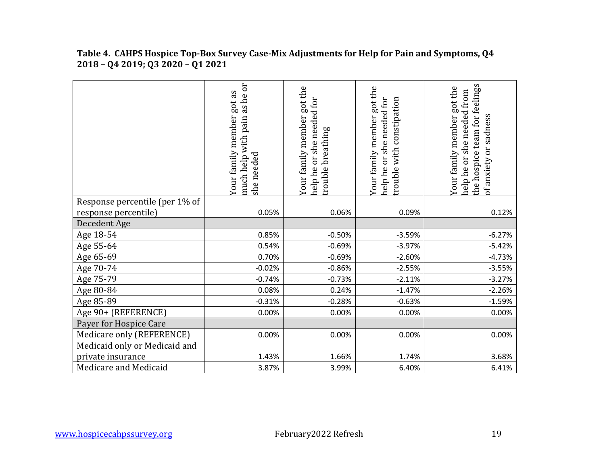|                                                        | much help with pain as he or<br>got as<br>Your family member<br>she needed | Your family member got the<br>she needed for<br>breathing<br>Or<br>rouble<br>help he | Your family member got the<br>help he or she needed for<br>with constipation<br>rouble | feelings<br>Your family member got the<br>help he or she needed from<br>of anxiety or sadness<br>the hospice team for |
|--------------------------------------------------------|----------------------------------------------------------------------------|--------------------------------------------------------------------------------------|----------------------------------------------------------------------------------------|-----------------------------------------------------------------------------------------------------------------------|
| Response percentile (per 1% of<br>response percentile) | 0.05%                                                                      | 0.06%                                                                                | 0.09%                                                                                  | 0.12%                                                                                                                 |
| Decedent Age                                           |                                                                            |                                                                                      |                                                                                        |                                                                                                                       |
| Age 18-54                                              | 0.85%                                                                      | $-0.50%$                                                                             | $-3.59%$                                                                               | $-6.27%$                                                                                                              |
| Age 55-64                                              | 0.54%                                                                      | $-0.69%$                                                                             | $-3.97%$                                                                               | $-5.42%$                                                                                                              |
| Age 65-69                                              | 0.70%                                                                      | $-0.69%$                                                                             | $-2.60%$                                                                               | $-4.73%$                                                                                                              |
| Age 70-74                                              | $-0.02%$                                                                   | $-0.86%$                                                                             | $-2.55%$                                                                               | $-3.55%$                                                                                                              |
| Age 75-79                                              | $-0.74%$                                                                   | $-0.73%$                                                                             | $-2.11%$                                                                               | $-3.27%$                                                                                                              |
| Age 80-84                                              | 0.08%                                                                      | 0.24%                                                                                | $-1.47%$                                                                               | $-2.26%$                                                                                                              |
| Age 85-89                                              | $-0.31%$                                                                   | $-0.28%$                                                                             | $-0.63%$                                                                               | $-1.59%$                                                                                                              |
| Age 90+ (REFERENCE)                                    | 0.00%                                                                      | 0.00%                                                                                | 0.00%                                                                                  | 0.00%                                                                                                                 |
| Payer for Hospice Care                                 |                                                                            |                                                                                      |                                                                                        |                                                                                                                       |
| Medicare only (REFERENCE)                              | 0.00%                                                                      | 0.00%                                                                                | 0.00%                                                                                  | 0.00%                                                                                                                 |
| Medicaid only or Medicaid and                          |                                                                            |                                                                                      |                                                                                        |                                                                                                                       |
| private insurance                                      | 1.43%                                                                      | 1.66%                                                                                | 1.74%                                                                                  | 3.68%                                                                                                                 |
| Medicare and Medicaid                                  | 3.87%                                                                      | 3.99%                                                                                | 6.40%                                                                                  | 6.41%                                                                                                                 |

**Table 4. CAHPS Hospice Top-Box Survey Case-Mix Adjustments for Help for Pain and Symptoms, Q4 2018 – Q4 2019; Q3 2020 – Q1 2021**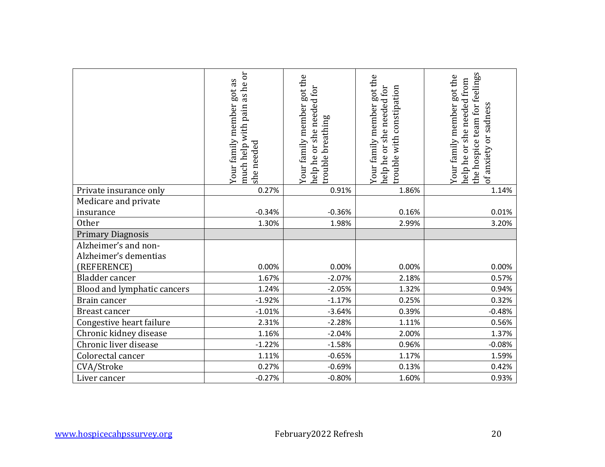|                                               | much help with pain as he or<br>Your family member got as<br>she needed | Your family member got the<br>help he or she needed for<br>trouble breathing | Your family member got the<br>help he or she needed for<br>rouble with constipation | the hospice team for feelings<br>Your family member got the<br>help he or she needed from<br>of anxiety or sadness |
|-----------------------------------------------|-------------------------------------------------------------------------|------------------------------------------------------------------------------|-------------------------------------------------------------------------------------|--------------------------------------------------------------------------------------------------------------------|
| Private insurance only                        | 0.27%                                                                   | 0.91%                                                                        | 1.86%                                                                               | 1.14%                                                                                                              |
| Medicare and private                          |                                                                         |                                                                              |                                                                                     |                                                                                                                    |
| insurance                                     | $-0.34%$                                                                | $-0.36%$                                                                     | 0.16%                                                                               | 0.01%                                                                                                              |
| <b>Other</b>                                  | 1.30%                                                                   | 1.98%                                                                        | 2.99%                                                                               | 3.20%                                                                                                              |
| <b>Primary Diagnosis</b>                      |                                                                         |                                                                              |                                                                                     |                                                                                                                    |
| Alzheimer's and non-<br>Alzheimer's dementias |                                                                         |                                                                              |                                                                                     |                                                                                                                    |
| (REFERENCE)                                   | 0.00%                                                                   | 0.00%                                                                        | 0.00%                                                                               | 0.00%                                                                                                              |
| Bladder cancer                                | 1.67%                                                                   | $-2.07%$                                                                     | 2.18%                                                                               | 0.57%                                                                                                              |
| Blood and lymphatic cancers                   | 1.24%                                                                   | $-2.05%$                                                                     | 1.32%                                                                               | 0.94%                                                                                                              |
| Brain cancer                                  | $-1.92%$                                                                | $-1.17%$                                                                     | 0.25%                                                                               | 0.32%                                                                                                              |
| Breast cancer                                 | $-1.01%$                                                                | $-3.64%$                                                                     | 0.39%                                                                               | $-0.48%$                                                                                                           |
| Congestive heart failure                      | 2.31%                                                                   | $-2.28%$                                                                     | 1.11%                                                                               | 0.56%                                                                                                              |
| Chronic kidney disease                        | 1.16%                                                                   | $-2.04%$                                                                     | 2.00%                                                                               | 1.37%                                                                                                              |
| Chronic liver disease                         | $-1.22%$                                                                | $-1.58%$                                                                     | 0.96%                                                                               | $-0.08%$                                                                                                           |
| Colorectal cancer                             | 1.11%                                                                   | $-0.65%$                                                                     | 1.17%                                                                               | 1.59%                                                                                                              |
| CVA/Stroke                                    | 0.27%                                                                   | $-0.69%$                                                                     | 0.13%                                                                               | 0.42%                                                                                                              |
| Liver cancer                                  | $-0.27%$                                                                | $-0.80%$                                                                     | 1.60%                                                                               | 0.93%                                                                                                              |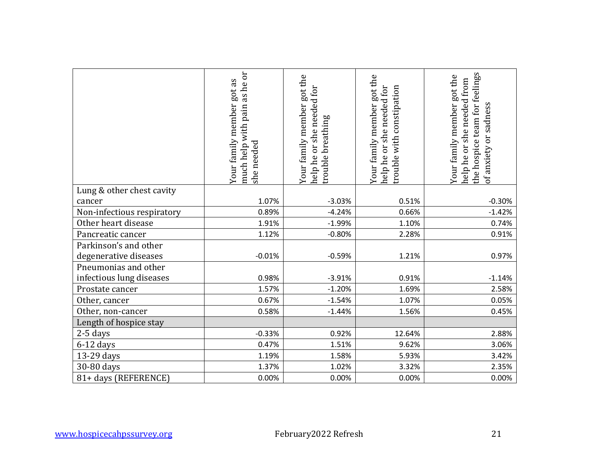| 1.07%<br>0.89%<br>1.91%<br>1.12% | $-3.03%$<br>$-4.24%$<br>$-1.99%$<br>$-0.80%$                   | 0.51%<br>0.66%<br>1.10%<br>2.28%                                        | $-0.30%$<br>$-1.42%$<br>0.74%                                |
|----------------------------------|----------------------------------------------------------------|-------------------------------------------------------------------------|--------------------------------------------------------------|
|                                  |                                                                |                                                                         |                                                              |
|                                  |                                                                |                                                                         |                                                              |
|                                  |                                                                |                                                                         |                                                              |
|                                  |                                                                |                                                                         |                                                              |
|                                  |                                                                |                                                                         | 0.91%                                                        |
|                                  |                                                                |                                                                         |                                                              |
| $-0.01%$                         | $-0.59%$                                                       | 1.21%                                                                   | 0.97%                                                        |
|                                  |                                                                |                                                                         |                                                              |
|                                  |                                                                |                                                                         | $-1.14%$                                                     |
|                                  |                                                                |                                                                         | 2.58%                                                        |
|                                  |                                                                |                                                                         | 0.05%                                                        |
|                                  |                                                                |                                                                         | 0.45%                                                        |
|                                  |                                                                |                                                                         |                                                              |
|                                  |                                                                |                                                                         | 2.88%                                                        |
|                                  |                                                                |                                                                         | 3.06%                                                        |
| 1.19%                            | 1.58%                                                          | 5.93%                                                                   | 3.42%                                                        |
|                                  |                                                                |                                                                         | 2.35%                                                        |
| 0.00%                            | 0.00%                                                          | 0.00%                                                                   | 0.00%                                                        |
|                                  | 0.98%<br>1.57%<br>0.67%<br>0.58%<br>$-0.33%$<br>0.47%<br>1.37% | $-3.91%$<br>$-1.20%$<br>$-1.54%$<br>$-1.44%$<br>0.92%<br>1.51%<br>1.02% | 0.91%<br>1.69%<br>1.07%<br>1.56%<br>12.64%<br>9.62%<br>3.32% |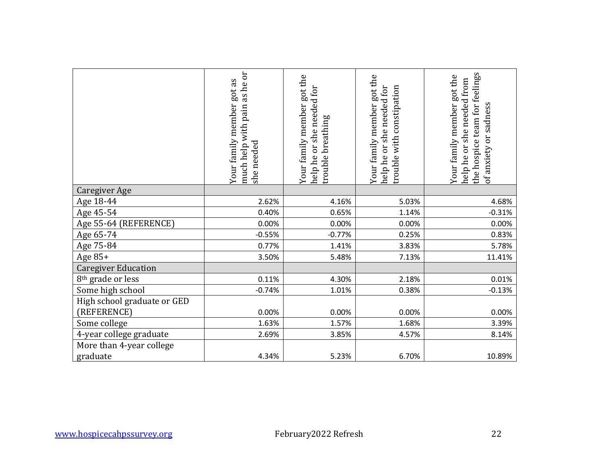|                                            | much help with pain as he or<br>Your family member got as<br>she needed | Your family member got the<br>help he or she needed for<br>trouble breathing | Your family member got the<br>trouble with constipation<br>help he or she needed for | the hospice team for feelings<br>Your family member got the<br>help he or she needed from<br>of anxiety or sadness |
|--------------------------------------------|-------------------------------------------------------------------------|------------------------------------------------------------------------------|--------------------------------------------------------------------------------------|--------------------------------------------------------------------------------------------------------------------|
| <b>Caregiver Age</b>                       |                                                                         |                                                                              |                                                                                      |                                                                                                                    |
| Age 18-44                                  | 2.62%                                                                   | 4.16%                                                                        | 5.03%                                                                                | 4.68%                                                                                                              |
| Age 45-54                                  | 0.40%                                                                   | 0.65%                                                                        | 1.14%                                                                                | $-0.31%$                                                                                                           |
| Age 55-64 (REFERENCE)                      | 0.00%                                                                   | 0.00%                                                                        | 0.00%                                                                                | 0.00%                                                                                                              |
| Age 65-74                                  | $-0.55%$                                                                | $-0.77%$                                                                     | 0.25%                                                                                | 0.83%                                                                                                              |
| Age 75-84                                  | 0.77%                                                                   | 1.41%                                                                        | 3.83%                                                                                | 5.78%                                                                                                              |
| Age 85+                                    | 3.50%                                                                   | 5.48%                                                                        | 7.13%                                                                                | 11.41%                                                                                                             |
| <b>Caregiver Education</b>                 |                                                                         |                                                                              |                                                                                      |                                                                                                                    |
| 8 <sup>th</sup> grade or less              | 0.11%                                                                   | 4.30%                                                                        | 2.18%                                                                                | 0.01%                                                                                                              |
| Some high school                           | $-0.74%$                                                                | 1.01%                                                                        | 0.38%                                                                                | $-0.13%$                                                                                                           |
| High school graduate or GED<br>(REFERENCE) | 0.00%                                                                   | 0.00%                                                                        | 0.00%                                                                                | 0.00%                                                                                                              |
| Some college                               | 1.63%                                                                   | 1.57%                                                                        | 1.68%                                                                                | 3.39%                                                                                                              |
| 4-year college graduate                    | 2.69%                                                                   | 3.85%                                                                        | 4.57%                                                                                | 8.14%                                                                                                              |
| More than 4-year college<br>graduate       | 4.34%                                                                   | 5.23%                                                                        | 6.70%                                                                                | 10.89%                                                                                                             |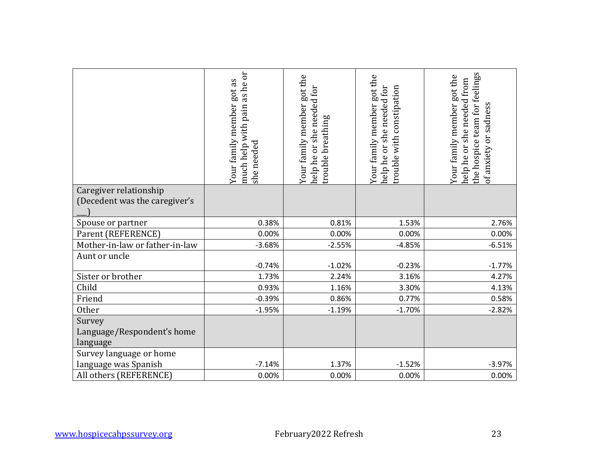|                                                         | much help with pain as he or<br>Your family member got as<br>she needed | Your family member got the<br>help he or she needed for<br>trouble breathing | Your family member got the<br>help he or she needed for<br>trouble with constipation | the hospice team for feelings<br>Your family member got the<br>help he or she needed from<br>of anxiety or sadness |
|---------------------------------------------------------|-------------------------------------------------------------------------|------------------------------------------------------------------------------|--------------------------------------------------------------------------------------|--------------------------------------------------------------------------------------------------------------------|
|                                                         |                                                                         |                                                                              |                                                                                      |                                                                                                                    |
| Caregiver relationship<br>(Decedent was the caregiver's |                                                                         |                                                                              |                                                                                      |                                                                                                                    |
| Spouse or partner                                       | 0.38%                                                                   | 0.81%                                                                        | 1.53%                                                                                | 2.76%                                                                                                              |
| Parent (REFERENCE)                                      | 0.00%                                                                   | 0.00%                                                                        | 0.00%                                                                                | 0.00%                                                                                                              |
| Mother-in-law or father-in-law                          | $-3.68%$                                                                | $-2.55%$                                                                     | $-4.85%$                                                                             | $-6.51%$                                                                                                           |
| Aunt or uncle                                           | $-0.74%$                                                                | $-1.02%$                                                                     | $-0.23%$                                                                             | $-1.77%$                                                                                                           |
| Sister or brother                                       | 1.73%                                                                   | 2.24%                                                                        | 3.16%                                                                                | 4.27%                                                                                                              |
| Child                                                   | 0.93%                                                                   | 1.16%                                                                        | 3.30%                                                                                | 4.13%                                                                                                              |
| Friend                                                  | $-0.39%$                                                                | 0.86%                                                                        | 0.77%                                                                                | 0.58%                                                                                                              |
| Other                                                   | $-1.95%$                                                                | $-1.19%$                                                                     | $-1.70%$                                                                             | $-2.82%$                                                                                                           |
| Survey<br>Language/Respondent's home<br>language        |                                                                         |                                                                              |                                                                                      |                                                                                                                    |
| Survey language or home                                 |                                                                         |                                                                              |                                                                                      |                                                                                                                    |
| language was Spanish                                    | $-7.14%$                                                                | 1.37%                                                                        | $-1.52%$                                                                             | $-3.97%$                                                                                                           |
| All others (REFERENCE)                                  | 0.00%                                                                   | 0.00%                                                                        | 0.00%                                                                                | 0.00%                                                                                                              |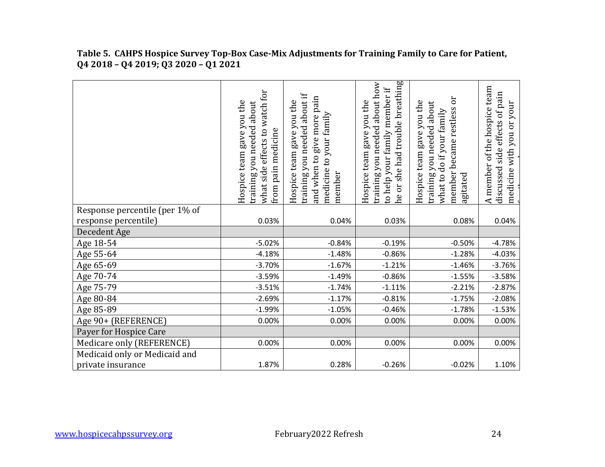|                                | effects to watch for<br>Hospice team gave you the<br>about<br>training you needed<br>pain medicine<br>what side<br>from | training you needed about if<br>pain<br>Hospice team gave you the<br>medicine to your family<br>and when to give more<br>member | he or she had trouble breathing<br>training you needed about how<br>to help your family member if<br>Hospice team gave you the | $\overline{\text{o}}$<br>Hospice team gave you the<br>training you needed about<br>member became restless<br>what to do if your family<br>agitated | of the hospice team<br>side effects of pain<br>your<br>medicine with you or<br>A member<br>discussed |
|--------------------------------|-------------------------------------------------------------------------------------------------------------------------|---------------------------------------------------------------------------------------------------------------------------------|--------------------------------------------------------------------------------------------------------------------------------|----------------------------------------------------------------------------------------------------------------------------------------------------|------------------------------------------------------------------------------------------------------|
| Response percentile (per 1% of |                                                                                                                         |                                                                                                                                 |                                                                                                                                |                                                                                                                                                    |                                                                                                      |
| response percentile)           | 0.03%                                                                                                                   | 0.04%                                                                                                                           | 0.03%                                                                                                                          | 0.08%                                                                                                                                              | 0.04%                                                                                                |
| Decedent Age                   |                                                                                                                         |                                                                                                                                 |                                                                                                                                |                                                                                                                                                    |                                                                                                      |
| Age 18-54                      | $-5.02%$                                                                                                                | $-0.84%$                                                                                                                        | $-0.19%$                                                                                                                       | $-0.50%$                                                                                                                                           | $-4.78%$                                                                                             |
| Age 55-64                      | $-4.18%$                                                                                                                | $-1.48%$                                                                                                                        | $-0.86%$                                                                                                                       | $-1.28%$                                                                                                                                           | $-4.03%$                                                                                             |
| Age 65-69                      | $-3.70%$                                                                                                                | $-1.67%$                                                                                                                        | $-1.21%$                                                                                                                       | $-1.46%$                                                                                                                                           | $-3.76%$                                                                                             |
| Age 70-74                      | $-3.59%$                                                                                                                | $-1.49%$                                                                                                                        | $-0.86%$                                                                                                                       | $-1.55%$                                                                                                                                           | $-3.58%$                                                                                             |
| Age 75-79                      | $-3.51%$                                                                                                                | $-1.74%$                                                                                                                        | $-1.11%$                                                                                                                       | $-2.21%$                                                                                                                                           | $-2.87%$                                                                                             |
| Age 80-84                      | $-2.69%$                                                                                                                | $-1.17%$                                                                                                                        | $-0.81%$                                                                                                                       | $-1.75%$                                                                                                                                           | $-2.08%$                                                                                             |
| Age 85-89                      | $-1.99%$                                                                                                                | $-1.05%$                                                                                                                        | $-0.46%$                                                                                                                       | $-1.78%$                                                                                                                                           | $-1.53%$                                                                                             |
| Age 90+ (REFERENCE)            | 0.00%                                                                                                                   | 0.00%                                                                                                                           | 0.00%                                                                                                                          | 0.00%                                                                                                                                              | 0.00%                                                                                                |
| Payer for Hospice Care         |                                                                                                                         |                                                                                                                                 |                                                                                                                                |                                                                                                                                                    |                                                                                                      |
| Medicare only (REFERENCE)      | 0.00%                                                                                                                   | 0.00%                                                                                                                           | 0.00%                                                                                                                          | 0.00%                                                                                                                                              | 0.00%                                                                                                |
| Medicaid only or Medicaid and  |                                                                                                                         |                                                                                                                                 |                                                                                                                                |                                                                                                                                                    |                                                                                                      |
| private insurance              | 1.87%                                                                                                                   | 0.28%                                                                                                                           | $-0.26%$                                                                                                                       | $-0.02%$                                                                                                                                           | 1.10%                                                                                                |

**Table 5. CAHPS Hospice Survey Top-Box Case-Mix Adjustments for Training Family to Care for Patient, Q4 2018 – Q4 2019; Q3 2020 – Q1 2021**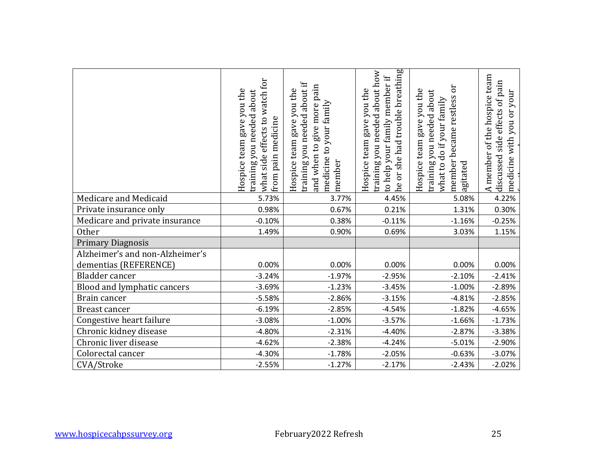|                                                          | what side effects to watch for<br>Hospice team gave you the<br>training you needed about<br>from pain medicine | training you needed about if<br>and when to give more pain<br>Hospice team gave you the<br>medicine to your family<br>member | he or she had trouble breathing<br>training you needed about how<br>to help your family member if<br>Hospice team gave you the | member became restless or<br>Hospice team gave you the<br>training you needed about<br>what to do if your family<br>agitated | A member of the hospice team<br>discussed side effects of pain<br>you or your<br>medicine with |
|----------------------------------------------------------|----------------------------------------------------------------------------------------------------------------|------------------------------------------------------------------------------------------------------------------------------|--------------------------------------------------------------------------------------------------------------------------------|------------------------------------------------------------------------------------------------------------------------------|------------------------------------------------------------------------------------------------|
| Medicare and Medicaid                                    | 5.73%                                                                                                          | 3.77%                                                                                                                        | 4.45%                                                                                                                          | 5.08%                                                                                                                        | 4.22%                                                                                          |
| Private insurance only                                   | 0.98%                                                                                                          | 0.67%                                                                                                                        | 0.21%                                                                                                                          | 1.31%                                                                                                                        | 0.30%                                                                                          |
| Medicare and private insurance                           | $-0.10%$                                                                                                       | 0.38%                                                                                                                        | $-0.11%$                                                                                                                       | $-1.16%$                                                                                                                     | $-0.25%$                                                                                       |
| <b>Other</b>                                             | 1.49%                                                                                                          | 0.90%                                                                                                                        | 0.69%                                                                                                                          | 3.03%                                                                                                                        | 1.15%                                                                                          |
| <b>Primary Diagnosis</b>                                 |                                                                                                                |                                                                                                                              |                                                                                                                                |                                                                                                                              |                                                                                                |
| Alzheimer's and non-Alzheimer's<br>dementias (REFERENCE) | 0.00%                                                                                                          | 0.00%                                                                                                                        | 0.00%                                                                                                                          | 0.00%                                                                                                                        | 0.00%                                                                                          |
| Bladder cancer                                           | $-3.24%$                                                                                                       | $-1.97%$                                                                                                                     | $-2.95%$                                                                                                                       | $-2.10%$                                                                                                                     | $-2.41%$                                                                                       |
| Blood and lymphatic cancers                              | $-3.69%$                                                                                                       | $-1.23%$                                                                                                                     | $-3.45%$                                                                                                                       | $-1.00%$                                                                                                                     | $-2.89%$                                                                                       |
| Brain cancer                                             | $-5.58%$                                                                                                       | $-2.86%$                                                                                                                     | $-3.15%$                                                                                                                       | $-4.81%$                                                                                                                     | $-2.85%$                                                                                       |
| Breast cancer                                            | $-6.19%$                                                                                                       | $-2.85%$                                                                                                                     | $-4.54%$                                                                                                                       | $-1.82%$                                                                                                                     | $-4.65%$                                                                                       |
| Congestive heart failure                                 | $-3.08%$                                                                                                       | $-1.00%$                                                                                                                     | $-3.57%$                                                                                                                       | $-1.66%$                                                                                                                     | $-1.73%$                                                                                       |
| Chronic kidney disease                                   | $-4.80%$                                                                                                       | $-2.31%$                                                                                                                     | $-4.40%$                                                                                                                       | $-2.87%$                                                                                                                     | $-3.38%$                                                                                       |
| Chronic liver disease                                    | $-4.62%$                                                                                                       | $-2.38%$                                                                                                                     | $-4.24%$                                                                                                                       | $-5.01%$                                                                                                                     | $-2.90%$                                                                                       |
| Colorectal cancer                                        | $-4.30%$                                                                                                       | $-1.78%$                                                                                                                     | $-2.05%$                                                                                                                       | $-0.63%$                                                                                                                     | $-3.07%$                                                                                       |
| CVA/Stroke                                               | $-2.55%$                                                                                                       | $-1.27%$                                                                                                                     | $-2.17%$                                                                                                                       | $-2.43%$                                                                                                                     | $-2.02%$                                                                                       |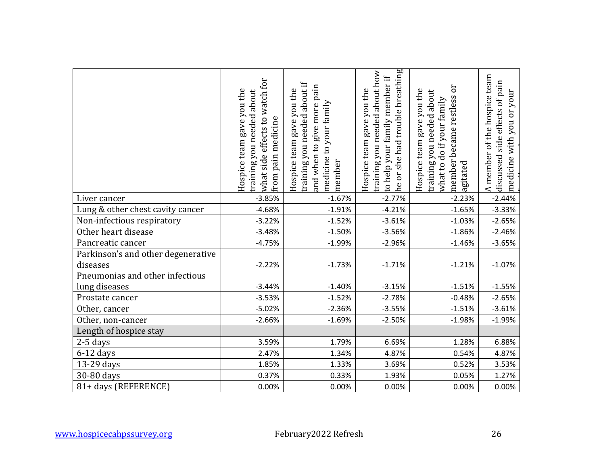|                                                  | what side effects to watch for<br>Hospice team gave you the<br>training you needed about<br>from pain medicine | training you needed about if<br>and when to give more pain<br>Hospice team gave you the<br>medicine to your family<br>member | he or she had trouble breathing<br>training you needed about how<br>to help your family member if<br>Hospice team gave you the | member became restless or<br>Hospice team gave you the<br>training you needed about<br>what to do if your family<br>agitated | A member of the hospice team<br>discussed side effects of pain<br>you or your<br>medicine with |
|--------------------------------------------------|----------------------------------------------------------------------------------------------------------------|------------------------------------------------------------------------------------------------------------------------------|--------------------------------------------------------------------------------------------------------------------------------|------------------------------------------------------------------------------------------------------------------------------|------------------------------------------------------------------------------------------------|
| Liver cancer                                     | $-3.85%$                                                                                                       | $-1.67%$                                                                                                                     | $-2.77%$                                                                                                                       | $-2.23%$                                                                                                                     | $-2.44%$                                                                                       |
| Lung & other chest cavity cancer                 | $-4.68%$                                                                                                       | $-1.91%$                                                                                                                     | $-4.21%$                                                                                                                       | $-1.65%$                                                                                                                     | $-3.33%$                                                                                       |
| Non-infectious respiratory                       | $-3.22%$                                                                                                       | $-1.52%$                                                                                                                     | $-3.61%$                                                                                                                       | $-1.03%$                                                                                                                     | $-2.65%$                                                                                       |
| Other heart disease                              | $-3.48%$                                                                                                       | $-1.50%$                                                                                                                     | $-3.56%$                                                                                                                       | $-1.86%$                                                                                                                     | $-2.46%$                                                                                       |
| Pancreatic cancer                                | $-4.75%$                                                                                                       | $-1.99%$                                                                                                                     | $-2.96%$                                                                                                                       | $-1.46%$                                                                                                                     | $-3.65%$                                                                                       |
| Parkinson's and other degenerative<br>diseases   | $-2.22%$                                                                                                       | $-1.73%$                                                                                                                     | $-1.71%$                                                                                                                       | $-1.21%$                                                                                                                     | $-1.07%$                                                                                       |
| Pneumonias and other infectious<br>lung diseases | $-3.44%$                                                                                                       | $-1.40%$                                                                                                                     | $-3.15%$                                                                                                                       | $-1.51%$                                                                                                                     | $-1.55%$                                                                                       |
| Prostate cancer                                  | $-3.53%$                                                                                                       | $-1.52%$                                                                                                                     | $-2.78%$                                                                                                                       | $-0.48%$                                                                                                                     | $-2.65%$                                                                                       |
| Other, cancer                                    | $-5.02%$                                                                                                       | $-2.36%$                                                                                                                     | $-3.55%$                                                                                                                       | $-1.51%$                                                                                                                     | $-3.61%$                                                                                       |
| Other, non-cancer                                | $-2.66%$                                                                                                       | $-1.69%$                                                                                                                     | $-2.50%$                                                                                                                       | $-1.98%$                                                                                                                     | $-1.99%$                                                                                       |
| Length of hospice stay                           |                                                                                                                |                                                                                                                              |                                                                                                                                |                                                                                                                              |                                                                                                |
| 2-5 days                                         | 3.59%                                                                                                          | 1.79%                                                                                                                        | 6.69%                                                                                                                          | 1.28%                                                                                                                        | 6.88%                                                                                          |
| $6-12$ days                                      | 2.47%                                                                                                          | 1.34%                                                                                                                        | 4.87%                                                                                                                          | 0.54%                                                                                                                        | 4.87%                                                                                          |
| 13-29 days                                       | 1.85%                                                                                                          | 1.33%                                                                                                                        | 3.69%                                                                                                                          | 0.52%                                                                                                                        | 3.53%                                                                                          |
| 30-80 days                                       | 0.37%                                                                                                          | 0.33%                                                                                                                        | 1.93%                                                                                                                          | 0.05%                                                                                                                        | 1.27%                                                                                          |
| 81+ days (REFERENCE)                             | 0.00%                                                                                                          | 0.00%                                                                                                                        | 0.00%                                                                                                                          | 0.00%                                                                                                                        | 0.00%                                                                                          |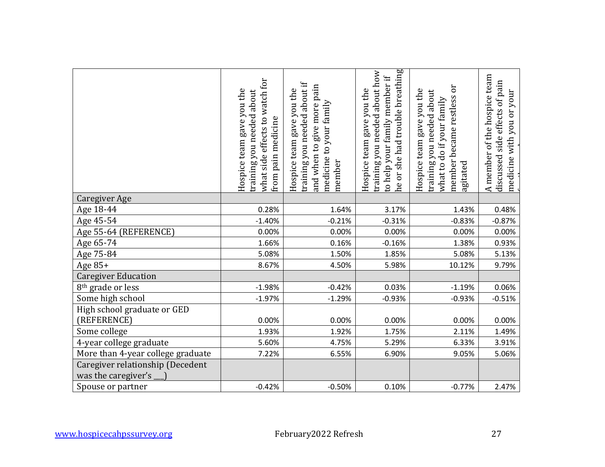|                                                         | what side effects to watch for<br>Hospice team gave you the<br>training you needed about<br>from pain medicine | training you needed about if<br>and when to give more pain<br>Hospice team gave you the<br>medicine to your family<br>member | he or she had trouble breathing<br>training you needed about how<br>to help your family member if<br>Hospice team gave you the | member became restless or<br>Hospice team gave you the<br>training you needed about<br>what to do if your family<br>agitated | A member of the hospice team<br>discussed side effects of pain<br>you or your<br>medicine with |
|---------------------------------------------------------|----------------------------------------------------------------------------------------------------------------|------------------------------------------------------------------------------------------------------------------------------|--------------------------------------------------------------------------------------------------------------------------------|------------------------------------------------------------------------------------------------------------------------------|------------------------------------------------------------------------------------------------|
| Caregiver Age                                           |                                                                                                                |                                                                                                                              |                                                                                                                                |                                                                                                                              |                                                                                                |
| Age 18-44                                               | 0.28%                                                                                                          | 1.64%                                                                                                                        | 3.17%                                                                                                                          | 1.43%                                                                                                                        | 0.48%                                                                                          |
| Age 45-54                                               | $-1.40%$                                                                                                       | $-0.21%$                                                                                                                     | $-0.31%$                                                                                                                       | $-0.83%$                                                                                                                     | $-0.87%$                                                                                       |
| Age 55-64 (REFERENCE)                                   | 0.00%                                                                                                          | 0.00%                                                                                                                        | 0.00%                                                                                                                          | 0.00%                                                                                                                        | 0.00%                                                                                          |
| Age 65-74                                               | 1.66%                                                                                                          | 0.16%                                                                                                                        | $-0.16%$                                                                                                                       | 1.38%                                                                                                                        | 0.93%                                                                                          |
| Age 75-84                                               | 5.08%                                                                                                          | 1.50%                                                                                                                        | 1.85%                                                                                                                          | 5.08%                                                                                                                        | 5.13%                                                                                          |
| Age 85+                                                 | 8.67%                                                                                                          | 4.50%                                                                                                                        | 5.98%                                                                                                                          | 10.12%                                                                                                                       | 9.79%                                                                                          |
| <b>Caregiver Education</b>                              |                                                                                                                |                                                                                                                              |                                                                                                                                |                                                                                                                              |                                                                                                |
| 8 <sup>th</sup> grade or less                           | $-1.98%$                                                                                                       | $-0.42%$                                                                                                                     | 0.03%                                                                                                                          | $-1.19%$                                                                                                                     | 0.06%                                                                                          |
| Some high school                                        | $-1.97%$                                                                                                       | $-1.29%$                                                                                                                     | $-0.93%$                                                                                                                       | $-0.93%$                                                                                                                     | $-0.51%$                                                                                       |
| High school graduate or GED<br>(REFERENCE)              | 0.00%                                                                                                          | 0.00%                                                                                                                        | 0.00%                                                                                                                          | 0.00%                                                                                                                        | 0.00%                                                                                          |
| Some college                                            | 1.93%                                                                                                          | 1.92%                                                                                                                        | 1.75%                                                                                                                          | 2.11%                                                                                                                        | 1.49%                                                                                          |
| 4-year college graduate                                 | 5.60%                                                                                                          | 4.75%                                                                                                                        | 5.29%                                                                                                                          | 6.33%                                                                                                                        | 3.91%                                                                                          |
| More than 4-year college graduate                       | 7.22%                                                                                                          | 6.55%                                                                                                                        | 6.90%                                                                                                                          | 9.05%                                                                                                                        | 5.06%                                                                                          |
| Caregiver relationship (Decedent<br>was the caregiver's |                                                                                                                |                                                                                                                              |                                                                                                                                |                                                                                                                              |                                                                                                |
| Spouse or partner                                       | $-0.42%$                                                                                                       | $-0.50%$                                                                                                                     | 0.10%                                                                                                                          | $-0.77%$                                                                                                                     | 2.47%                                                                                          |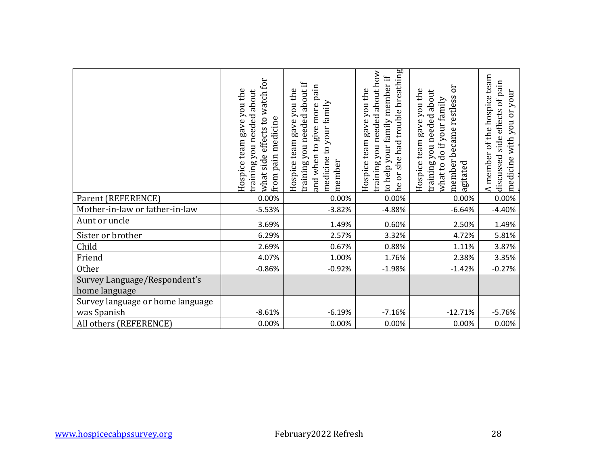| Parent (REFERENCE)<br>Mother-in-law or father-in-law | what side effects to watch for<br>Hospice team gave you the<br>training you needed about<br>from pain medicine<br>0.00%<br>$-5.53%$ | training you needed about if<br>and when to give more pain<br>Hospice team gave you the<br>medicine to your family<br>member<br>0.00%<br>$-3.82%$ | he or she had trouble breathing<br>training you needed about how<br>to help your family member if<br>Hospice team gave you the<br>0.00%<br>$-4.88%$ | member became restless or<br>Hospice team gave you the<br>training you needed about<br>what to do if your family<br>agitated<br>0.00%<br>$-6.64%$ | A member of the hospice team<br>discussed side effects of pain<br>medicine with you or your<br>0.00%<br>$-4.40%$ |
|------------------------------------------------------|-------------------------------------------------------------------------------------------------------------------------------------|---------------------------------------------------------------------------------------------------------------------------------------------------|-----------------------------------------------------------------------------------------------------------------------------------------------------|---------------------------------------------------------------------------------------------------------------------------------------------------|------------------------------------------------------------------------------------------------------------------|
| Aunt or uncle                                        | 3.69%                                                                                                                               | 1.49%                                                                                                                                             | 0.60%                                                                                                                                               | 2.50%                                                                                                                                             | 1.49%                                                                                                            |
| Sister or brother                                    | 6.29%                                                                                                                               | 2.57%                                                                                                                                             | 3.32%                                                                                                                                               | 4.72%                                                                                                                                             | 5.81%                                                                                                            |
| Child                                                | 2.69%                                                                                                                               | 0.67%                                                                                                                                             | 0.88%                                                                                                                                               | 1.11%                                                                                                                                             | 3.87%                                                                                                            |
| Friend                                               | 4.07%                                                                                                                               | 1.00%                                                                                                                                             | 1.76%                                                                                                                                               | 2.38%                                                                                                                                             | 3.35%                                                                                                            |
| <b>Other</b>                                         | $-0.86%$                                                                                                                            | $-0.92%$                                                                                                                                          | $-1.98%$                                                                                                                                            | $-1.42%$                                                                                                                                          | $-0.27%$                                                                                                         |
| Survey Language/Respondent's<br>home language        |                                                                                                                                     |                                                                                                                                                   |                                                                                                                                                     |                                                                                                                                                   |                                                                                                                  |
| Survey language or home language<br>was Spanish      | $-8.61%$                                                                                                                            | $-6.19%$                                                                                                                                          | $-7.16%$                                                                                                                                            | $-12.71%$                                                                                                                                         | $-5.76%$                                                                                                         |
| All others (REFERENCE)                               | 0.00%                                                                                                                               | 0.00%                                                                                                                                             | 0.00%                                                                                                                                               | 0.00%                                                                                                                                             | 0.00%                                                                                                            |
|                                                      |                                                                                                                                     |                                                                                                                                                   |                                                                                                                                                     |                                                                                                                                                   |                                                                                                                  |
| www.hospicecahpssurvey.org                           |                                                                                                                                     | February2022 Refresh                                                                                                                              |                                                                                                                                                     |                                                                                                                                                   | 28                                                                                                               |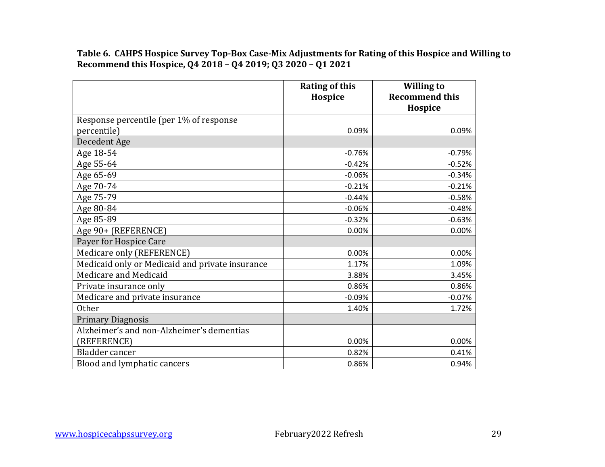**Table 6. CAHPS Hospice Survey Top-Box Case-Mix Adjustments for Rating of this Hospice and Willing to Recommend this Hospice, Q4 2018 – Q4 2019; Q3 2020 – Q1 2021**

|                                                 | <b>Rating of this</b><br>Hospice | <b>Willing to</b><br><b>Recommend this</b> |
|-------------------------------------------------|----------------------------------|--------------------------------------------|
|                                                 |                                  | Hospice                                    |
| Response percentile (per 1% of response         |                                  |                                            |
| percentile)                                     | 0.09%                            | 0.09%                                      |
| Decedent Age                                    |                                  |                                            |
| Age 18-54                                       | $-0.76%$                         | $-0.79%$                                   |
| Age 55-64                                       | $-0.42%$                         | $-0.52%$                                   |
| Age 65-69                                       | $-0.06%$                         | $-0.34%$                                   |
| Age 70-74                                       | $-0.21%$                         | $-0.21%$                                   |
| Age 75-79                                       | $-0.44%$                         | $-0.58%$                                   |
| Age 80-84                                       | $-0.06%$                         | $-0.48%$                                   |
| Age 85-89                                       | $-0.32%$                         | $-0.63%$                                   |
| Age 90+ (REFERENCE)                             | 0.00%                            | 0.00%                                      |
| Payer for Hospice Care                          |                                  |                                            |
| Medicare only (REFERENCE)                       | 0.00%                            | 0.00%                                      |
| Medicaid only or Medicaid and private insurance | 1.17%                            | 1.09%                                      |
| Medicare and Medicaid                           | 3.88%                            | 3.45%                                      |
| Private insurance only                          | 0.86%                            | 0.86%                                      |
| Medicare and private insurance                  | $-0.09%$                         | $-0.07%$                                   |
| Other                                           | 1.40%                            | 1.72%                                      |
| <b>Primary Diagnosis</b>                        |                                  |                                            |
| Alzheimer's and non-Alzheimer's dementias       |                                  |                                            |
| (REFERENCE)                                     | 0.00%                            | 0.00%                                      |
| Bladder cancer                                  | 0.82%                            | 0.41%                                      |
| Blood and lymphatic cancers                     | 0.86%                            | 0.94%                                      |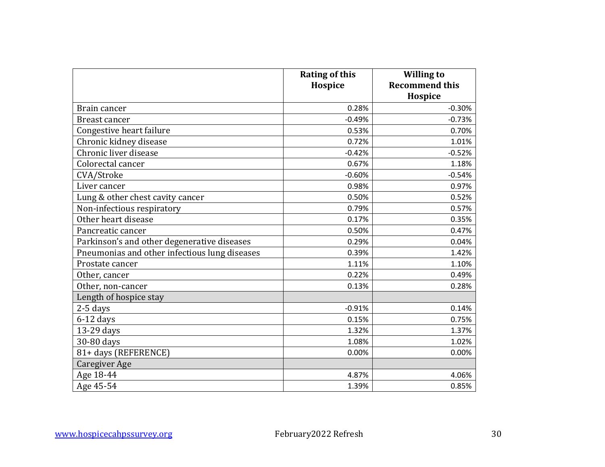|                                               | <b>Rating of this</b><br>Hospice | <b>Willing to</b><br><b>Recommend this</b><br>Hospice |
|-----------------------------------------------|----------------------------------|-------------------------------------------------------|
| Brain cancer                                  | 0.28%                            | $-0.30%$                                              |
| Breast cancer                                 | $-0.49%$                         | $-0.73%$                                              |
| Congestive heart failure                      | 0.53%                            | 0.70%                                                 |
| Chronic kidney disease                        | 0.72%                            | 1.01%                                                 |
| Chronic liver disease                         | $-0.42%$                         | $-0.52%$                                              |
| Colorectal cancer                             | 0.67%                            | 1.18%                                                 |
| CVA/Stroke                                    | $-0.60%$                         | $-0.54%$                                              |
| Liver cancer                                  | 0.98%                            | 0.97%                                                 |
| Lung & other chest cavity cancer              | 0.50%                            | 0.52%                                                 |
| Non-infectious respiratory                    | 0.79%                            | 0.57%                                                 |
| Other heart disease                           | 0.17%                            | 0.35%                                                 |
| Pancreatic cancer                             | 0.50%                            | 0.47%                                                 |
| Parkinson's and other degenerative diseases   | 0.29%                            | 0.04%                                                 |
| Pneumonias and other infectious lung diseases | 0.39%                            | 1.42%                                                 |
| Prostate cancer                               | 1.11%                            | 1.10%                                                 |
| Other, cancer                                 | 0.22%                            | 0.49%                                                 |
| Other, non-cancer                             | 0.13%                            | 0.28%                                                 |
| Length of hospice stay                        |                                  |                                                       |
| $2-5$ days                                    | $-0.91%$                         | 0.14%                                                 |
| $6-12$ days                                   | 0.15%                            | 0.75%                                                 |
| 13-29 days                                    | 1.32%                            | 1.37%                                                 |
| 30-80 days                                    | 1.08%                            | 1.02%                                                 |
| 81+ days (REFERENCE)                          | 0.00%                            | 0.00%                                                 |
| Caregiver Age                                 |                                  |                                                       |
| Age 18-44                                     | 4.87%                            | 4.06%                                                 |
| Age 45-54                                     | 1.39%                            | 0.85%                                                 |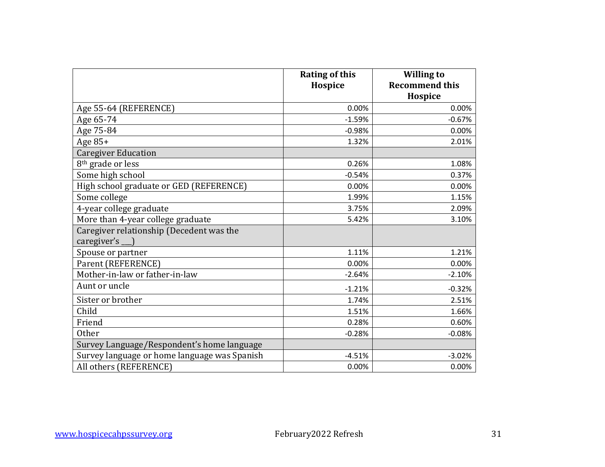|                                                         | <b>Rating of this</b><br>Hospice | <b>Willing to</b><br><b>Recommend this</b><br>Hospice |
|---------------------------------------------------------|----------------------------------|-------------------------------------------------------|
| Age 55-64 (REFERENCE)                                   | 0.00%                            | 0.00%                                                 |
| Age 65-74                                               | $-1.59%$                         | $-0.67%$                                              |
| Age 75-84                                               | $-0.98%$                         | 0.00%                                                 |
| Age $85+$                                               | 1.32%                            | 2.01%                                                 |
| <b>Caregiver Education</b>                              |                                  |                                                       |
| 8 <sup>th</sup> grade or less                           | 0.26%                            | 1.08%                                                 |
| Some high school                                        | $-0.54%$                         | 0.37%                                                 |
| High school graduate or GED (REFERENCE)                 | 0.00%                            | 0.00%                                                 |
| Some college                                            | 1.99%                            | 1.15%                                                 |
| 4-year college graduate                                 | 3.75%                            | 2.09%                                                 |
| More than 4-year college graduate                       | 5.42%                            | 3.10%                                                 |
| Caregiver relationship (Decedent was the<br>caregiver's |                                  |                                                       |
| Spouse or partner                                       | 1.11%                            | 1.21%                                                 |
| Parent (REFERENCE)                                      | 0.00%                            | 0.00%                                                 |
| Mother-in-law or father-in-law                          | $-2.64%$                         | $-2.10%$                                              |
| Aunt or uncle                                           | $-1.21%$                         | $-0.32%$                                              |
| Sister or brother                                       | 1.74%                            | 2.51%                                                 |
| Child                                                   | 1.51%                            | 1.66%                                                 |
| Friend                                                  | 0.28%                            | 0.60%                                                 |
| <b>Other</b>                                            | $-0.28%$                         | $-0.08%$                                              |
| Survey Language/Respondent's home language              |                                  |                                                       |
| Survey language or home language was Spanish            | $-4.51%$                         | $-3.02%$                                              |
| All others (REFERENCE)                                  | 0.00%                            | 0.00%                                                 |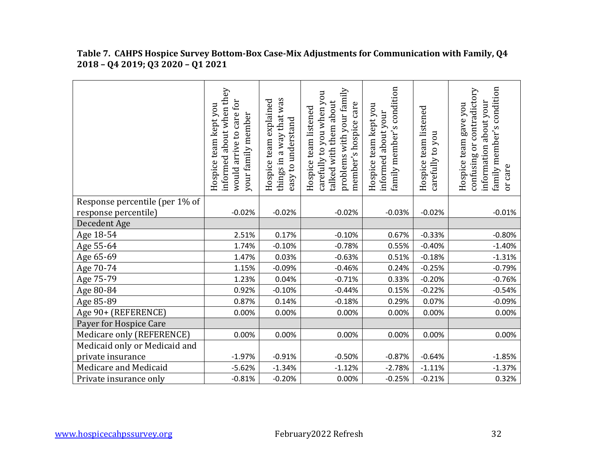|                                | informed about when they<br>would arrive to care for<br>Hospice team kept you<br>your family member | things in a way that was<br>team explained<br>easy to understand<br>Hospice | problems with your family<br>carefully to you when you<br>talked with them about<br>member's hospice care<br>Hospice team listened | family member's condition<br>Hospice team kept you<br>about your<br>informed | Hospice team listened<br>carefully to you | family member's condition<br>confusing or contradictory<br>about your<br>Hospice team gave you<br>information<br>or care |
|--------------------------------|-----------------------------------------------------------------------------------------------------|-----------------------------------------------------------------------------|------------------------------------------------------------------------------------------------------------------------------------|------------------------------------------------------------------------------|-------------------------------------------|--------------------------------------------------------------------------------------------------------------------------|
| Response percentile (per 1% of |                                                                                                     |                                                                             |                                                                                                                                    |                                                                              |                                           |                                                                                                                          |
| response percentile)           | $-0.02%$                                                                                            | $-0.02%$                                                                    | $-0.02%$                                                                                                                           | $-0.03%$                                                                     | $-0.02%$                                  | $-0.01%$                                                                                                                 |
| Decedent Age                   |                                                                                                     |                                                                             |                                                                                                                                    |                                                                              |                                           |                                                                                                                          |
| Age 18-54                      | 2.51%                                                                                               | 0.17%                                                                       | $-0.10%$                                                                                                                           | 0.67%                                                                        | $-0.33%$                                  | $-0.80%$                                                                                                                 |
| Age 55-64                      | 1.74%                                                                                               | $-0.10%$                                                                    | $-0.78%$                                                                                                                           | 0.55%                                                                        | $-0.40%$                                  | $-1.40%$                                                                                                                 |
| Age 65-69                      | 1.47%                                                                                               | 0.03%                                                                       | $-0.63%$                                                                                                                           | 0.51%                                                                        | $-0.18%$                                  | $-1.31%$                                                                                                                 |
| Age 70-74                      | 1.15%                                                                                               | $-0.09%$                                                                    | $-0.46%$                                                                                                                           | 0.24%                                                                        | $-0.25%$                                  | $-0.79%$                                                                                                                 |
| Age 75-79                      | 1.23%                                                                                               | 0.04%                                                                       | $-0.71%$                                                                                                                           | 0.33%                                                                        | $-0.20%$                                  | $-0.76%$                                                                                                                 |
| Age 80-84                      | 0.92%                                                                                               | $-0.10%$                                                                    | $-0.44%$                                                                                                                           | 0.15%                                                                        | $-0.22%$                                  | $-0.54%$                                                                                                                 |
| Age 85-89                      | 0.87%                                                                                               | 0.14%                                                                       | $-0.18%$                                                                                                                           | 0.29%                                                                        | 0.07%                                     | $-0.09%$                                                                                                                 |
| Age 90+ (REFERENCE)            | 0.00%                                                                                               | 0.00%                                                                       | 0.00%                                                                                                                              | 0.00%                                                                        | 0.00%                                     | 0.00%                                                                                                                    |
| Payer for Hospice Care         |                                                                                                     |                                                                             |                                                                                                                                    |                                                                              |                                           |                                                                                                                          |
| Medicare only (REFERENCE)      | 0.00%                                                                                               | 0.00%                                                                       | 0.00%                                                                                                                              | 0.00%                                                                        | 0.00%                                     | 0.00%                                                                                                                    |
| Medicaid only or Medicaid and  |                                                                                                     |                                                                             |                                                                                                                                    |                                                                              |                                           |                                                                                                                          |
| private insurance              | $-1.97%$                                                                                            | $-0.91%$                                                                    | $-0.50%$                                                                                                                           | $-0.87%$                                                                     | $-0.64%$                                  | $-1.85%$                                                                                                                 |
| Medicare and Medicaid          | $-5.62%$                                                                                            | $-1.34%$                                                                    | $-1.12%$                                                                                                                           | $-2.78%$                                                                     | $-1.11%$                                  | $-1.37%$                                                                                                                 |
| Private insurance only         | $-0.81%$                                                                                            | $-0.20%$                                                                    | 0.00%                                                                                                                              | $-0.25%$                                                                     | $-0.21%$                                  | 0.32%                                                                                                                    |

#### **Table 7. CAHPS Hospice Survey Bottom-Box Case-Mix Adjustments for Communication with Family, Q4 2018 – Q4 2019; Q3 2020 – Q1 2021**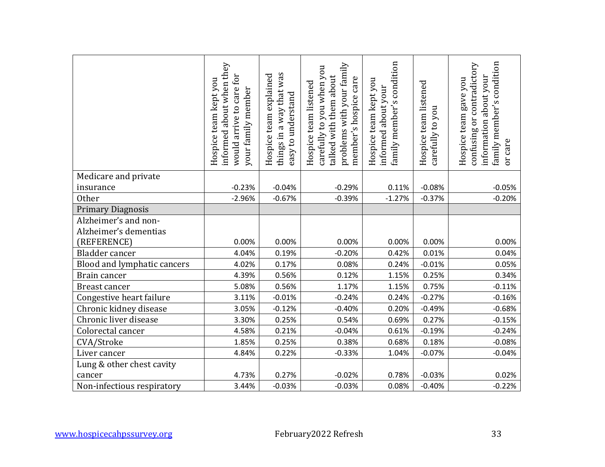|                                               | informed about when they<br>would arrive to care for<br>Hospice team kept you<br>your family member | things in a way that was<br>Hospice team explained<br>easy to understand | problems with your family<br>carefully to you when you<br>talked with them about<br>member's hospice care<br>Hospice team listened | family member's condition<br>Hospice team kept you<br>informed about your | Hospice team listened<br>carefully to you | family member's condition<br>confusing or contradictory<br>information about your<br>Hospice team gave you<br>or care |
|-----------------------------------------------|-----------------------------------------------------------------------------------------------------|--------------------------------------------------------------------------|------------------------------------------------------------------------------------------------------------------------------------|---------------------------------------------------------------------------|-------------------------------------------|-----------------------------------------------------------------------------------------------------------------------|
| Medicare and private                          |                                                                                                     |                                                                          |                                                                                                                                    |                                                                           |                                           |                                                                                                                       |
| insurance                                     | $-0.23%$                                                                                            | $-0.04%$                                                                 | $-0.29%$                                                                                                                           | 0.11%                                                                     | $-0.08%$                                  | $-0.05%$                                                                                                              |
| Other                                         | $-2.96%$                                                                                            | $-0.67%$                                                                 | $-0.39%$                                                                                                                           | $-1.27%$                                                                  | $-0.37%$                                  | $-0.20%$                                                                                                              |
| <b>Primary Diagnosis</b>                      |                                                                                                     |                                                                          |                                                                                                                                    |                                                                           |                                           |                                                                                                                       |
| Alzheimer's and non-<br>Alzheimer's dementias |                                                                                                     |                                                                          |                                                                                                                                    |                                                                           |                                           |                                                                                                                       |
| (REFERENCE)                                   | 0.00%                                                                                               | 0.00%                                                                    | 0.00%                                                                                                                              | 0.00%                                                                     | 0.00%                                     | 0.00%                                                                                                                 |
| Bladder cancer                                | 4.04%                                                                                               | 0.19%                                                                    | $-0.20%$                                                                                                                           | 0.42%                                                                     | 0.01%                                     | 0.04%                                                                                                                 |
| Blood and lymphatic cancers                   | 4.02%                                                                                               | 0.17%                                                                    | 0.08%                                                                                                                              | 0.24%                                                                     | $-0.01%$                                  | 0.05%                                                                                                                 |
| Brain cancer                                  | 4.39%                                                                                               | 0.56%                                                                    | 0.12%                                                                                                                              | 1.15%                                                                     | 0.25%                                     | 0.34%                                                                                                                 |
| Breast cancer                                 | 5.08%                                                                                               | 0.56%                                                                    | 1.17%                                                                                                                              | 1.15%                                                                     | 0.75%                                     | $-0.11%$                                                                                                              |
| Congestive heart failure                      | 3.11%                                                                                               | $-0.01%$                                                                 | $-0.24%$                                                                                                                           | 0.24%                                                                     | $-0.27%$                                  | $-0.16%$                                                                                                              |
| Chronic kidney disease                        | 3.05%                                                                                               | $-0.12%$                                                                 | $-0.40%$                                                                                                                           | 0.20%                                                                     | $-0.49%$                                  | $-0.68%$                                                                                                              |
| Chronic liver disease                         | 3.30%                                                                                               | 0.25%                                                                    | 0.54%                                                                                                                              | 0.69%                                                                     | 0.27%                                     | $-0.15%$                                                                                                              |
| Colorectal cancer                             | 4.58%                                                                                               | 0.21%                                                                    | $-0.04%$                                                                                                                           | 0.61%                                                                     | $-0.19%$                                  | $-0.24%$                                                                                                              |
| CVA/Stroke                                    | 1.85%                                                                                               | 0.25%                                                                    | 0.38%                                                                                                                              | 0.68%                                                                     | 0.18%                                     | $-0.08%$                                                                                                              |
| Liver cancer                                  | 4.84%                                                                                               | 0.22%                                                                    | $-0.33%$                                                                                                                           | 1.04%                                                                     | $-0.07%$                                  | $-0.04%$                                                                                                              |
| Lung & other chest cavity                     |                                                                                                     |                                                                          |                                                                                                                                    |                                                                           |                                           |                                                                                                                       |
| cancer                                        | 4.73%                                                                                               | 0.27%                                                                    | $-0.02%$                                                                                                                           | 0.78%                                                                     | $-0.03%$                                  | 0.02%                                                                                                                 |
| Non-infectious respiratory                    | 3.44%                                                                                               | $-0.03%$                                                                 | $-0.03%$                                                                                                                           | 0.08%                                                                     | $-0.40%$                                  | $-0.22%$                                                                                                              |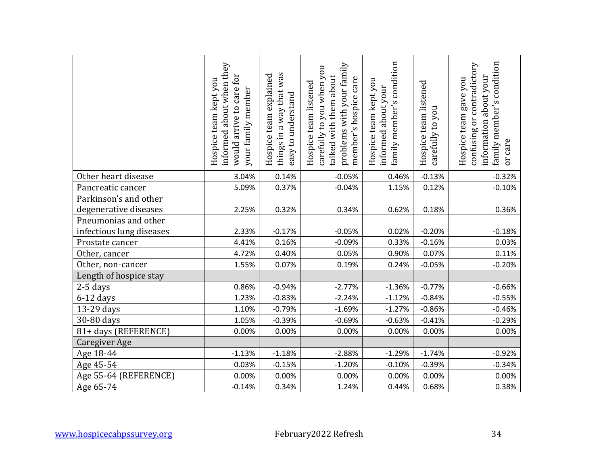|                                                | informed about when they<br>IOI<br>Hospice team kept you<br>care f<br>your family member<br>would arrive to | things in a way that was<br>Hospice team explained<br>easy to understand | problems with your family<br>carefully to you when you<br>talked with them about<br>member's hospice care<br>Hospice team listened | family member's condition<br>Hospice team kept you<br>informed about your | Hospice team listened<br>carefully to you | family member's condition<br>confusing or contradictory<br>information about your<br>Hospice team gave you<br>or care |
|------------------------------------------------|-------------------------------------------------------------------------------------------------------------|--------------------------------------------------------------------------|------------------------------------------------------------------------------------------------------------------------------------|---------------------------------------------------------------------------|-------------------------------------------|-----------------------------------------------------------------------------------------------------------------------|
| Other heart disease                            | 3.04%                                                                                                       | 0.14%                                                                    | $-0.05%$                                                                                                                           | 0.46%                                                                     | $-0.13%$                                  | $-0.32%$                                                                                                              |
| Pancreatic cancer                              | 5.09%                                                                                                       | 0.37%                                                                    | $-0.04%$                                                                                                                           | 1.15%                                                                     | 0.12%                                     | $-0.10%$                                                                                                              |
| Parkinson's and other<br>degenerative diseases | 2.25%                                                                                                       | 0.32%                                                                    | 0.34%                                                                                                                              | 0.62%                                                                     | 0.18%                                     | 0.36%                                                                                                                 |
| Pneumonias and other                           |                                                                                                             |                                                                          |                                                                                                                                    |                                                                           |                                           |                                                                                                                       |
| infectious lung diseases                       | 2.33%                                                                                                       | $-0.17%$                                                                 | $-0.05%$                                                                                                                           | 0.02%                                                                     | $-0.20%$                                  | $-0.18%$                                                                                                              |
| Prostate cancer                                | 4.41%                                                                                                       | 0.16%                                                                    | $-0.09%$                                                                                                                           | 0.33%                                                                     | $-0.16%$                                  | 0.03%                                                                                                                 |
| Other, cancer                                  | 4.72%                                                                                                       | 0.40%                                                                    | 0.05%                                                                                                                              | 0.90%                                                                     | 0.07%                                     | 0.11%                                                                                                                 |
| Other, non-cancer                              | 1.55%                                                                                                       | 0.07%                                                                    | 0.19%                                                                                                                              | 0.24%                                                                     | $-0.05%$                                  | $-0.20%$                                                                                                              |
| Length of hospice stay                         |                                                                                                             |                                                                          |                                                                                                                                    |                                                                           |                                           |                                                                                                                       |
| 2-5 days                                       | 0.86%                                                                                                       | $-0.94%$                                                                 | $-2.77%$                                                                                                                           | $-1.36%$                                                                  | $-0.77%$                                  | $-0.66%$                                                                                                              |
| $6-12$ days                                    | 1.23%                                                                                                       | $-0.83%$                                                                 | $-2.24%$                                                                                                                           | $-1.12%$                                                                  | $-0.84%$                                  | $-0.55%$                                                                                                              |
| 13-29 days                                     | 1.10%                                                                                                       | $-0.79%$                                                                 | $-1.69%$                                                                                                                           | $-1.27%$                                                                  | $-0.86%$                                  | $-0.46%$                                                                                                              |
| 30-80 days                                     | 1.05%                                                                                                       | $-0.39%$                                                                 | $-0.69%$                                                                                                                           | $-0.63%$                                                                  | $-0.41%$                                  | $-0.29%$                                                                                                              |
| 81+ days (REFERENCE)                           | 0.00%                                                                                                       | 0.00%                                                                    | 0.00%                                                                                                                              | 0.00%                                                                     | 0.00%                                     | 0.00%                                                                                                                 |
| Caregiver Age                                  |                                                                                                             |                                                                          |                                                                                                                                    |                                                                           |                                           |                                                                                                                       |
| Age 18-44                                      | $-1.13%$                                                                                                    | $-1.18%$                                                                 | $-2.88%$                                                                                                                           | $-1.29%$                                                                  | $-1.74%$                                  | $-0.92%$                                                                                                              |
| Age 45-54                                      | 0.03%                                                                                                       | $-0.15%$                                                                 | $-1.20%$                                                                                                                           | $-0.10%$                                                                  | $-0.39%$                                  | $-0.34%$                                                                                                              |
| Age 55-64 (REFERENCE)                          | 0.00%                                                                                                       | 0.00%                                                                    | 0.00%                                                                                                                              | 0.00%                                                                     | 0.00%                                     | 0.00%                                                                                                                 |
| Age 65-74                                      | $-0.14%$                                                                                                    | 0.34%                                                                    | 1.24%                                                                                                                              | 0.44%                                                                     | 0.68%                                     | 0.38%                                                                                                                 |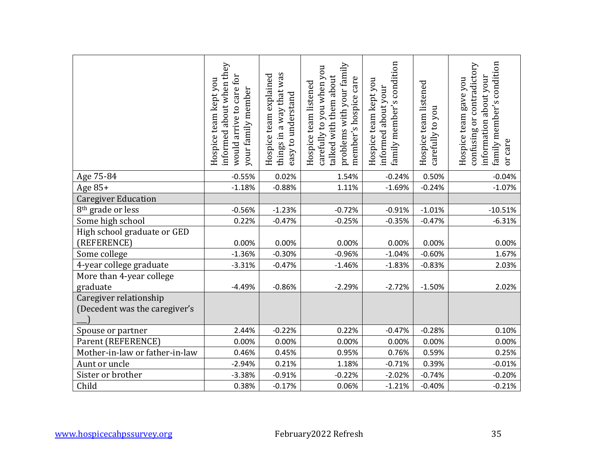|                                                         | informed about when they<br>would arrive to care for<br>Hospice team kept you<br>your family member | things in a way that was<br>Hospice team explained<br>easy to understand | problems with your family<br>carefully to you when you<br>talked with them about<br>member's hospice care<br>Hospice team listened | family member's condition<br>Hospice team kept you<br>informed about your | Hospice team listened<br>carefully to you | family member's condition<br>confusing or contradictory<br>information about your<br>Hospice team gave you<br>or care |
|---------------------------------------------------------|-----------------------------------------------------------------------------------------------------|--------------------------------------------------------------------------|------------------------------------------------------------------------------------------------------------------------------------|---------------------------------------------------------------------------|-------------------------------------------|-----------------------------------------------------------------------------------------------------------------------|
| Age 75-84                                               | $-0.55%$                                                                                            | 0.02%                                                                    | 1.54%                                                                                                                              | $-0.24%$                                                                  | 0.50%                                     | $-0.04%$                                                                                                              |
| Age 85+                                                 | $-1.18%$                                                                                            | $-0.88%$                                                                 | 1.11%                                                                                                                              | $-1.69%$                                                                  | $-0.24%$                                  | $-1.07%$                                                                                                              |
| <b>Caregiver Education</b>                              |                                                                                                     |                                                                          |                                                                                                                                    |                                                                           |                                           |                                                                                                                       |
| 8 <sup>th</sup> grade or less                           | $-0.56%$                                                                                            | $-1.23%$                                                                 | $-0.72%$                                                                                                                           | $-0.91%$                                                                  | $-1.01%$                                  | $-10.51%$                                                                                                             |
| Some high school                                        | 0.22%                                                                                               | $-0.47%$                                                                 | $-0.25%$                                                                                                                           | $-0.35%$                                                                  | $-0.47%$                                  | $-6.31%$                                                                                                              |
| High school graduate or GED                             |                                                                                                     |                                                                          |                                                                                                                                    |                                                                           |                                           |                                                                                                                       |
| (REFERENCE)                                             | 0.00%                                                                                               | 0.00%                                                                    | 0.00%                                                                                                                              | 0.00%                                                                     | 0.00%                                     | 0.00%                                                                                                                 |
| Some college                                            | $-1.36%$                                                                                            | $-0.30%$                                                                 | $-0.96%$                                                                                                                           | $-1.04%$                                                                  | $-0.60%$                                  | 1.67%                                                                                                                 |
| 4-year college graduate                                 | $-3.31%$                                                                                            | $-0.47%$                                                                 | $-1.46%$                                                                                                                           | $-1.83%$                                                                  | $-0.83%$                                  | 2.03%                                                                                                                 |
| More than 4-year college<br>graduate                    | $-4.49%$                                                                                            | $-0.86%$                                                                 | $-2.29%$                                                                                                                           | $-2.72%$                                                                  | $-1.50%$                                  | 2.02%                                                                                                                 |
| Caregiver relationship<br>(Decedent was the caregiver's |                                                                                                     |                                                                          |                                                                                                                                    |                                                                           |                                           |                                                                                                                       |
| Spouse or partner                                       | 2.44%                                                                                               | $-0.22%$                                                                 | 0.22%                                                                                                                              | $-0.47%$                                                                  | $-0.28%$                                  | 0.10%                                                                                                                 |
| Parent (REFERENCE)                                      | 0.00%                                                                                               | 0.00%                                                                    | 0.00%                                                                                                                              | 0.00%                                                                     | 0.00%                                     | 0.00%                                                                                                                 |
| Mother-in-law or father-in-law                          | 0.46%                                                                                               | 0.45%                                                                    | 0.95%                                                                                                                              | 0.76%                                                                     | 0.59%                                     | 0.25%                                                                                                                 |
| Aunt or uncle                                           | $-2.94%$                                                                                            | 0.21%                                                                    | 1.18%                                                                                                                              | $-0.71%$                                                                  | 0.39%                                     | $-0.01%$                                                                                                              |
| Sister or brother                                       | $-3.38%$                                                                                            | $-0.91%$                                                                 | $-0.22%$                                                                                                                           | $-2.02%$                                                                  | $-0.74%$                                  | $-0.20%$                                                                                                              |
| Child                                                   | 0.38%                                                                                               | $-0.17%$                                                                 | 0.06%                                                                                                                              | $-1.21%$                                                                  | $-0.40%$                                  | $-0.21%$                                                                                                              |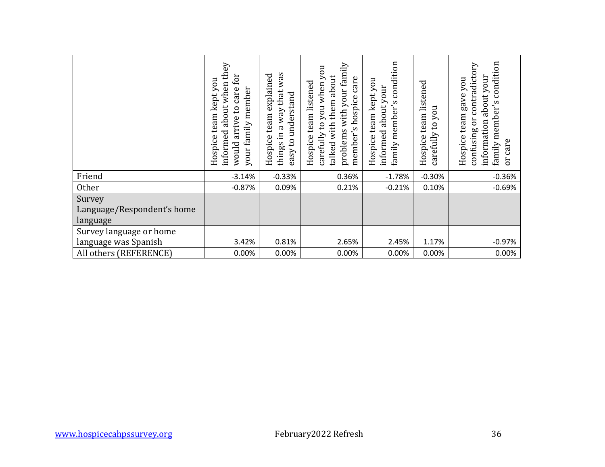|                                                  | informed about when they<br>would arrive to care for<br>Hospice team kept you<br>your family member | things in a way that was<br>Hospice team explained<br>easy to understand | problems with your family<br>carefully to you when you<br>talked with them about<br>member's hospice care<br>Hospice team listened | family member's condition<br>Hospice team kept you<br>informed about your | Hospice team listened<br>carefully to you | family member's condition<br>confusing or contradictory<br>information about your<br>Hospice team gave you<br>or care |
|--------------------------------------------------|-----------------------------------------------------------------------------------------------------|--------------------------------------------------------------------------|------------------------------------------------------------------------------------------------------------------------------------|---------------------------------------------------------------------------|-------------------------------------------|-----------------------------------------------------------------------------------------------------------------------|
| Friend                                           | $-3.14%$                                                                                            | $-0.33%$                                                                 | 0.36%                                                                                                                              | $-1.78%$                                                                  | $-0.30%$                                  | $-0.36%$                                                                                                              |
| Other                                            | $-0.87%$                                                                                            | 0.09%                                                                    | 0.21%                                                                                                                              | $-0.21%$                                                                  | 0.10%                                     | $-0.69%$                                                                                                              |
| Survey<br>Language/Respondent's home<br>language |                                                                                                     |                                                                          |                                                                                                                                    |                                                                           |                                           |                                                                                                                       |
| Survey language or home                          |                                                                                                     |                                                                          |                                                                                                                                    |                                                                           |                                           |                                                                                                                       |
| language was Spanish<br>All others (REFERENCE)   | 3.42%<br>0.00%                                                                                      | 0.81%<br>0.00%                                                           | 2.65%<br>0.00%                                                                                                                     | 2.45%<br>0.00%                                                            | 1.17%<br>0.00%                            | $-0.97%$<br>0.00%                                                                                                     |
|                                                  |                                                                                                     |                                                                          |                                                                                                                                    |                                                                           |                                           |                                                                                                                       |
|                                                  |                                                                                                     |                                                                          |                                                                                                                                    |                                                                           |                                           |                                                                                                                       |
| www.hospicecahpssurvey.org                       |                                                                                                     |                                                                          | February2022 Refresh                                                                                                               |                                                                           |                                           | 36                                                                                                                    |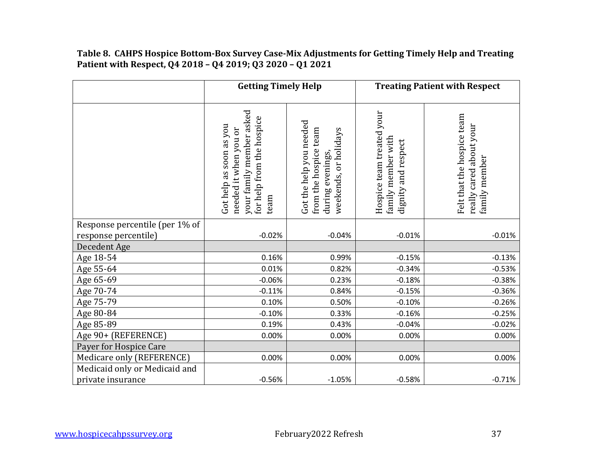#### **Table 8. CAHPS Hospice Bottom-Box Survey Case-Mix Adjustments for Getting Timely Help and Treating Patient with Respect, Q4 2018 – Q4 2019; Q3 2020 – Q1 2021**

|                                | <b>Getting Timely Help</b>                                                                                        |                                                                                               | <b>Treating Patient with Respect</b>                                      |                                                                        |  |
|--------------------------------|-------------------------------------------------------------------------------------------------------------------|-----------------------------------------------------------------------------------------------|---------------------------------------------------------------------------|------------------------------------------------------------------------|--|
|                                | your family member asked<br>for help from the hospice<br>Got help as soon as you<br>needed it when you or<br>team | Got the help you needed<br>from the hospice team<br>weekends, or holidays<br>during evenings, | Hospice team treated your<br>family member with<br>respect<br>dignity and | Felt that the hospice team<br>really cared about your<br>family member |  |
| Response percentile (per 1% of |                                                                                                                   |                                                                                               |                                                                           |                                                                        |  |
| response percentile)           | $-0.02%$                                                                                                          | $-0.04%$                                                                                      | $-0.01%$                                                                  | $-0.01%$                                                               |  |
| Decedent Age                   |                                                                                                                   |                                                                                               |                                                                           |                                                                        |  |
| Age 18-54                      | 0.16%                                                                                                             | 0.99%                                                                                         | $-0.15%$                                                                  | $-0.13%$                                                               |  |
| Age 55-64                      | 0.01%                                                                                                             | 0.82%                                                                                         | $-0.34%$                                                                  | $-0.53%$                                                               |  |
| Age 65-69                      | $-0.06%$                                                                                                          | 0.23%                                                                                         | $-0.18%$                                                                  | $-0.38%$                                                               |  |
| Age 70-74                      | $-0.11%$                                                                                                          | 0.84%                                                                                         | $-0.15%$                                                                  | $-0.36%$                                                               |  |
| Age 75-79                      | 0.10%                                                                                                             | 0.50%                                                                                         | $-0.10%$                                                                  | $-0.26%$                                                               |  |
| Age 80-84                      | $-0.10%$                                                                                                          | 0.33%                                                                                         | $-0.16%$                                                                  | $-0.25%$                                                               |  |
| Age 85-89                      | 0.19%                                                                                                             | 0.43%                                                                                         | $-0.04%$                                                                  | $-0.02%$                                                               |  |
| Age 90+ (REFERENCE)            | 0.00%                                                                                                             | 0.00%                                                                                         | 0.00%                                                                     | 0.00%                                                                  |  |
| Payer for Hospice Care         |                                                                                                                   |                                                                                               |                                                                           |                                                                        |  |
| Medicare only (REFERENCE)      | 0.00%                                                                                                             | 0.00%                                                                                         | 0.00%                                                                     | 0.00%                                                                  |  |
| Medicaid only or Medicaid and  |                                                                                                                   |                                                                                               |                                                                           |                                                                        |  |
| private insurance              | $-0.56%$                                                                                                          | $-1.05%$                                                                                      | $-0.58%$                                                                  | $-0.71%$                                                               |  |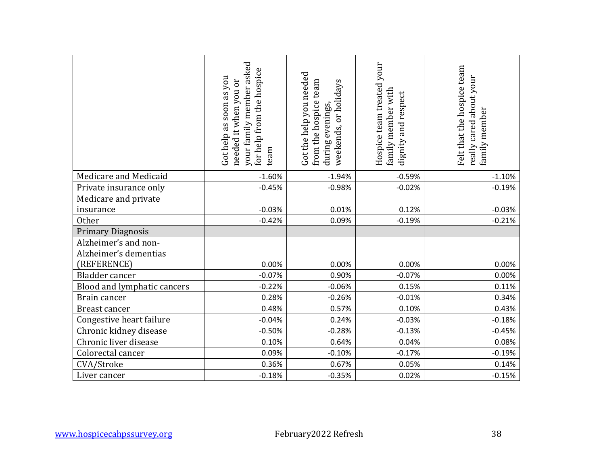|                                               | your family member asked<br>for help from the hospice<br>Got help as soon as you<br>needed it when you or<br>team | Got the help you needed<br>from the hospice team<br>weekends, or holidays<br>during evenings | Hospice team treated your<br>family member with<br>dignity and respect | Felt that the hospice team<br>really cared about your<br>family member |
|-----------------------------------------------|-------------------------------------------------------------------------------------------------------------------|----------------------------------------------------------------------------------------------|------------------------------------------------------------------------|------------------------------------------------------------------------|
| Medicare and Medicaid                         | $-1.60%$                                                                                                          | $-1.94%$                                                                                     | $-0.59%$                                                               | $-1.10%$                                                               |
| Private insurance only                        | $-0.45%$                                                                                                          | $-0.98%$                                                                                     | $-0.02%$                                                               | $-0.19%$                                                               |
| Medicare and private                          |                                                                                                                   |                                                                                              |                                                                        |                                                                        |
| insurance                                     | $-0.03%$                                                                                                          | 0.01%                                                                                        | 0.12%                                                                  | $-0.03%$                                                               |
| Other                                         | $-0.42%$                                                                                                          | 0.09%                                                                                        | $-0.19%$                                                               | $-0.21%$                                                               |
| <b>Primary Diagnosis</b>                      |                                                                                                                   |                                                                                              |                                                                        |                                                                        |
| Alzheimer's and non-<br>Alzheimer's dementias |                                                                                                                   |                                                                                              |                                                                        |                                                                        |
| (REFERENCE)                                   | 0.00%                                                                                                             | 0.00%                                                                                        | 0.00%                                                                  | 0.00%                                                                  |
| Bladder cancer                                | $-0.07%$                                                                                                          | 0.90%                                                                                        | $-0.07%$                                                               | 0.00%                                                                  |
| Blood and lymphatic cancers                   | $-0.22%$                                                                                                          | $-0.06%$                                                                                     | 0.15%                                                                  | 0.11%                                                                  |
| Brain cancer                                  | 0.28%                                                                                                             | $-0.26%$                                                                                     | $-0.01%$                                                               | 0.34%                                                                  |
| <b>Breast cancer</b>                          | 0.48%                                                                                                             | 0.57%                                                                                        | 0.10%                                                                  | 0.43%                                                                  |
| Congestive heart failure                      | $-0.04%$                                                                                                          | 0.24%                                                                                        | $-0.03%$                                                               | $-0.18%$                                                               |
| Chronic kidney disease                        | $-0.50%$                                                                                                          | $-0.28%$                                                                                     | $-0.13%$                                                               | $-0.45%$                                                               |
| Chronic liver disease                         | 0.10%                                                                                                             | 0.64%                                                                                        | 0.04%                                                                  | 0.08%                                                                  |
| Colorectal cancer                             | 0.09%                                                                                                             | $-0.10%$                                                                                     | $-0.17%$                                                               | $-0.19%$                                                               |
| CVA/Stroke                                    | 0.36%                                                                                                             | 0.67%                                                                                        | 0.05%                                                                  | 0.14%                                                                  |
| Liver cancer                                  | $-0.18%$                                                                                                          | $-0.35%$                                                                                     | 0.02%                                                                  | $-0.15%$                                                               |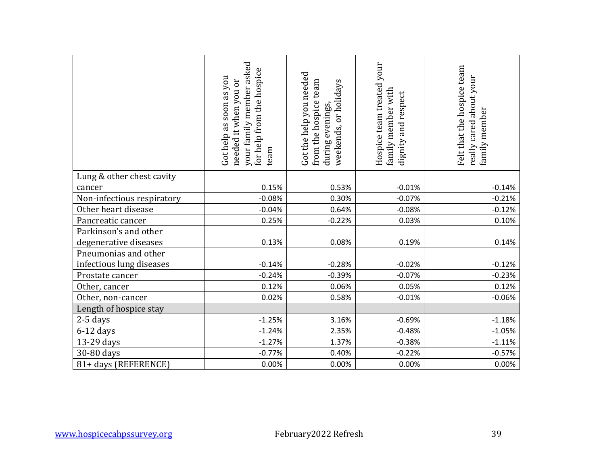|                            | your family member asked<br>for help from the hospice<br>Got help as soon as you<br>needed it when you or<br>team | Got the help you needed<br>from the hospice team<br>weekends, or holidays<br>during evenings, | Hospice team treated your<br>family member with<br>dignity and respect | Felt that the hospice team<br>really cared about your<br>family member |
|----------------------------|-------------------------------------------------------------------------------------------------------------------|-----------------------------------------------------------------------------------------------|------------------------------------------------------------------------|------------------------------------------------------------------------|
| Lung & other chest cavity  |                                                                                                                   |                                                                                               |                                                                        |                                                                        |
| cancer                     | 0.15%                                                                                                             | 0.53%                                                                                         | $-0.01%$                                                               | $-0.14%$                                                               |
| Non-infectious respiratory | $-0.08%$                                                                                                          | 0.30%                                                                                         | $-0.07%$                                                               | $-0.21%$                                                               |
| Other heart disease        | $-0.04%$                                                                                                          | 0.64%                                                                                         | $-0.08%$                                                               | $-0.12%$                                                               |
| Pancreatic cancer          | 0.25%                                                                                                             | $-0.22%$                                                                                      | 0.03%                                                                  | 0.10%                                                                  |
| Parkinson's and other      |                                                                                                                   |                                                                                               |                                                                        |                                                                        |
| degenerative diseases      | 0.13%                                                                                                             | 0.08%                                                                                         | 0.19%                                                                  | 0.14%                                                                  |
| Pneumonias and other       |                                                                                                                   |                                                                                               |                                                                        |                                                                        |
| infectious lung diseases   | $-0.14%$                                                                                                          | $-0.28%$                                                                                      | $-0.02%$                                                               | $-0.12%$                                                               |
| Prostate cancer            | $-0.24%$                                                                                                          | $-0.39%$                                                                                      | $-0.07%$                                                               | $-0.23%$                                                               |
| Other, cancer              | 0.12%                                                                                                             | 0.06%                                                                                         | 0.05%                                                                  | 0.12%                                                                  |
| Other, non-cancer          | 0.02%                                                                                                             | 0.58%                                                                                         | $-0.01%$                                                               | $-0.06%$                                                               |
| Length of hospice stay     |                                                                                                                   |                                                                                               |                                                                        |                                                                        |
| 2-5 days                   | $-1.25%$                                                                                                          | 3.16%                                                                                         | $-0.69%$                                                               | $-1.18%$                                                               |
| $6-12$ days                | $-1.24%$                                                                                                          | 2.35%                                                                                         | $-0.48%$                                                               | $-1.05%$                                                               |
| 13-29 days                 | $-1.27%$                                                                                                          | 1.37%                                                                                         | $-0.38%$                                                               | $-1.11%$                                                               |
| 30-80 days                 | $-0.77%$                                                                                                          | 0.40%                                                                                         | $-0.22%$                                                               | $-0.57%$                                                               |
| 81+ days (REFERENCE)       | 0.00%                                                                                                             | 0.00%                                                                                         | 0.00%                                                                  | 0.00%                                                                  |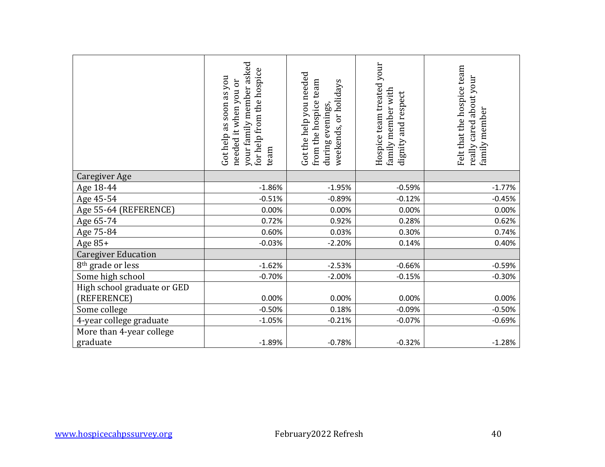|                                            | your family member asked<br>for help from the hospice<br>Got help as soon as you<br>needed it when you or<br>team | Got the help you needed<br>from the hospice team<br>weekends, or holidays<br>during evenings, | Hospice team treated your<br>family member with<br>dignity and respect | Felt that the hospice team<br>really cared about your<br>family member |
|--------------------------------------------|-------------------------------------------------------------------------------------------------------------------|-----------------------------------------------------------------------------------------------|------------------------------------------------------------------------|------------------------------------------------------------------------|
| <b>Caregiver Age</b>                       |                                                                                                                   |                                                                                               |                                                                        |                                                                        |
| Age 18-44                                  | $-1.86%$                                                                                                          | $-1.95%$                                                                                      | $-0.59%$                                                               | $-1.77%$                                                               |
| Age 45-54                                  | $-0.51%$                                                                                                          | $-0.89%$                                                                                      | $-0.12%$                                                               | $-0.45%$                                                               |
| Age 55-64 (REFERENCE)                      | 0.00%                                                                                                             | 0.00%                                                                                         | 0.00%                                                                  | 0.00%                                                                  |
| Age 65-74                                  | 0.72%                                                                                                             | 0.92%                                                                                         | 0.28%                                                                  | 0.62%                                                                  |
| Age 75-84                                  | 0.60%                                                                                                             | 0.03%                                                                                         | 0.30%                                                                  | 0.74%                                                                  |
| Age 85+                                    | $-0.03%$                                                                                                          | $-2.20%$                                                                                      | 0.14%                                                                  | 0.40%                                                                  |
| <b>Caregiver Education</b>                 |                                                                                                                   |                                                                                               |                                                                        |                                                                        |
| 8 <sup>th</sup> grade or less              | $-1.62%$                                                                                                          | $-2.53%$                                                                                      | $-0.66%$                                                               | $-0.59%$                                                               |
| Some high school                           | $-0.70%$                                                                                                          | $-2.00%$                                                                                      | $-0.15%$                                                               | $-0.30%$                                                               |
| High school graduate or GED<br>(REFERENCE) | 0.00%                                                                                                             | 0.00%                                                                                         | 0.00%                                                                  | 0.00%                                                                  |
| Some college                               | $-0.50%$                                                                                                          | 0.18%                                                                                         | $-0.09%$                                                               | $-0.50%$                                                               |
| 4-year college graduate                    | $-1.05%$                                                                                                          | $-0.21%$                                                                                      | $-0.07%$                                                               | $-0.69%$                                                               |
| More than 4-year college<br>graduate       | $-1.89%$                                                                                                          | $-0.78%$                                                                                      | $-0.32%$                                                               | $-1.28%$                                                               |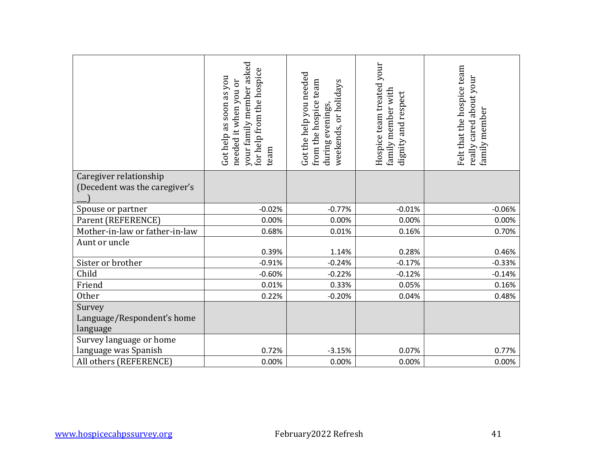|                                                         | your family member asked<br>for help from the hospice<br>Got help as soon as you<br>needed it when you or<br>team | Got the help you needed<br>from the hospice team<br>weekends, or holidays<br>during evenings, | Hospice team treated your<br>family member with<br>dignity and respect | Felt that the hospice team<br>really cared about your<br>family member |
|---------------------------------------------------------|-------------------------------------------------------------------------------------------------------------------|-----------------------------------------------------------------------------------------------|------------------------------------------------------------------------|------------------------------------------------------------------------|
| Caregiver relationship<br>(Decedent was the caregiver's |                                                                                                                   |                                                                                               |                                                                        |                                                                        |
| Spouse or partner                                       | $-0.02%$                                                                                                          | $-0.77%$                                                                                      | $-0.01%$                                                               | $-0.06%$                                                               |
| Parent (REFERENCE)                                      | 0.00%                                                                                                             | 0.00%                                                                                         | 0.00%                                                                  | 0.00%                                                                  |
| Mother-in-law or father-in-law                          | 0.68%                                                                                                             | 0.01%                                                                                         | 0.16%                                                                  | 0.70%                                                                  |
| Aunt or uncle                                           |                                                                                                                   |                                                                                               |                                                                        |                                                                        |
| Sister or brother                                       | 0.39%<br>$-0.91%$                                                                                                 | 1.14%                                                                                         | 0.28%                                                                  | 0.46%                                                                  |
| Child                                                   | $-0.60%$                                                                                                          | $-0.24%$<br>$-0.22%$                                                                          | $-0.17%$<br>$-0.12%$                                                   | $-0.33%$<br>$-0.14%$                                                   |
| Friend                                                  | 0.01%                                                                                                             | 0.33%                                                                                         | 0.05%                                                                  | 0.16%                                                                  |
| Other                                                   | 0.22%                                                                                                             | $-0.20%$                                                                                      | 0.04%                                                                  | 0.48%                                                                  |
| Survey<br>Language/Respondent's home<br>language        |                                                                                                                   |                                                                                               |                                                                        |                                                                        |
| Survey language or home<br>language was Spanish         | 0.72%                                                                                                             | $-3.15%$                                                                                      | 0.07%                                                                  | 0.77%                                                                  |
| All others (REFERENCE)                                  | 0.00%                                                                                                             | 0.00%                                                                                         | 0.00%                                                                  | 0.00%                                                                  |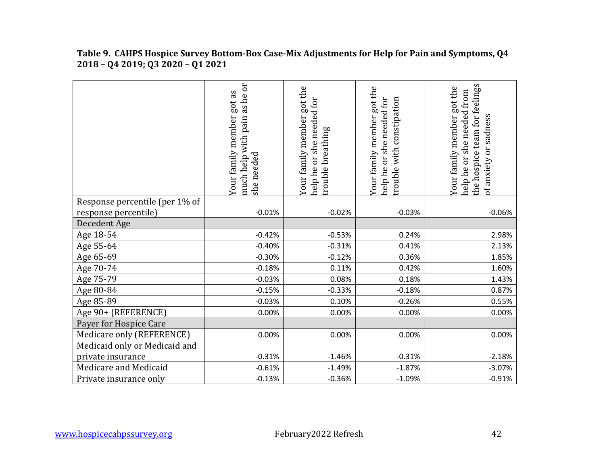|                                | as he or<br>got as<br>Your family member<br>much help with pain<br>she needed | Your family member got the<br>needed for<br>breathing<br>$\sin$ e<br><b>DD</b><br>rouble<br>help he | Your family member got the<br>or she needed for<br>with constipation<br>help he<br>trouble | the hospice team for feelings<br>Your family member got the<br>she needed from<br>of anxiety or sadness<br>help he or |
|--------------------------------|-------------------------------------------------------------------------------|-----------------------------------------------------------------------------------------------------|--------------------------------------------------------------------------------------------|-----------------------------------------------------------------------------------------------------------------------|
| Response percentile (per 1% of |                                                                               |                                                                                                     |                                                                                            |                                                                                                                       |
| response percentile)           | $-0.01%$                                                                      | $-0.02%$                                                                                            | $-0.03%$                                                                                   | $-0.06%$                                                                                                              |
| Decedent Age                   |                                                                               |                                                                                                     |                                                                                            |                                                                                                                       |
| Age 18-54                      | $-0.42%$                                                                      | $-0.53%$                                                                                            | 0.24%                                                                                      | 2.98%                                                                                                                 |
| Age 55-64                      | $-0.40%$                                                                      | $-0.31%$                                                                                            | 0.41%                                                                                      | 2.13%                                                                                                                 |
| Age 65-69                      | $-0.30%$                                                                      | $-0.12%$                                                                                            | 0.36%                                                                                      | 1.85%                                                                                                                 |
| Age 70-74                      | $-0.18%$                                                                      | 0.11%                                                                                               | 0.42%                                                                                      | 1.60%                                                                                                                 |
| Age 75-79                      | $-0.03%$                                                                      | 0.08%                                                                                               | 0.18%                                                                                      | 1.43%                                                                                                                 |
| Age 80-84                      | $-0.15%$                                                                      | $-0.33%$                                                                                            | $-0.18%$                                                                                   | 0.87%                                                                                                                 |
| Age 85-89                      | $-0.03%$                                                                      | 0.10%                                                                                               | $-0.26%$                                                                                   | 0.55%                                                                                                                 |
| Age 90+ (REFERENCE)            | 0.00%                                                                         | 0.00%                                                                                               | 0.00%                                                                                      | 0.00%                                                                                                                 |
| Payer for Hospice Care         |                                                                               |                                                                                                     |                                                                                            |                                                                                                                       |
| Medicare only (REFERENCE)      | 0.00%                                                                         | 0.00%                                                                                               | 0.00%                                                                                      | 0.00%                                                                                                                 |
| Medicaid only or Medicaid and  |                                                                               |                                                                                                     |                                                                                            |                                                                                                                       |
| private insurance              | $-0.31%$                                                                      | $-1.46%$                                                                                            | $-0.31%$                                                                                   | $-2.18%$                                                                                                              |
| Medicare and Medicaid          | $-0.61%$                                                                      | $-1.49%$                                                                                            | $-1.87%$                                                                                   | $-3.07%$                                                                                                              |
| Private insurance only         | $-0.13%$                                                                      | $-0.36%$                                                                                            | $-1.09%$                                                                                   | $-0.91%$                                                                                                              |

**Table 9. CAHPS Hospice Survey Bottom-Box Case-Mix Adjustments for Help for Pain and Symptoms, Q4 2018 – Q4 2019; Q3 2020 – Q1 2021**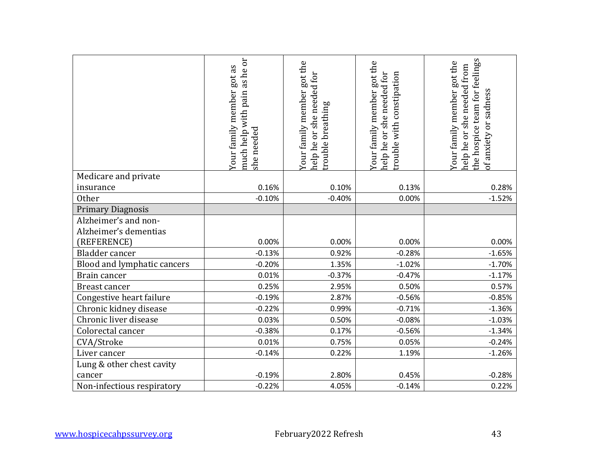|                                               | much help with pain as he or<br>Your family member got as<br>she needed | Your family member got the<br>help he or she needed for<br>trouble breathing | Your family member got the<br>help he or she needed for<br>rouble with constipation | the hospice team for feelings<br>Your family member got the<br>help he or she needed from<br>of anxiety or sadness |
|-----------------------------------------------|-------------------------------------------------------------------------|------------------------------------------------------------------------------|-------------------------------------------------------------------------------------|--------------------------------------------------------------------------------------------------------------------|
| Medicare and private                          |                                                                         |                                                                              |                                                                                     |                                                                                                                    |
| insurance                                     | 0.16%                                                                   | 0.10%                                                                        | 0.13%                                                                               | 0.28%                                                                                                              |
| Other                                         | $-0.10%$                                                                | $-0.40%$                                                                     | 0.00%                                                                               | $-1.52%$                                                                                                           |
| <b>Primary Diagnosis</b>                      |                                                                         |                                                                              |                                                                                     |                                                                                                                    |
| Alzheimer's and non-<br>Alzheimer's dementias |                                                                         |                                                                              |                                                                                     |                                                                                                                    |
| (REFERENCE)                                   | 0.00%                                                                   | 0.00%                                                                        | 0.00%                                                                               | 0.00%                                                                                                              |
| Bladder cancer                                | $-0.13%$                                                                | 0.92%                                                                        | $-0.28%$                                                                            | $-1.65%$                                                                                                           |
| Blood and lymphatic cancers                   | $-0.20%$                                                                | 1.35%                                                                        | $-1.02%$                                                                            | $-1.70%$                                                                                                           |
| Brain cancer                                  | 0.01%                                                                   | $-0.37%$                                                                     | $-0.47%$                                                                            | $-1.17%$                                                                                                           |
| Breast cancer                                 | 0.25%                                                                   | 2.95%                                                                        | 0.50%                                                                               | 0.57%                                                                                                              |
| Congestive heart failure                      | $-0.19%$                                                                | 2.87%                                                                        | $-0.56%$                                                                            | $-0.85%$                                                                                                           |
| Chronic kidney disease                        | $-0.22%$                                                                | 0.99%                                                                        | $-0.71%$                                                                            | $-1.36%$                                                                                                           |
| Chronic liver disease                         | 0.03%                                                                   | 0.50%                                                                        | $-0.08%$                                                                            | $-1.03%$                                                                                                           |
| Colorectal cancer                             | $-0.38%$                                                                | 0.17%                                                                        | $-0.56%$                                                                            | $-1.34%$                                                                                                           |
| CVA/Stroke                                    | 0.01%                                                                   | 0.75%                                                                        | 0.05%                                                                               | $-0.24%$                                                                                                           |
| Liver cancer                                  | $-0.14%$                                                                | 0.22%                                                                        | 1.19%                                                                               | $-1.26%$                                                                                                           |
| Lung & other chest cavity<br>cancer           | $-0.19%$                                                                | 2.80%                                                                        | 0.45%                                                                               | $-0.28%$                                                                                                           |
| Non-infectious respiratory                    | $-0.22%$                                                                | 4.05%                                                                        | $-0.14%$                                                                            | 0.22%                                                                                                              |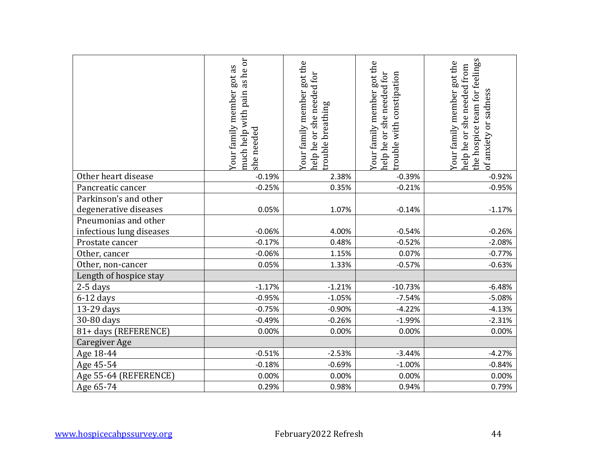|                                                | much help with pain as he or<br>Your family member got as<br>she needed | Your family member got the<br>help he or she needed for<br>trouble breathing | Your family member got the<br>help he or she needed for<br>rouble with constipation | the hospice team for feelings<br>Your family member got the<br>help he or she needed from<br>of anxiety or sadness |
|------------------------------------------------|-------------------------------------------------------------------------|------------------------------------------------------------------------------|-------------------------------------------------------------------------------------|--------------------------------------------------------------------------------------------------------------------|
| Other heart disease                            | $-0.19%$                                                                | 2.38%                                                                        | $-0.39%$                                                                            | $-0.92%$                                                                                                           |
| Pancreatic cancer                              | $-0.25%$                                                                | 0.35%                                                                        | $-0.21%$                                                                            | $-0.95%$                                                                                                           |
| Parkinson's and other<br>degenerative diseases | 0.05%                                                                   | 1.07%                                                                        | $-0.14%$                                                                            | $-1.17%$                                                                                                           |
| Pneumonias and other                           |                                                                         |                                                                              |                                                                                     |                                                                                                                    |
| infectious lung diseases                       | $-0.06%$                                                                | 4.00%                                                                        | $-0.54%$                                                                            | $-0.26%$                                                                                                           |
| Prostate cancer                                | $-0.17%$                                                                | 0.48%                                                                        | $-0.52%$                                                                            | $-2.08%$                                                                                                           |
| Other, cancer                                  | $-0.06%$                                                                | 1.15%                                                                        | 0.07%                                                                               | $-0.77%$                                                                                                           |
| Other, non-cancer                              | 0.05%                                                                   | 1.33%                                                                        | $-0.57%$                                                                            | $-0.63%$                                                                                                           |
| Length of hospice stay                         |                                                                         |                                                                              |                                                                                     |                                                                                                                    |
| 2-5 days                                       | $-1.17%$                                                                | $-1.21%$                                                                     | $-10.73%$                                                                           | $-6.48%$                                                                                                           |
| $6-12$ days                                    | $-0.95%$                                                                | $-1.05%$                                                                     | $-7.54%$                                                                            | $-5.08%$                                                                                                           |
| 13-29 days                                     | $-0.75%$                                                                | $-0.90%$                                                                     | $-4.22%$                                                                            | $-4.13%$                                                                                                           |
| 30-80 days                                     | $-0.49%$                                                                | $-0.26%$                                                                     | $-1.99%$                                                                            | $-2.31%$                                                                                                           |
| 81+ days (REFERENCE)                           | 0.00%                                                                   | 0.00%                                                                        | 0.00%                                                                               | 0.00%                                                                                                              |
| <b>Caregiver Age</b>                           |                                                                         |                                                                              |                                                                                     |                                                                                                                    |
| Age 18-44                                      | $-0.51%$                                                                | $-2.53%$                                                                     | $-3.44%$                                                                            | $-4.27%$                                                                                                           |
| Age 45-54                                      | $-0.18%$                                                                | $-0.69%$                                                                     | $-1.00%$                                                                            | $-0.84%$                                                                                                           |
| Age 55-64 (REFERENCE)                          | 0.00%                                                                   | 0.00%                                                                        | 0.00%                                                                               | 0.00%                                                                                                              |
| Age 65-74                                      | 0.29%                                                                   | 0.98%                                                                        | 0.94%                                                                               | 0.79%                                                                                                              |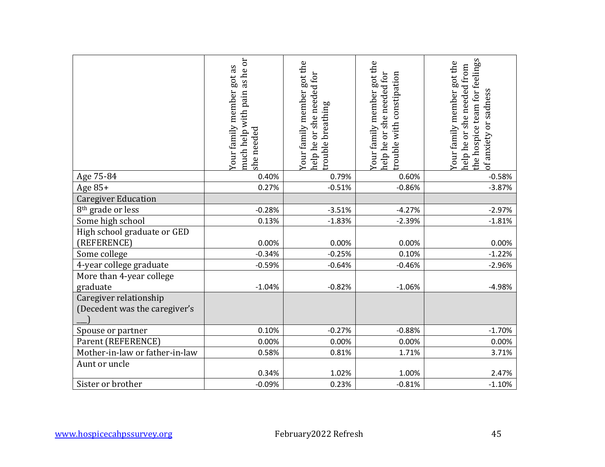|                                                         | much help with pain as he or<br>Your family member got as<br>she needed | Your family member got the<br>help he or she needed for<br>rouble breathing | Your family member got the<br>help he or she needed for<br>rouble with constipation | the hospice team for feelings<br>Your family member got the<br>help he or she needed from<br>of anxiety or sadness |
|---------------------------------------------------------|-------------------------------------------------------------------------|-----------------------------------------------------------------------------|-------------------------------------------------------------------------------------|--------------------------------------------------------------------------------------------------------------------|
|                                                         |                                                                         |                                                                             |                                                                                     |                                                                                                                    |
| Age 75-84                                               | 0.40%                                                                   | 0.79%                                                                       | 0.60%                                                                               | $-0.58%$                                                                                                           |
| Age 85+                                                 | 0.27%                                                                   | $-0.51%$                                                                    | $-0.86%$                                                                            | $-3.87%$                                                                                                           |
| <b>Caregiver Education</b>                              |                                                                         |                                                                             |                                                                                     |                                                                                                                    |
| 8 <sup>th</sup> grade or less                           | $-0.28%$                                                                | $-3.51%$                                                                    | $-4.27%$                                                                            | $-2.97%$                                                                                                           |
| Some high school                                        | 0.13%                                                                   | $-1.83%$                                                                    | $-2.39%$                                                                            | $-1.81%$                                                                                                           |
| High school graduate or GED                             |                                                                         |                                                                             |                                                                                     |                                                                                                                    |
| (REFERENCE)                                             | 0.00%                                                                   | 0.00%                                                                       | 0.00%                                                                               | 0.00%                                                                                                              |
| Some college                                            | $-0.34%$                                                                | $-0.25%$                                                                    | 0.10%                                                                               | $-1.22%$                                                                                                           |
| 4-year college graduate                                 | $-0.59%$                                                                | $-0.64%$                                                                    | $-0.46%$                                                                            | $-2.96%$                                                                                                           |
| More than 4-year college<br>graduate                    | $-1.04%$                                                                | $-0.82%$                                                                    | $-1.06%$                                                                            | $-4.98%$                                                                                                           |
| Caregiver relationship<br>(Decedent was the caregiver's |                                                                         |                                                                             |                                                                                     |                                                                                                                    |
| Spouse or partner                                       | 0.10%                                                                   | $-0.27%$                                                                    | $-0.88%$                                                                            | $-1.70%$                                                                                                           |
| Parent (REFERENCE)                                      | 0.00%                                                                   | 0.00%                                                                       | 0.00%                                                                               | 0.00%                                                                                                              |
| Mother-in-law or father-in-law                          | 0.58%                                                                   | 0.81%                                                                       | 1.71%                                                                               | 3.71%                                                                                                              |
| Aunt or uncle                                           | 0.34%                                                                   | 1.02%                                                                       | 1.00%                                                                               | 2.47%                                                                                                              |
| Sister or brother                                       | $-0.09%$                                                                | 0.23%                                                                       | $-0.81%$                                                                            | $-1.10%$                                                                                                           |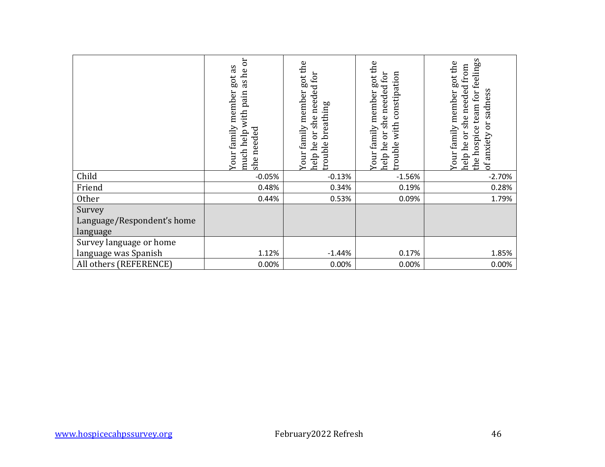|                                                  | much help with pain as he or<br>Your family member got as<br>she needed | Your family member got the<br>help he or she needed for<br>rouble breathing | Your family member got the<br>help he or she needed for<br>trouble with constipation | the hospice team for feelings<br>Your family member got the<br>help he or she needed from<br>of anxiety or sadness |
|--------------------------------------------------|-------------------------------------------------------------------------|-----------------------------------------------------------------------------|--------------------------------------------------------------------------------------|--------------------------------------------------------------------------------------------------------------------|
| Child                                            | $-0.05%$                                                                | $-0.13%$                                                                    | $-1.56%$                                                                             | $-2.70%$                                                                                                           |
| Friend                                           | 0.48%                                                                   | 0.34%                                                                       | 0.19%                                                                                | 0.28%                                                                                                              |
| Other                                            | 0.44%                                                                   | 0.53%                                                                       | 0.09%                                                                                | 1.79%                                                                                                              |
| Survey<br>Language/Respondent's home<br>language |                                                                         |                                                                             |                                                                                      |                                                                                                                    |
| Survey language or home                          |                                                                         |                                                                             |                                                                                      |                                                                                                                    |
| language was Spanish                             | 1.12%                                                                   | $-1.44%$                                                                    | 0.17%                                                                                | 1.85%                                                                                                              |
| All others (REFERENCE)                           | 0.00%                                                                   | 0.00%                                                                       | 0.00%                                                                                | 0.00%                                                                                                              |
|                                                  |                                                                         |                                                                             |                                                                                      |                                                                                                                    |
|                                                  |                                                                         |                                                                             |                                                                                      |                                                                                                                    |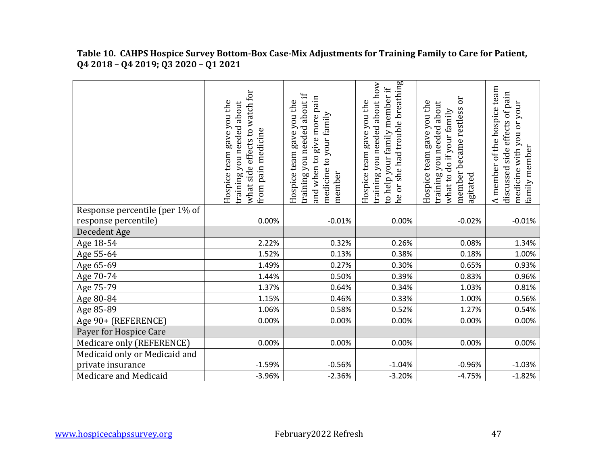| Table 10. CAHPS Hospice Survey Bottom-Box Case-Mix Adjustments for Training Family to Care for Patient, |
|---------------------------------------------------------------------------------------------------------|
| $Q4\,2018$ – $Q4\,2019$ ; $Q3\,2020$ – $Q1\,2021$                                                       |

|                                | what side effects to watch for<br>Hospice team gave you the<br>training you needed about<br>pain medicine<br>from j | training you needed about if<br>pain<br>Hospice team gave you the<br>medicine to your family<br>give more<br>when to<br>member<br>hnd | he or she had trouble breathing<br>training you needed about how<br>to help your family member if<br>Hospice team gave you the | Эr<br>Hospice team gave you the<br>training you needed about<br>member became restless<br>what to do if your family<br>agitated | A member of the hospice team<br>discussed side effects of pain<br>medicine with you or your<br>family member |
|--------------------------------|---------------------------------------------------------------------------------------------------------------------|---------------------------------------------------------------------------------------------------------------------------------------|--------------------------------------------------------------------------------------------------------------------------------|---------------------------------------------------------------------------------------------------------------------------------|--------------------------------------------------------------------------------------------------------------|
| Response percentile (per 1% of |                                                                                                                     |                                                                                                                                       |                                                                                                                                |                                                                                                                                 |                                                                                                              |
| response percentile)           | 0.00%                                                                                                               | $-0.01%$                                                                                                                              | 0.00%                                                                                                                          | $-0.02%$                                                                                                                        | $-0.01%$                                                                                                     |
| Decedent Age                   |                                                                                                                     |                                                                                                                                       |                                                                                                                                |                                                                                                                                 |                                                                                                              |
| Age 18-54                      | 2.22%                                                                                                               | 0.32%                                                                                                                                 | 0.26%                                                                                                                          | 0.08%                                                                                                                           | 1.34%                                                                                                        |
| Age 55-64                      | 1.52%                                                                                                               | 0.13%                                                                                                                                 | 0.38%                                                                                                                          | 0.18%                                                                                                                           | 1.00%                                                                                                        |
| Age 65-69                      | 1.49%                                                                                                               | 0.27%                                                                                                                                 | 0.30%                                                                                                                          | 0.65%                                                                                                                           | 0.93%                                                                                                        |
| Age 70-74                      | 1.44%                                                                                                               | 0.50%                                                                                                                                 | 0.39%                                                                                                                          | 0.83%                                                                                                                           | 0.96%                                                                                                        |
| Age 75-79                      | 1.37%                                                                                                               | 0.64%                                                                                                                                 | 0.34%                                                                                                                          | 1.03%                                                                                                                           | 0.81%                                                                                                        |
| Age 80-84                      | 1.15%                                                                                                               | 0.46%                                                                                                                                 | 0.33%                                                                                                                          | 1.00%                                                                                                                           | 0.56%                                                                                                        |
| Age 85-89                      | 1.06%                                                                                                               | 0.58%                                                                                                                                 | 0.52%                                                                                                                          | 1.27%                                                                                                                           | 0.54%                                                                                                        |
| Age 90+ (REFERENCE)            | 0.00%                                                                                                               | 0.00%                                                                                                                                 | 0.00%                                                                                                                          | 0.00%                                                                                                                           | 0.00%                                                                                                        |
| Payer for Hospice Care         |                                                                                                                     |                                                                                                                                       |                                                                                                                                |                                                                                                                                 |                                                                                                              |
| Medicare only (REFERENCE)      | 0.00%                                                                                                               | 0.00%                                                                                                                                 | 0.00%                                                                                                                          | 0.00%                                                                                                                           | 0.00%                                                                                                        |
| Medicaid only or Medicaid and  |                                                                                                                     |                                                                                                                                       |                                                                                                                                |                                                                                                                                 |                                                                                                              |
| private insurance              | $-1.59%$                                                                                                            | $-0.56%$                                                                                                                              | $-1.04%$                                                                                                                       | $-0.96%$                                                                                                                        | $-1.03%$                                                                                                     |
| Medicare and Medicaid          | $-3.96%$                                                                                                            | $-2.36%$                                                                                                                              | $-3.20%$                                                                                                                       | $-4.75%$                                                                                                                        | $-1.82%$                                                                                                     |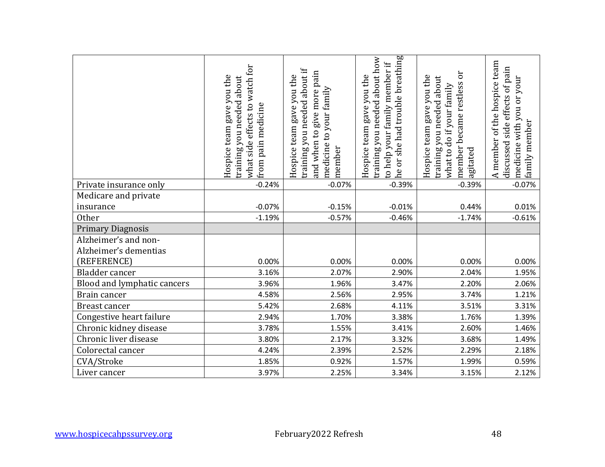|                                                  | what side effects to watch for<br>Hospice team gave you the<br>training you needed about | training you needed about if<br>and when to give more pain<br>Hospice team gave you the | he or she had trouble breathing<br>training you needed about how<br>to help your family member if<br>Hospice team gave you the | member became restless or<br>Hospice team gave you the<br>training you needed about | A member of the hospice team<br>discussed side effects of pain<br>medicine with you or your |
|--------------------------------------------------|------------------------------------------------------------------------------------------|-----------------------------------------------------------------------------------------|--------------------------------------------------------------------------------------------------------------------------------|-------------------------------------------------------------------------------------|---------------------------------------------------------------------------------------------|
|                                                  | from pain medicine                                                                       | medicine to your family<br>member                                                       |                                                                                                                                | what to do if your family<br>agitated                                               | family member                                                                               |
| Private insurance only                           | $-0.24%$                                                                                 | $-0.07%$                                                                                | $-0.39%$                                                                                                                       | $-0.39%$                                                                            | $-0.07%$                                                                                    |
| Medicare and private                             |                                                                                          |                                                                                         |                                                                                                                                |                                                                                     |                                                                                             |
| insurance                                        | $-0.07%$                                                                                 | $-0.15%$                                                                                | $-0.01%$                                                                                                                       | 0.44%                                                                               | 0.01%                                                                                       |
| Other                                            | $-1.19%$                                                                                 | $-0.57%$                                                                                | $-0.46%$                                                                                                                       | $-1.74%$                                                                            | $-0.61%$                                                                                    |
| <b>Primary Diagnosis</b><br>Alzheimer's and non- |                                                                                          |                                                                                         |                                                                                                                                |                                                                                     |                                                                                             |
| Alzheimer's dementias                            |                                                                                          |                                                                                         |                                                                                                                                |                                                                                     |                                                                                             |
| (REFERENCE)                                      | 0.00%                                                                                    | 0.00%                                                                                   | 0.00%                                                                                                                          | 0.00%                                                                               | 0.00%                                                                                       |
| Bladder cancer                                   | 3.16%                                                                                    | 2.07%                                                                                   | 2.90%                                                                                                                          | 2.04%                                                                               | 1.95%                                                                                       |
| Blood and lymphatic cancers                      | 3.96%                                                                                    | 1.96%                                                                                   | 3.47%                                                                                                                          | 2.20%                                                                               | 2.06%                                                                                       |
| Brain cancer                                     | 4.58%                                                                                    | 2.56%                                                                                   | 2.95%                                                                                                                          | 3.74%                                                                               | 1.21%                                                                                       |
| Breast cancer                                    | 5.42%                                                                                    | 2.68%                                                                                   | 4.11%                                                                                                                          | 3.51%                                                                               | 3.31%                                                                                       |
| Congestive heart failure                         | 2.94%                                                                                    | 1.70%                                                                                   | 3.38%                                                                                                                          | 1.76%                                                                               | 1.39%                                                                                       |
| Chronic kidney disease                           | 3.78%                                                                                    | 1.55%                                                                                   | 3.41%                                                                                                                          | 2.60%                                                                               | 1.46%                                                                                       |
| Chronic liver disease                            | 3.80%                                                                                    | 2.17%                                                                                   | 3.32%                                                                                                                          | 3.68%                                                                               | 1.49%                                                                                       |
| Colorectal cancer                                | 4.24%                                                                                    | 2.39%                                                                                   | 2.52%                                                                                                                          | 2.29%                                                                               | 2.18%                                                                                       |
| CVA/Stroke                                       | 1.85%                                                                                    | 0.92%                                                                                   | 1.57%                                                                                                                          | 1.99%                                                                               | 0.59%                                                                                       |
| Liver cancer                                     | 3.97%                                                                                    | 2.25%                                                                                   | 3.34%                                                                                                                          | 3.15%                                                                               | 2.12%                                                                                       |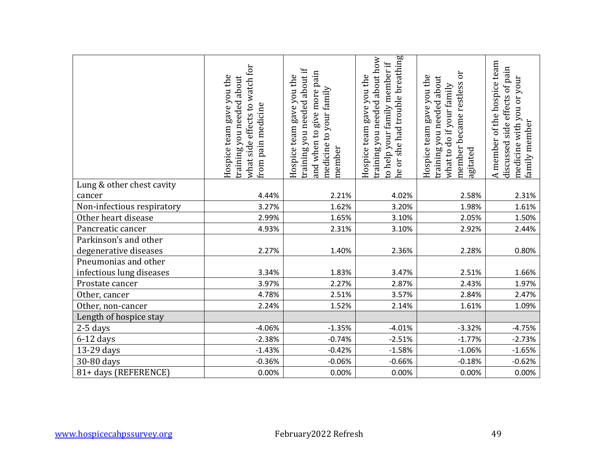|                            | what side effects to watch for<br>Hospice team gave you the<br>training you needed about<br>from pain medicine | training you needed about if<br>and when to give more pain<br>Hospice team gave you the<br>medicine to your family<br>member | he or she had trouble breathing<br>training you needed about how<br>to help your family member if<br>Hospice team gave you the | member became restless or<br>Hospice team gave you the<br>training you needed about<br>what to do if your family<br>agitated | A member of the hospice team<br>discussed side effects of pain<br>medicine with you or your<br>family member |
|----------------------------|----------------------------------------------------------------------------------------------------------------|------------------------------------------------------------------------------------------------------------------------------|--------------------------------------------------------------------------------------------------------------------------------|------------------------------------------------------------------------------------------------------------------------------|--------------------------------------------------------------------------------------------------------------|
| Lung & other chest cavity  |                                                                                                                |                                                                                                                              |                                                                                                                                |                                                                                                                              |                                                                                                              |
| cancer                     | 4.44%                                                                                                          | 2.21%                                                                                                                        | 4.02%                                                                                                                          | 2.58%                                                                                                                        | 2.31%                                                                                                        |
| Non-infectious respiratory | 3.27%                                                                                                          | 1.62%                                                                                                                        | 3.20%                                                                                                                          | 1.98%                                                                                                                        | 1.61%                                                                                                        |
| Other heart disease        | 2.99%                                                                                                          | 1.65%                                                                                                                        | 3.10%                                                                                                                          | 2.05%                                                                                                                        | 1.50%                                                                                                        |
| Pancreatic cancer          | 4.93%                                                                                                          | 2.31%                                                                                                                        | 3.10%                                                                                                                          | 2.92%                                                                                                                        | 2.44%                                                                                                        |
| Parkinson's and other      |                                                                                                                |                                                                                                                              |                                                                                                                                |                                                                                                                              |                                                                                                              |
| degenerative diseases      | 2.27%                                                                                                          | 1.40%                                                                                                                        | 2.36%                                                                                                                          | 2.28%                                                                                                                        | 0.80%                                                                                                        |
| Pneumonias and other       |                                                                                                                |                                                                                                                              |                                                                                                                                |                                                                                                                              |                                                                                                              |
| infectious lung diseases   | 3.34%                                                                                                          | 1.83%                                                                                                                        | 3.47%                                                                                                                          | 2.51%                                                                                                                        | 1.66%                                                                                                        |
| Prostate cancer            | 3.97%                                                                                                          | 2.27%                                                                                                                        | 2.87%                                                                                                                          | 2.43%                                                                                                                        | 1.97%                                                                                                        |
| Other, cancer              | 4.78%                                                                                                          | 2.51%                                                                                                                        | 3.57%                                                                                                                          | 2.84%                                                                                                                        | 2.47%                                                                                                        |
| Other, non-cancer          | 2.24%                                                                                                          | 1.52%                                                                                                                        | 2.14%                                                                                                                          | 1.61%                                                                                                                        | 1.09%                                                                                                        |
| Length of hospice stay     |                                                                                                                |                                                                                                                              |                                                                                                                                |                                                                                                                              |                                                                                                              |
| 2-5 days                   | $-4.06%$                                                                                                       | $-1.35%$                                                                                                                     | $-4.01%$                                                                                                                       | $-3.32%$                                                                                                                     | $-4.75%$                                                                                                     |
| $6-12$ days                | $-2.38%$                                                                                                       | $-0.74%$                                                                                                                     | $-2.51%$                                                                                                                       | $-1.77%$                                                                                                                     | $-2.73%$                                                                                                     |
| 13-29 days                 | $-1.43%$                                                                                                       | $-0.42%$                                                                                                                     | $-1.58%$                                                                                                                       | $-1.06%$                                                                                                                     | $-1.65%$                                                                                                     |
| 30-80 days                 | $-0.36%$                                                                                                       | $-0.06%$                                                                                                                     | $-0.66%$                                                                                                                       | $-0.18%$                                                                                                                     | $-0.62%$                                                                                                     |
| 81+ days (REFERENCE)       | 0.00%                                                                                                          | 0.00%                                                                                                                        | 0.00%                                                                                                                          | 0.00%                                                                                                                        | 0.00%                                                                                                        |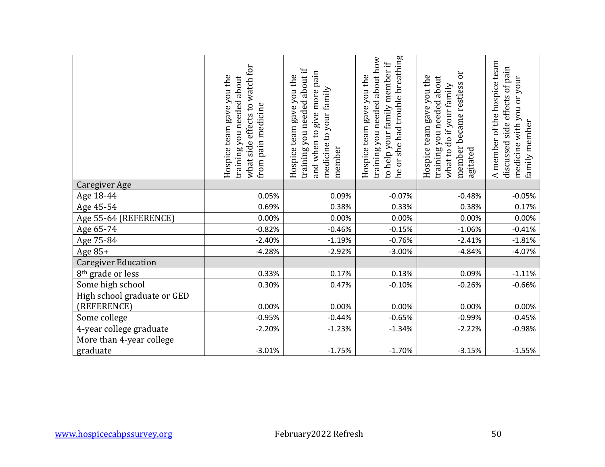|                                            | what side effects to watch for<br>Hospice team gave you the<br>training you needed about<br>from pain medicine | training you needed about if<br>and when to give more pain<br>Hospice team gave you the<br>medicine to your family<br>member | he or she had trouble breathing<br>training you needed about how<br>to help your family member if<br>Hospice team gave you the | member became restless or<br>Hospice team gave you the<br>training you needed about<br>what to do if your family<br>agitated | A member of the hospice team<br>discussed side effects of pain<br>medicine with you or your<br>family member |
|--------------------------------------------|----------------------------------------------------------------------------------------------------------------|------------------------------------------------------------------------------------------------------------------------------|--------------------------------------------------------------------------------------------------------------------------------|------------------------------------------------------------------------------------------------------------------------------|--------------------------------------------------------------------------------------------------------------|
| <b>Caregiver Age</b>                       |                                                                                                                |                                                                                                                              |                                                                                                                                |                                                                                                                              |                                                                                                              |
| Age 18-44                                  | 0.05%<br>0.69%                                                                                                 | 0.09%                                                                                                                        | $-0.07%$                                                                                                                       | $-0.48%$<br>0.38%                                                                                                            | $-0.05%$<br>0.17%                                                                                            |
| Age 45-54<br>Age 55-64 (REFERENCE)         | 0.00%                                                                                                          | 0.38%<br>0.00%                                                                                                               | 0.33%<br>0.00%                                                                                                                 | 0.00%                                                                                                                        | 0.00%                                                                                                        |
| Age 65-74                                  | $-0.82%$                                                                                                       | $-0.46%$                                                                                                                     | $-0.15%$                                                                                                                       | $-1.06%$                                                                                                                     | $-0.41%$                                                                                                     |
| Age 75-84                                  | $-2.40%$                                                                                                       | $-1.19%$                                                                                                                     | $-0.76%$                                                                                                                       | $-2.41%$                                                                                                                     | $-1.81%$                                                                                                     |
| Age 85+                                    | $-4.28%$                                                                                                       | $-2.92%$                                                                                                                     | $-3.00%$                                                                                                                       | $-4.84%$                                                                                                                     | $-4.07%$                                                                                                     |
| <b>Caregiver Education</b>                 |                                                                                                                |                                                                                                                              |                                                                                                                                |                                                                                                                              |                                                                                                              |
| 8 <sup>th</sup> grade or less              | 0.33%                                                                                                          | 0.17%                                                                                                                        | 0.13%                                                                                                                          | 0.09%                                                                                                                        | $-1.11%$                                                                                                     |
| Some high school                           | 0.30%                                                                                                          | 0.47%                                                                                                                        | $-0.10%$                                                                                                                       | $-0.26%$                                                                                                                     | $-0.66%$                                                                                                     |
| High school graduate or GED<br>(REFERENCE) | 0.00%                                                                                                          | 0.00%                                                                                                                        | 0.00%                                                                                                                          | 0.00%                                                                                                                        | 0.00%                                                                                                        |
| Some college                               | $-0.95%$                                                                                                       | $-0.44%$                                                                                                                     | $-0.65%$                                                                                                                       | $-0.99%$                                                                                                                     | $-0.45%$                                                                                                     |
| 4-year college graduate                    | $-2.20%$                                                                                                       | $-1.23%$                                                                                                                     | $-1.34%$                                                                                                                       | $-2.22%$                                                                                                                     | $-0.98%$                                                                                                     |
| More than 4-year college<br>graduate       | $-3.01%$                                                                                                       | $-1.75%$                                                                                                                     | $-1.70%$                                                                                                                       | $-3.15%$                                                                                                                     | $-1.55%$                                                                                                     |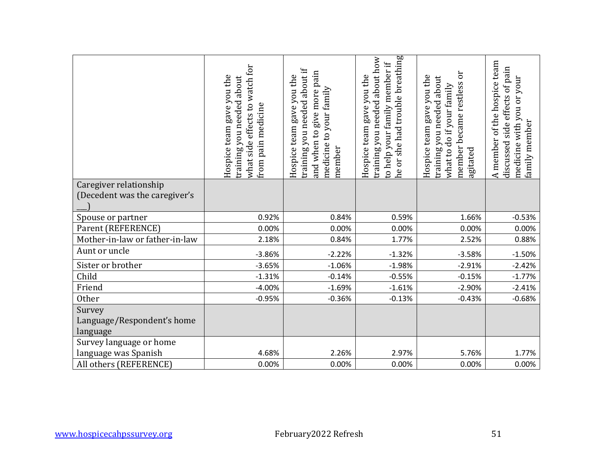| Caregiver relationship<br>(Decedent was the caregiver's | what side effects to watch for<br>Hospice team gave you the<br>training you needed about<br>from pain medicine | training you needed about if<br>and when to give more pain<br>Hospice team gave you the<br>medicine to your family<br>member | he or she had trouble breathing<br>training you needed about how<br>to help your family member if<br>Hospice team gave you the | member became restless or<br>Hospice team gave you the<br>training you needed about<br>what to do if your family<br>agitated | A member of the hospice team<br>discussed side effects of pain<br>medicine with you or your<br>family member |
|---------------------------------------------------------|----------------------------------------------------------------------------------------------------------------|------------------------------------------------------------------------------------------------------------------------------|--------------------------------------------------------------------------------------------------------------------------------|------------------------------------------------------------------------------------------------------------------------------|--------------------------------------------------------------------------------------------------------------|
|                                                         |                                                                                                                |                                                                                                                              |                                                                                                                                |                                                                                                                              |                                                                                                              |
| Spouse or partner                                       | 0.92%                                                                                                          | 0.84%                                                                                                                        | 0.59%                                                                                                                          | 1.66%                                                                                                                        | $-0.53%$                                                                                                     |
| Parent (REFERENCE)                                      | 0.00%                                                                                                          | 0.00%                                                                                                                        | 0.00%                                                                                                                          | 0.00%                                                                                                                        | 0.00%                                                                                                        |
| Mother-in-law or father-in-law                          | 2.18%                                                                                                          | 0.84%                                                                                                                        | 1.77%                                                                                                                          | 2.52%                                                                                                                        | 0.88%                                                                                                        |
| Aunt or uncle                                           | $-3.86%$                                                                                                       | $-2.22%$                                                                                                                     | $-1.32%$                                                                                                                       | $-3.58%$                                                                                                                     | $-1.50%$                                                                                                     |
| Sister or brother                                       | $-3.65%$                                                                                                       | $-1.06%$                                                                                                                     | $-1.98%$                                                                                                                       | $-2.91%$                                                                                                                     | $-2.42%$                                                                                                     |
| Child                                                   | $-1.31%$                                                                                                       | $-0.14%$                                                                                                                     | $-0.55%$                                                                                                                       | $-0.15%$                                                                                                                     | $-1.77%$                                                                                                     |
| Friend                                                  | $-4.00%$                                                                                                       | $-1.69%$                                                                                                                     | $-1.61%$                                                                                                                       | $-2.90%$                                                                                                                     | $-2.41%$                                                                                                     |
| Other                                                   | $-0.95%$                                                                                                       | $-0.36%$                                                                                                                     | $-0.13%$                                                                                                                       | $-0.43%$                                                                                                                     | $-0.68%$                                                                                                     |
| Survey<br>Language/Respondent's home<br>language        |                                                                                                                |                                                                                                                              |                                                                                                                                |                                                                                                                              |                                                                                                              |
| Survey language or home                                 |                                                                                                                |                                                                                                                              |                                                                                                                                |                                                                                                                              |                                                                                                              |
| language was Spanish                                    | 4.68%                                                                                                          | 2.26%                                                                                                                        | 2.97%                                                                                                                          | 5.76%                                                                                                                        | 1.77%                                                                                                        |
| All others (REFERENCE)                                  | 0.00%                                                                                                          | 0.00%                                                                                                                        | 0.00%                                                                                                                          | 0.00%                                                                                                                        | 0.00%                                                                                                        |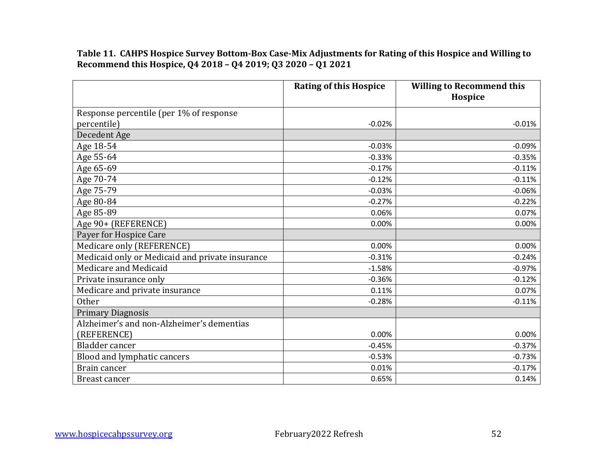**Table 11. CAHPS Hospice Survey Bottom-Box Case-Mix Adjustments for Rating of this Hospice and Willing to Recommend this Hospice, Q4 2018 – Q4 2019; Q3 2020 – Q1 2021**

|                                                 | <b>Rating of this Hospice</b> | <b>Willing to Recommend this</b><br>Hospice |
|-------------------------------------------------|-------------------------------|---------------------------------------------|
| Response percentile (per 1% of response         |                               |                                             |
| percentile)                                     | $-0.02%$                      | $-0.01%$                                    |
| Decedent Age                                    |                               |                                             |
| Age 18-54                                       | $-0.03%$                      | $-0.09%$                                    |
| Age 55-64                                       | $-0.33%$                      | $-0.35%$                                    |
| Age 65-69                                       | $-0.17%$                      | $-0.11%$                                    |
| Age 70-74                                       | $-0.12%$                      | $-0.11%$                                    |
| Age 75-79                                       | $-0.03%$                      | $-0.06%$                                    |
| Age 80-84                                       | $-0.27%$                      | $-0.22%$                                    |
| Age 85-89                                       | 0.06%                         | 0.07%                                       |
| Age 90+ (REFERENCE)                             | 0.00%                         | 0.00%                                       |
| Payer for Hospice Care                          |                               |                                             |
| Medicare only (REFERENCE)                       | 0.00%                         | 0.00%                                       |
| Medicaid only or Medicaid and private insurance | $-0.31%$                      | $-0.24%$                                    |
| Medicare and Medicaid                           | $-1.58%$                      | $-0.97%$                                    |
| Private insurance only                          | $-0.36%$                      | $-0.12%$                                    |
| Medicare and private insurance                  | 0.11%                         | 0.07%                                       |
| <b>Other</b>                                    | $-0.28%$                      | $-0.11%$                                    |
| <b>Primary Diagnosis</b>                        |                               |                                             |
| Alzheimer's and non-Alzheimer's dementias       |                               |                                             |
| (REFERENCE)                                     | 0.00%                         | 0.00%                                       |
| Bladder cancer                                  | $-0.45%$                      | $-0.37%$                                    |
| Blood and lymphatic cancers                     | $-0.53%$                      | $-0.73%$                                    |
| Brain cancer                                    | 0.01%                         | $-0.17%$                                    |
| Breast cancer                                   | 0.65%                         | 0.14%                                       |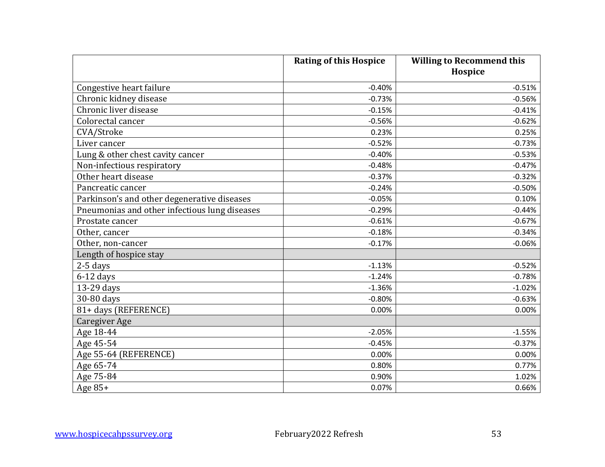|                                               | <b>Rating of this Hospice</b> | <b>Willing to Recommend this</b><br>Hospice |
|-----------------------------------------------|-------------------------------|---------------------------------------------|
| Congestive heart failure                      | $-0.40%$                      | $-0.51%$                                    |
| Chronic kidney disease                        | $-0.73%$                      | $-0.56%$                                    |
| Chronic liver disease                         | $-0.15%$                      | $-0.41%$                                    |
| Colorectal cancer                             | $-0.56%$                      | $-0.62%$                                    |
| CVA/Stroke                                    | 0.23%                         | 0.25%                                       |
| Liver cancer                                  | $-0.52%$                      | $-0.73%$                                    |
| Lung & other chest cavity cancer              | $-0.40%$                      | $-0.53%$                                    |
| Non-infectious respiratory                    | $-0.48%$                      | $-0.47%$                                    |
| Other heart disease                           | $-0.37%$                      | $-0.32%$                                    |
| Pancreatic cancer                             | $-0.24%$                      | $-0.50%$                                    |
| Parkinson's and other degenerative diseases   | $-0.05%$                      | 0.10%                                       |
| Pneumonias and other infectious lung diseases | $-0.29%$                      | $-0.44%$                                    |
| Prostate cancer                               | $-0.61%$                      | $-0.67%$                                    |
| Other, cancer                                 | $-0.18%$                      | $-0.34%$                                    |
| Other, non-cancer                             | $-0.17%$                      | $-0.06%$                                    |
| Length of hospice stay                        |                               |                                             |
| 2-5 days                                      | $-1.13%$                      | $-0.52%$                                    |
| $6-12$ days                                   | $-1.24%$                      | $-0.78%$                                    |
| 13-29 days                                    | $-1.36%$                      | $-1.02%$                                    |
| 30-80 days                                    | $-0.80%$                      | $-0.63%$                                    |
| 81+ days (REFERENCE)                          | 0.00%                         | 0.00%                                       |
| <b>Caregiver Age</b>                          |                               |                                             |
| Age 18-44                                     | $-2.05%$                      | $-1.55%$                                    |
| Age 45-54                                     | $-0.45%$                      | $-0.37%$                                    |
| Age 55-64 (REFERENCE)                         | 0.00%                         | 0.00%                                       |
| Age 65-74                                     | 0.80%                         | 0.77%                                       |
| Age 75-84                                     | 0.90%                         | 1.02%                                       |
| Age 85+                                       | 0.07%                         | 0.66%                                       |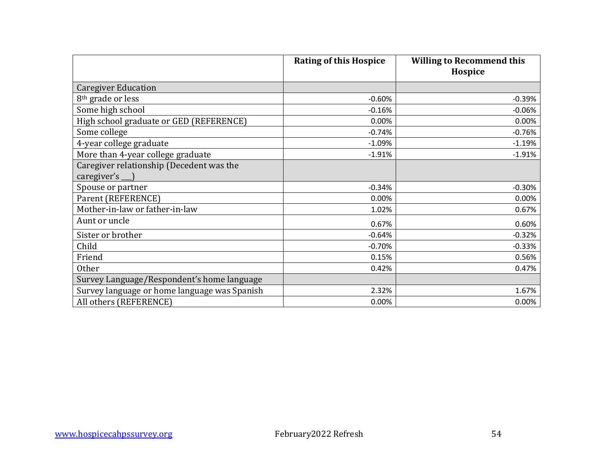|                                              | <b>Rating of this Hospice</b> | <b>Willing to Recommend this</b><br>Hospice |
|----------------------------------------------|-------------------------------|---------------------------------------------|
| <b>Caregiver Education</b>                   |                               |                                             |
| 8 <sup>th</sup> grade or less                | $-0.60%$                      | $-0.39%$                                    |
| Some high school                             | $-0.16%$                      | $-0.06%$                                    |
| High school graduate or GED (REFERENCE)      | 0.00%                         | 0.00%                                       |
| Some college                                 | $-0.74%$                      | $-0.76%$                                    |
| 4-year college graduate                      | $-1.09%$                      | $-1.19%$                                    |
| More than 4-year college graduate            | $-1.91%$                      | $-1.91%$                                    |
| Caregiver relationship (Decedent was the     |                               |                                             |
| caregiver's ___)                             |                               |                                             |
| Spouse or partner                            | $-0.34%$                      | $-0.30%$                                    |
| Parent (REFERENCE)                           | 0.00%                         | 0.00%                                       |
| Mother-in-law or father-in-law               | 1.02%                         | 0.67%                                       |
| Aunt or uncle                                | 0.67%                         | 0.60%                                       |
| Sister or brother                            | $-0.64%$                      | $-0.32%$                                    |
| Child                                        | $-0.70%$                      | $-0.33%$                                    |
| Friend                                       | 0.15%                         | 0.56%                                       |
| <b>Other</b>                                 | 0.42%                         | 0.47%                                       |
| Survey Language/Respondent's home language   |                               |                                             |
| Survey language or home language was Spanish | 2.32%                         | 1.67%                                       |
| All others (REFERENCE)                       | 0.00%                         | 0.00%                                       |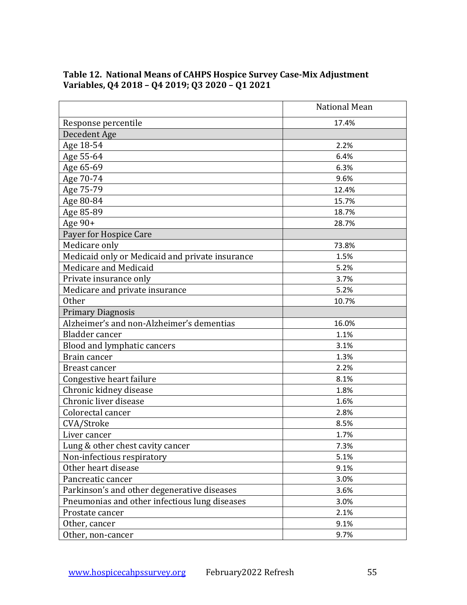|                                                 | <b>National Mean</b> |
|-------------------------------------------------|----------------------|
| Response percentile                             | 17.4%                |
| Decedent Age                                    |                      |
| Age 18-54                                       | 2.2%                 |
| Age 55-64                                       | 6.4%                 |
| Age 65-69                                       | 6.3%                 |
| Age 70-74                                       | 9.6%                 |
| Age 75-79                                       | 12.4%                |
| Age 80-84                                       | 15.7%                |
| Age 85-89                                       | 18.7%                |
| Age 90+                                         | 28.7%                |
| Payer for Hospice Care                          |                      |
| Medicare only                                   | 73.8%                |
| Medicaid only or Medicaid and private insurance | 1.5%                 |
| Medicare and Medicaid                           | 5.2%                 |
| Private insurance only                          | 3.7%                 |
| Medicare and private insurance                  | 5.2%                 |
| <b>Other</b>                                    | 10.7%                |
| <b>Primary Diagnosis</b>                        |                      |
| Alzheimer's and non-Alzheimer's dementias       | 16.0%                |
| Bladder cancer                                  | 1.1%                 |
| Blood and lymphatic cancers                     | 3.1%                 |
| Brain cancer                                    | 1.3%                 |
| Breast cancer                                   | 2.2%                 |
| Congestive heart failure                        | 8.1%                 |
| Chronic kidney disease                          | 1.8%                 |
| Chronic liver disease                           | 1.6%                 |
| Colorectal cancer                               | 2.8%                 |
| CVA/Stroke                                      | 8.5%                 |
| Liver cancer                                    | 1.7%                 |
| Lung & other chest cavity cancer                | 7.3%                 |
| Non-infectious respiratory                      | 5.1%                 |
| Other heart disease                             | 9.1%                 |
| Pancreatic cancer                               | 3.0%                 |
| Parkinson's and other degenerative diseases     | 3.6%                 |
| Pneumonias and other infectious lung diseases   | 3.0%                 |
| Prostate cancer                                 | 2.1%                 |
| Other, cancer                                   | 9.1%                 |
| Other, non-cancer                               | 9.7%                 |

#### **Table 12. National Means of CAHPS Hospice Survey Case-Mix Adjustment Variables, Q4 2018 – Q4 2019; Q3 2020 – Q1 2021**